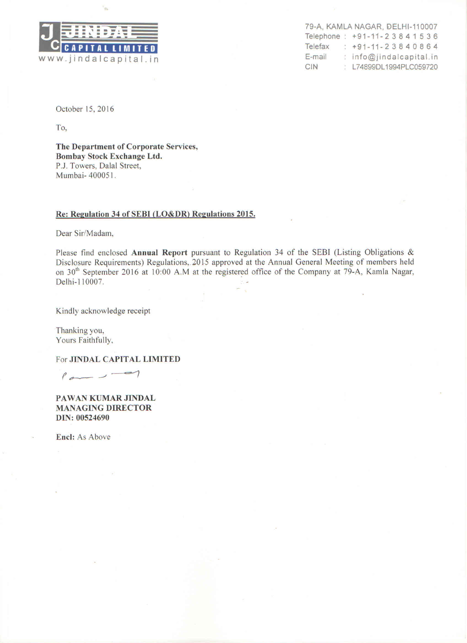

79-A, KAMLA NAGAR, DELHI-110007 Telephone: +91-11-23841536 Telefax  $\div$  +91-11-23840864 E-mail : info@jindalcapital.in : L74899DL1994PLC059720 CIN

October 15, 2016

To,

The Department of Corporate Services, **Bombay Stock Exchange Ltd.** P.J. Towers, Dalal Street, Mumbai-400051.

#### Re: Regulation 34 of SEBI (LO&DR) Regulations 2015.

Dear Sir/Madam,

Please find enclosed Annual Report pursuant to Regulation 34 of the SEBI (Listing Obligations & Disclosure Requirements) Regulations, 2015 approved at the Annual General Meeting of members held on 30<sup>th</sup> September 2016 at 10:00 A.M at the registered office of the Company at 79-A, Kamla Nagar, Delhi-110007.

Kindly acknowledge receipt

Thanking you, Yours Faithfully,

For JINDAL CAPITAL LIMITED

 $\rho$  -  $\rightarrow$ 

PAWAN KUMAR JINDAL **MANAGING DIRECTOR** DIN: 00524690

Encl: As Above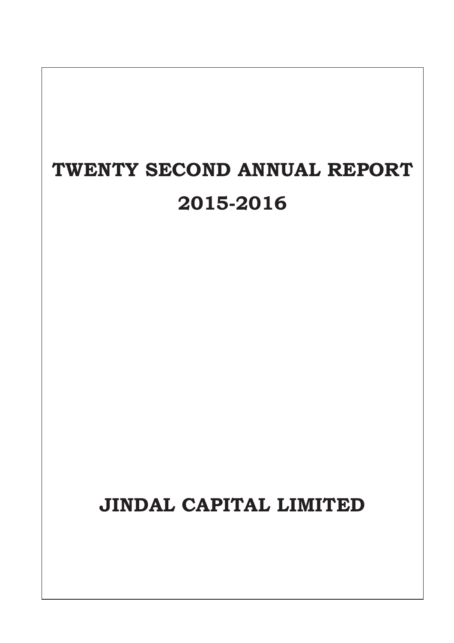

# JINDAL CAPITAL LIMITED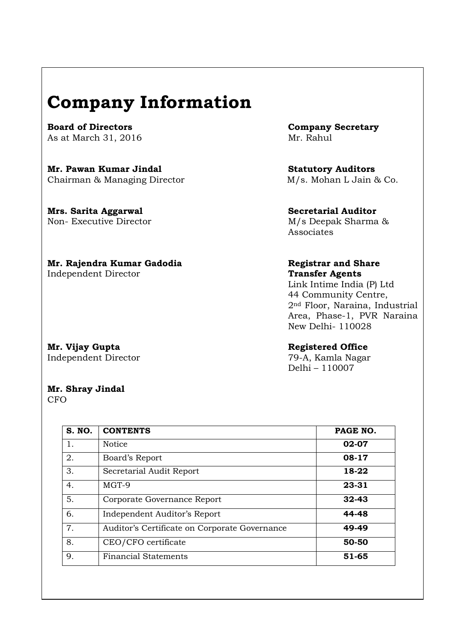# **Company Information Company Information**

**Board of Directors** As at March 31, 2016 Mr. Rahul

**Mr. Pawan Kumar Jindal Statutory Auditors Mr. Pawan Kumar Jindal Statutory Auditors**  Chairman & Managing Director M/s. Mohan L Jain & Co.

**Mrs. Sarita Aggarwal Secretarial Auditor** 

**Board of Directors Company Secretary** 

Non- Executive Director  $M/s$  Deepak Sharma & Associates

**Mr. Rajendra Kumar Gadodia Registrar and Share Mr. Rajendra Kumar Gadodia Registrar and Share** Independent Director **Transfer Agents**  Independent Director **Transfer Agents** Link Intime India (P)Ltd Link Intime India (P) Ltd 44 Community Centre, 2nd Floor, Naraina, Industrial Area, Phase-1, PVR Naraina New Delhi- 110028

Delhi – 110007

**Mr. Vijay Gupta Registered Office** 

#### **Mr. Shray Jindal**  CFO

| <b>S. NO.</b> | <b>CONTENTS</b>                               | PAGE NO.  |
|---------------|-----------------------------------------------|-----------|
| 1.            | <b>Notice</b>                                 | 02-07     |
| 2.            | Board's Report                                | 08-17     |
| 3.            | Secretarial Audit Report                      | 18-22     |
| 4.            | MGT-9                                         | 23-31     |
| 5.            | Corporate Governance Report                   | $32 - 43$ |
| 6.            | Independent Auditor's Report                  | 44-48     |
| 7.            | Auditor's Certificate on Corporate Governance | 49-49     |
| 8.            | CEO/CFO certificate                           | 50-50     |
| 9.            | <b>Financial Statements</b>                   | 51-65     |

**Mr. Shray Jindal**  Independent Director 79-A, Kamla Nagar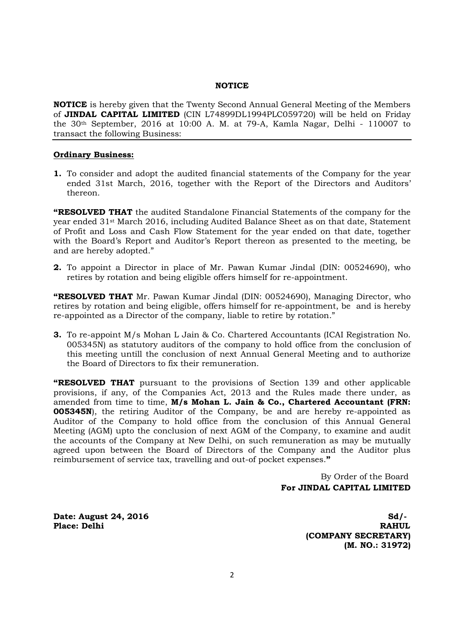#### **NOTICE**

**NOTICE** is hereby given that the Twenty Second Annual General Meeting of the Members of **JINDAL CAPITAL LIMITED** (CIN L74899DL1994PLC059720) will be held on Friday the  $30<sup>th</sup>$  September, 2016 at 10:00 A. M. at 79-A. Kamla Nagar, Delhi - 110007 to transact the following Business:

#### **Ordinary Business:**

**1.** To consider and adopt the audited financial statements of the Company for the year ended 31st March, 2016, together with the Report of the Directors and Auditors' thereon.

**"RESOLVED THAT** the audited Standalone Financial Statements of the company for the year ended 31st March 2016, including Audited Balance Sheet as on that date, Statement of Profit and Loss and Cash Flow Statement for the year ended on that date, together with the Board's Report and Auditor's Report thereon as presented to the meeting, be and are hereby adopted."

**2.** To appoint a Director in place of Mr. Pawan Kumar Jindal (DIN: 00524690), who retires by rotation and being eligible offers himself for re-appointment.

**"RESOLVED THAT** Mr. Pawan Kumar Jindal (DIN: 00524690), Managing Director, who retires by rotation and being eligible, offers himself for re-appointment, be and is hereby re-appointed as a Director of the company, liable to retire by rotation."

**3.** To re-appoint M/s Mohan L Jain & Co. Chartered Accountants (ICAI Registration No. 005345N) as statutory auditors of the company to hold office from the conclusion of this meeting untill the conclusion of next Annual General Meeting and to authorize the Board of Directors to fix their remuneration.

**"RESOLVED THAT** pursuant to the provisions of Section 139 and other applicable provisions, if any, of the Companies Act, 2013 and the Rules made there under, as amended from time to time, **M/s Mohan L. Jain & Co., Chartered Accountant (FRN: 005345N**), the retiring Auditor of the Company, be and are hereby re-appointed as Auditor of the Company to hold office from the conclusion of this Annual General Meeting (AGM) upto the conclusion of next AGM of the Company, to examine and audit the accounts of the Company at New Delhi, on such remuneration as may be mutually agreed upon between the Board of Directors of the Company and the Auditor plus reimbursement of service tax, travelling and out-of pocket expenses.**"** 

> By Order of the Board **For JINDAL CAPITAL LIMITED**

**Date: August 24, 2016** Sd/-**Place: Delhi RAHUL (COMPANY SECRETARY) (M. NO.: 31972)**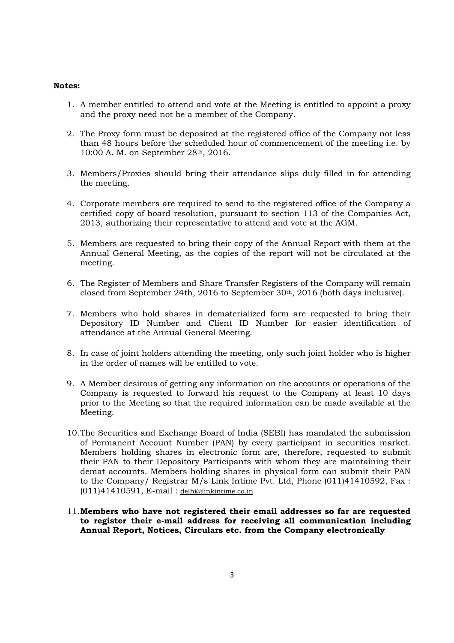#### **Notes:**

- 1. A member entitled to attend and vote at the Meeting is entitled to appoint a proxy and the proxy need not be a member of the Company.
- 2. The Proxy form must be deposited at the registered office of the Company not less than 48 hours before the scheduled hour of commencement of the meeting i.e. by 10:00 A. M. on September 28th, 2016.
- 3. Members/Proxies should bring their attendance slips duly filled in for attending the meeting.
- 4. Corporate members are required to send to the registered office of the Company a certified copy of board resolution, pursuant to section 113 of the Companies Act, 2013, authorizing their representative to attend and vote at the AGM.
- 5. Members are requested to bring their copy of the Annual Report with them at the Annual General Meeting, as the copies of the report will not be circulated at the meeting.
- 6. The Register of Members and Share Transfer Registers of the Company will remain closed from September 24th, 2016 to September 30th, 2016 (both days inclusive).
- 7. Members who hold shares in dematerialized form are requested to bring their Depository ID Number and Client ID Number for easier identification of attendance at the Annual General Meeting.
- 8. In case of joint holders attending the meeting, only such joint holder who is higher in the order of names will be entitled to vote.
- 9. A Member desirous of getting any information on the accounts or operations of the Company is requested to forward his request to the Company at least 10 days prior to the Meeting so that the required information can be made available at the Meeting.
- 10.The Securities and Exchange Board of India (SEBI) has mandated the submission of Permanent Account Number (PAN) by every participant in securities market. Members holding shares in electronic form are, therefore, requested to submit their PAN to their Depository Participants with whom they are maintaining their demat accounts. Members holding shares in physical form can submit their PAN to the Company/ Registrar M/s Link Intime Pvt. Ltd, Phone (011)41410592, Fax : (011)41410591, E-mail : delhi@linkintime.co.in
- 11.**Members who have not registered their email addresses so far are requested to register their e-mail address for receiving all communication including Annual Report, Notices, Circulars etc. from the Company electronically**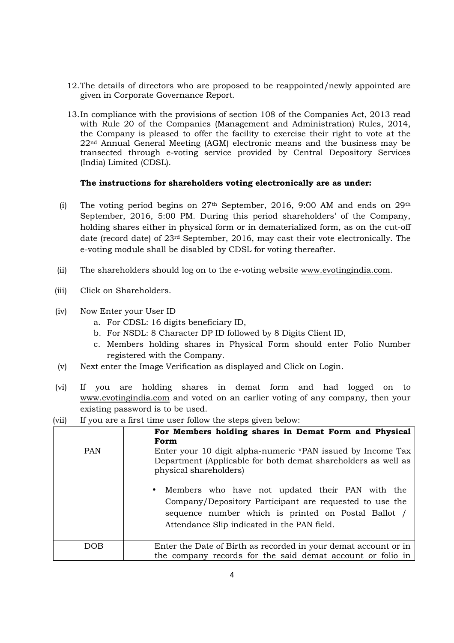- 12.The details of directors who are proposed to be reappointed/newly appointed are given in Corporate Governance Report.
- 13.In compliance with the provisions of section 108 of the Companies Act, 2013 read with Rule 20 of the Companies (Management and Administration) Rules, 2014, the Company is pleased to offer the facility to exercise their right to vote at the 22nd Annual General Meeting (AGM) electronic means and the business may be transected through e-voting service provided by Central Depository Services (India) Limited (CDSL).

#### **The instructions for shareholders voting electronically are as under:**

- (i) The voting period begins on  $27<sup>th</sup>$  September, 2016, 9:00 AM and ends on  $29<sup>th</sup>$ September, 2016, 5:00 PM. During this period shareholders' of the Company, holding shares either in physical form or in dematerialized form, as on the cut-off date (record date) of 23rd September, 2016, may cast their vote electronically. The e-voting module shall be disabled by CDSL for voting thereafter.
- (ii) The shareholders should log on to the e-voting website www.evotingindia.com.
- (iii) Click on Shareholders.
- (iv) Now Enter your User ID
	- a. For CDSL: 16 digits beneficiary ID,
	- b. For NSDL: 8 Character DP ID followed by 8 Digits Client ID,
	- c. Members holding shares in Physical Form should enter Folio Number registered with the Company.
- (v) Next enter the Image Verification as displayed and Click on Login.
- (vi) If you are holding shares in demat form and had logged on to www.evotingindia.com and voted on an earlier voting of any company, then your existing password is to be used.
- (vii) If you are a first time user follow the steps given below:

|            | For Members holding shares in Demat Form and Physical<br>Form                                                                                                                                                    |
|------------|------------------------------------------------------------------------------------------------------------------------------------------------------------------------------------------------------------------|
| <b>PAN</b> | Enter your 10 digit alpha-numeric *PAN issued by Income Tax<br>Department (Applicable for both demat shareholders as well as<br>physical shareholders)                                                           |
|            | Members who have not updated their PAN with the<br>Company/Depository Participant are requested to use the<br>sequence number which is printed on Postal Ballot /<br>Attendance Slip indicated in the PAN field. |
| DOB        | Enter the Date of Birth as recorded in your demat account or in<br>the company records for the said demat account or folio in                                                                                    |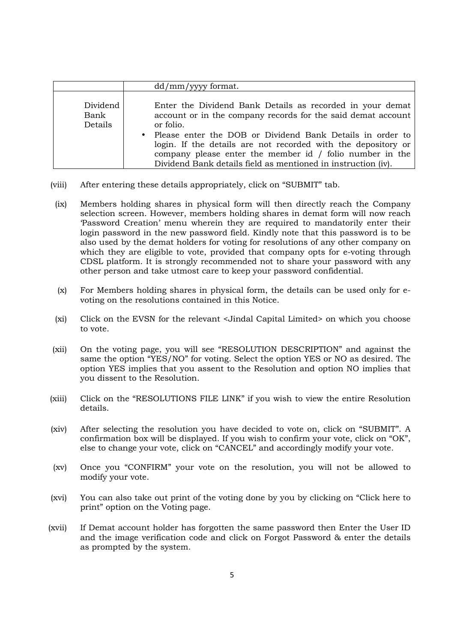|                             | $dd/mm/$ yyy format.                                                                                                                                                                                                                                                                                                                                                                                  |
|-----------------------------|-------------------------------------------------------------------------------------------------------------------------------------------------------------------------------------------------------------------------------------------------------------------------------------------------------------------------------------------------------------------------------------------------------|
| Dividend<br>Bank<br>Details | Enter the Dividend Bank Details as recorded in your demat<br>account or in the company records for the said demat account<br>or folio.<br>• Please enter the DOB or Dividend Bank Details in order to<br>login. If the details are not recorded with the depository or<br>company please enter the member id $/$ folio number in the<br>Dividend Bank details field as mentioned in instruction (iv). |

- (viii) After entering these details appropriately, click on "SUBMIT" tab.
- (ix) Members holding shares in physical form will then directly reach the Company selection screen. However, members holding shares in demat form will now reach 'Password Creation' menu wherein they are required to mandatorily enter their login password in the new password field. Kindly note that this password is to be also used by the demat holders for voting for resolutions of any other company on which they are eligible to vote, provided that company opts for e-voting through CDSL platform. It is strongly recommended not to share your password with any other person and take utmost care to keep your password confidential.
- (x) For Members holding shares in physical form, the details can be used only for evoting on the resolutions contained in this Notice.
- (xi) Click on the EVSN for the relevant <Jindal Capital Limited> on which you choose to vote.
- (xii) On the voting page, you will see "RESOLUTION DESCRIPTION" and against the same the option "YES/NO" for voting. Select the option YES or NO as desired. The option YES implies that you assent to the Resolution and option NO implies that you dissent to the Resolution.
- (xiii) Click on the "RESOLUTIONS FILE LINK" if you wish to view the entire Resolution details.
- (xiv) After selecting the resolution you have decided to vote on, click on "SUBMIT". A confirmation box will be displayed. If you wish to confirm your vote, click on "OK", else to change your vote, click on "CANCEL" and accordingly modify your vote.
- (xv) Once you "CONFIRM" your vote on the resolution, you will not be allowed to modify your vote.
- (xvi) You can also take out print of the voting done by you by clicking on "Click here to print" option on the Voting page.
- (xvii) If Demat account holder has forgotten the same password then Enter the User ID and the image verification code and click on Forgot Password & enter the details as prompted by the system.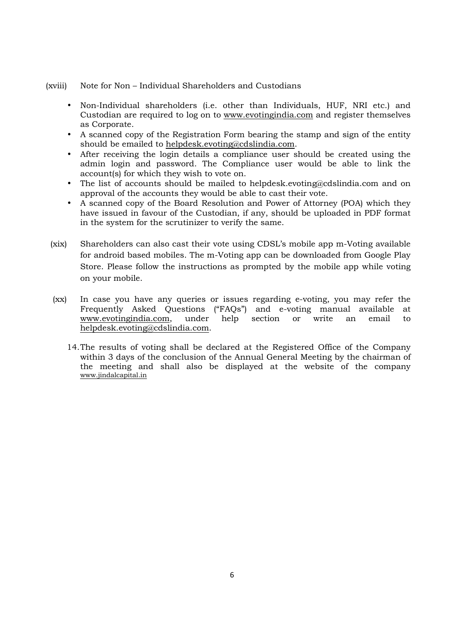#### (xviii) Note for Non – Individual Shareholders and Custodians

- Non-Individual shareholders (i.e. other than Individuals, HUF, NRI etc.) and Custodian are required to log on to www.evotingindia.com and register themselves as Corporate.
- A scanned copy of the Registration Form bearing the stamp and sign of the entity should be emailed to helpdesk.evoting@cdslindia.com.
- After receiving the login details a compliance user should be created using the admin login and password. The Compliance user would be able to link the account(s) for which they wish to vote on.
- The list of accounts should be mailed to helpdesk.evoting@cdslindia.com and on approval of the accounts they would be able to cast their vote.
- A scanned copy of the Board Resolution and Power of Attorney (POA) which they have issued in favour of the Custodian, if any, should be uploaded in PDF format in the system for the scrutinizer to verify the same.
- (xix) Shareholders can also cast their vote using CDSL's mobile app m-Voting available for android based mobiles. The m-Voting app can be downloaded from Google Play Store. Please follow the instructions as prompted by the mobile app while voting on your mobile.
- (xx) In case you have any queries or issues regarding e-voting, you may refer the Frequently Asked Questions ("FAQs") and e-voting manual available at www.evotingindia.com, under help section or write an email to helpdesk.evoting@cdslindia.com.
	- 14.The results of voting shall be declared at the Registered Office of the Company within 3 days of the conclusion of the Annual General Meeting by the chairman of the meeting and shall also be displayed at the website of the company www.jindalcapital.in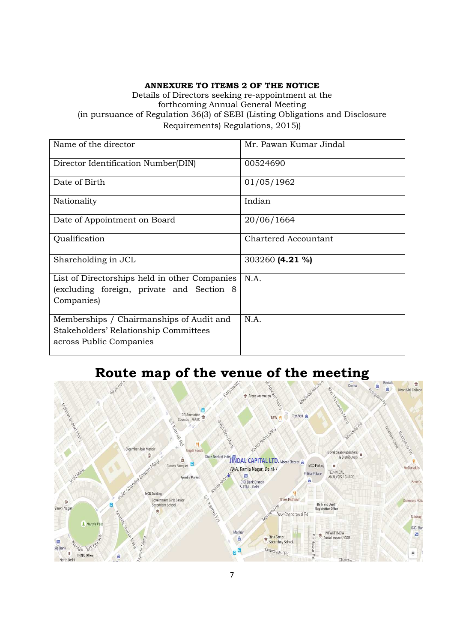## **ANNEXURE TO ITEMS 2 OF THE NOTICE**

Details of Directors seeking re-appointment at the forthcoming Annual General Meeting (in pursuance of Regulation 36(3) of SEBI (Listing Obligations and Disclosure Requirements) Regulations, 2015))

| Name of the director                          | Mr. Pawan Kumar Jindal |
|-----------------------------------------------|------------------------|
| Director Identification Number(DIN)           | 00524690               |
| Date of Birth                                 | 01/05/1962             |
| Nationality                                   | Indian                 |
| Date of Appointment on Board                  | 20/06/1664             |
| Qualification                                 | Chartered Accountant   |
| Shareholding in JCL                           | 303260 (4.21 %)        |
| List of Directorships held in other Companies | N.A.                   |
| (excluding foreign, private and Section 8     |                        |
| Companies)                                    |                        |
| Memberships / Chairmanships of Audit and      | N.A.                   |
| Stakeholders' Relationship Committees         |                        |
| across Public Companies                       |                        |

# **Route map of the venue of the meeting**

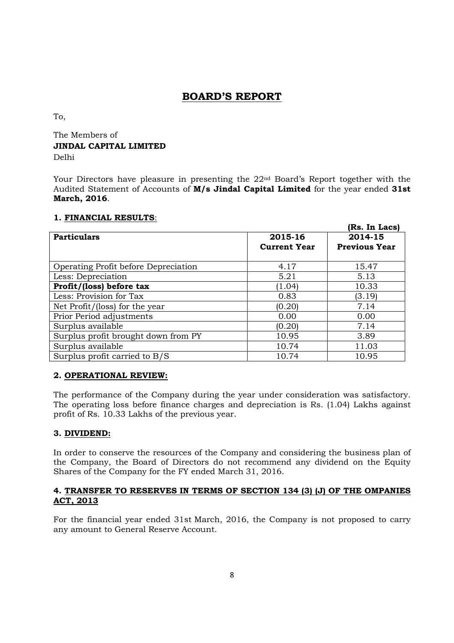## **BOARD'S REPORT**

To,

The Members of **JINDAL CAPITAL LIMITED**  Delhi

Your Directors have pleasure in presenting the 22<sup>nd</sup> Board's Report together with the Audited Statement of Accounts of **M/s Jindal Capital Limited** for the year ended **31st March, 2016**.

#### **1. FINANCIAL RESULTS**:

|                                      |                     | (Rs. In Lacs)        |
|--------------------------------------|---------------------|----------------------|
| <b>Particulars</b>                   | 2015-16             | 2014-15              |
|                                      | <b>Current Year</b> | <b>Previous Year</b> |
|                                      |                     |                      |
| Operating Profit before Depreciation | 4.17                | 15.47                |
| Less: Depreciation                   | 5.21                | 5.13                 |
| Profit/(loss) before tax             | (1.04)              | 10.33                |
| Less: Provision for Tax              | 0.83                | (3.19)               |
| Net Profit/(loss) for the year       | (0.20)              | 7.14                 |
| Prior Period adjustments             | 0.00                | 0.00                 |
| Surplus available                    | (0.20)              | 7.14                 |
| Surplus profit brought down from PY  | 10.95               | 3.89                 |
| Surplus available                    | 10.74               | 11.03                |
| Surplus profit carried to B/S        | 10.74               | 10.95                |

## **2. OPERATIONAL REVIEW:**

The performance of the Company during the year under consideration was satisfactory. The operating loss before finance charges and depreciation is Rs. (1.04) Lakhs against profit of Rs. 10.33 Lakhs of the previous year.

## **3. DIVIDEND:**

In order to conserve the resources of the Company and considering the business plan of the Company, the Board of Directors do not recommend any dividend on the Equity Shares of the Company for the FY ended March 31, 2016.

## **4. TRANSFER TO RESERVES IN TERMS OF SECTION 134 (3) (J) OF THE OMPANIES ACT, 2013**

For the financial year ended 31st March, 2016, the Company is not proposed to carry any amount to General Reserve Account.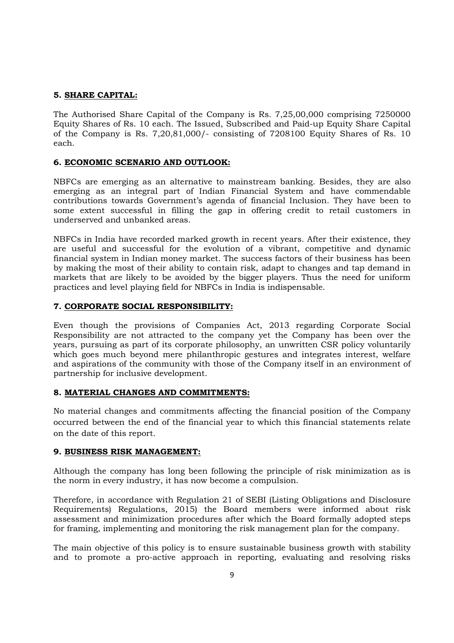#### **5. SHARE CAPITAL:**

The Authorised Share Capital of the Company is Rs. 7,25,00,000 comprising 7250000 Equity Shares of Rs. 10 each. The Issued, Subscribed and Paid-up Equity Share Capital of the Company is Rs. 7,20,81,000/- consisting of 7208100 Equity Shares of Rs. 10 each.

#### **6. ECONOMIC SCENARIO AND OUTLOOK:**

NBFCs are emerging as an alternative to mainstream banking. Besides, they are also emerging as an integral part of Indian Financial System and have commendable contributions towards Government's agenda of financial Inclusion. They have been to some extent successful in filling the gap in offering credit to retail customers in underserved and unbanked areas.

NBFCs in India have recorded marked growth in recent years. After their existence, they are useful and successful for the evolution of a vibrant, competitive and dynamic financial system in Indian money market. The success factors of their business has been by making the most of their ability to contain risk, adapt to changes and tap demand in markets that are likely to be avoided by the bigger players. Thus the need for uniform practices and level playing field for NBFCs in India is indispensable.

#### **7. CORPORATE SOCIAL RESPONSIBILITY:**

Even though the provisions of Companies Act, 2013 regarding Corporate Social Responsibility are not attracted to the company yet the Company has been over the years, pursuing as part of its corporate philosophy, an unwritten CSR policy voluntarily which goes much beyond mere philanthropic gestures and integrates interest, welfare and aspirations of the community with those of the Company itself in an environment of partnership for inclusive development.

#### **8. MATERIAL CHANGES AND COMMITMENTS:**

No material changes and commitments affecting the financial position of the Company occurred between the end of the financial year to which this financial statements relate on the date of this report.

#### **9. BUSINESS RISK MANAGEMENT:**

Although the company has long been following the principle of risk minimization as is the norm in every industry, it has now become a compulsion.

Therefore, in accordance with Regulation 21 of SEBI (Listing Obligations and Disclosure Requirements) Regulations, 2015) the Board members were informed about risk assessment and minimization procedures after which the Board formally adopted steps for framing, implementing and monitoring the risk management plan for the company.

The main objective of this policy is to ensure sustainable business growth with stability and to promote a pro-active approach in reporting, evaluating and resolving risks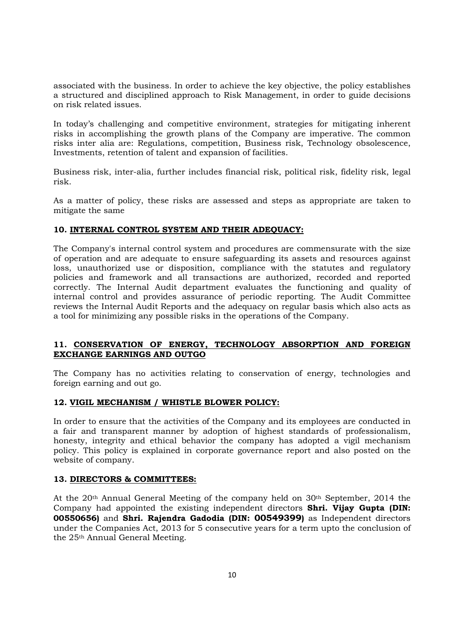associated with the business. In order to achieve the key objective, the policy establishes a structured and disciplined approach to Risk Management, in order to guide decisions on risk related issues.

In today's challenging and competitive environment, strategies for mitigating inherent risks in accomplishing the growth plans of the Company are imperative. The common risks inter alia are: Regulations, competition, Business risk, Technology obsolescence, Investments, retention of talent and expansion of facilities.

Business risk, inter-alia, further includes financial risk, political risk, fidelity risk, legal risk.

As a matter of policy, these risks are assessed and steps as appropriate are taken to mitigate the same

#### **10. INTERNAL CONTROL SYSTEM AND THEIR ADEQUACY:**

The Company's internal control system and procedures are commensurate with the size of operation and are adequate to ensure safeguarding its assets and resources against loss, unauthorized use or disposition, compliance with the statutes and regulatory policies and framework and all transactions are authorized, recorded and reported correctly. The Internal Audit department evaluates the functioning and quality of internal control and provides assurance of periodic reporting. The Audit Committee reviews the Internal Audit Reports and the adequacy on regular basis which also acts as a tool for minimizing any possible risks in the operations of the Company.

#### **11. CONSERVATION OF ENERGY, TECHNOLOGY ABSORPTION AND FOREIGN EXCHANGE EARNINGS AND OUTGO**

The Company has no activities relating to conservation of energy, technologies and foreign earning and out go.

#### **12. VIGIL MECHANISM / WHISTLE BLOWER POLICY:**

In order to ensure that the activities of the Company and its employees are conducted in a fair and transparent manner by adoption of highest standards of professionalism, honesty, integrity and ethical behavior the company has adopted a vigil mechanism policy. This policy is explained in corporate governance report and also posted on the website of company.

#### **13. DIRECTORS & COMMITTEES:**

At the 20th Annual General Meeting of the company held on 30th September, 2014 the Company had appointed the existing independent directors **Shri. Vijay Gupta (DIN: 00550656)** and **Shri. Rajendra Gadodia (DIN: 00549399)** as Independent directors under the Companies Act, 2013 for 5 consecutive years for a term upto the conclusion of the 25th Annual General Meeting.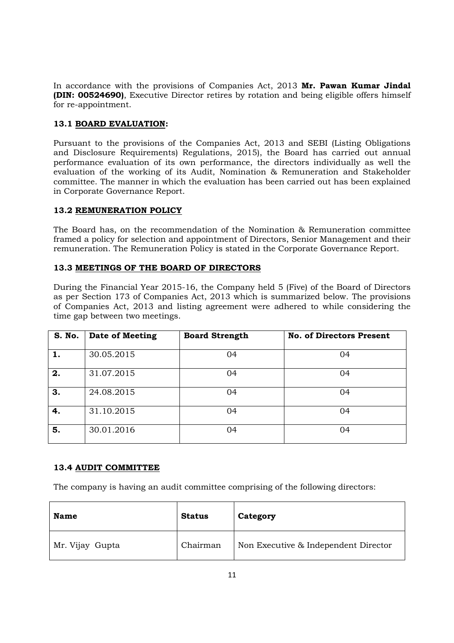In accordance with the provisions of Companies Act, 2013 **Mr. Pawan Kumar Jindal (DIN: 00524690)**, Executive Director retires by rotation and being eligible offers himself for re-appointment.

#### **13.1 BOARD EVALUATION:**

Pursuant to the provisions of the Companies Act, 2013 and SEBI (Listing Obligations and Disclosure Requirements) Regulations, 2015), the Board has carried out annual performance evaluation of its own performance, the directors individually as well the evaluation of the working of its Audit, Nomination & Remuneration and Stakeholder committee. The manner in which the evaluation has been carried out has been explained in Corporate Governance Report.

#### **13.2 REMUNERATION POLICY**

The Board has, on the recommendation of the Nomination & Remuneration committee framed a policy for selection and appointment of Directors, Senior Management and their remuneration. The Remuneration Policy is stated in the Corporate Governance Report.

#### **13.3 MEETINGS OF THE BOARD OF DIRECTORS**

During the Financial Year 2015-16, the Company held 5 (Five) of the Board of Directors as per Section 173 of Companies Act, 2013 which is summarized below. The provisions of Companies Act, 2013 and listing agreement were adhered to while considering the time gap between two meetings.

| S. No. | Date of Meeting | <b>Board Strength</b> | <b>No. of Directors Present</b> |
|--------|-----------------|-----------------------|---------------------------------|
| 1.     | 30.05.2015      | 04                    | 04                              |
| 2.     | 31.07.2015      | 04                    | 04                              |
| 3.     | 24.08.2015      | 04                    | 04                              |
| 4.     | 31.10.2015      | 04                    | 04                              |
| 5.     | 30.01.2016      | 04                    | 04                              |

#### **13.4 AUDIT COMMITTEE**

The company is having an audit committee comprising of the following directors:

| <b>Name</b>     | <b>Status</b> | Category                             |
|-----------------|---------------|--------------------------------------|
| Mr. Vijay Gupta | Chairman      | Non Executive & Independent Director |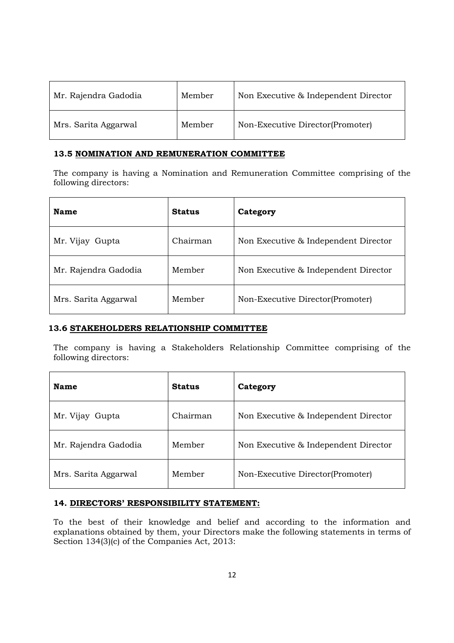| Mr. Rajendra Gadodia | Member | Non Executive & Independent Director |
|----------------------|--------|--------------------------------------|
| Mrs. Sarita Aggarwal | Member | Non-Executive Director(Promoter)     |

#### **13.5 NOMINATION AND REMUNERATION COMMITTEE**

The company is having a Nomination and Remuneration Committee comprising of the following directors:

| Name                 | <b>Status</b> | Category                             |
|----------------------|---------------|--------------------------------------|
| Mr. Vijay Gupta      | Chairman      | Non Executive & Independent Director |
| Mr. Rajendra Gadodia | Member        | Non Executive & Independent Director |
| Mrs. Sarita Aggarwal | Member        | Non-Executive Director(Promoter)     |

## **13.6 STAKEHOLDERS RELATIONSHIP COMMITTEE**

The company is having a Stakeholders Relationship Committee comprising of the following directors:

| <b>Name</b>          | <b>Status</b> | Category                             |
|----------------------|---------------|--------------------------------------|
| Mr. Vijay<br>Gupta   | Chairman      | Non Executive & Independent Director |
| Mr. Rajendra Gadodia | Member        | Non Executive & Independent Director |
| Mrs. Sarita Aggarwal | Member        | Non-Executive Director(Promoter)     |

#### **14. DIRECTORS' RESPONSIBILITY STATEMENT:**

To the best of their knowledge and belief and according to the information and explanations obtained by them, your Directors make the following statements in terms of Section 134(3)(c) of the Companies Act, 2013: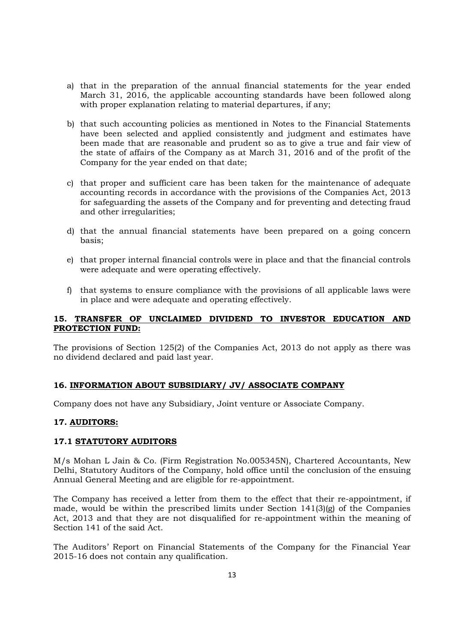- a) that in the preparation of the annual financial statements for the year ended March 31, 2016, the applicable accounting standards have been followed along with proper explanation relating to material departures, if any;
- b) that such accounting policies as mentioned in Notes to the Financial Statements have been selected and applied consistently and judgment and estimates have been made that are reasonable and prudent so as to give a true and fair view of the state of affairs of the Company as at March 31, 2016 and of the profit of the Company for the year ended on that date;
- c) that proper and sufficient care has been taken for the maintenance of adequate accounting records in accordance with the provisions of the Companies Act, 2013 for safeguarding the assets of the Company and for preventing and detecting fraud and other irregularities;
- d) that the annual financial statements have been prepared on a going concern basis;
- e) that proper internal financial controls were in place and that the financial controls were adequate and were operating effectively.
- f) that systems to ensure compliance with the provisions of all applicable laws were in place and were adequate and operating effectively.

## **15. TRANSFER OF UNCLAIMED DIVIDEND TO INVESTOR EDUCATION AND PROTECTION FUND:**

The provisions of Section 125(2) of the Companies Act, 2013 do not apply as there was no dividend declared and paid last year.

## **16. INFORMATION ABOUT SUBSIDIARY/ JV/ ASSOCIATE COMPANY**

Company does not have any Subsidiary, Joint venture or Associate Company.

#### **17. AUDITORS:**

#### **17.1 STATUTORY AUDITORS**

M/s Mohan L Jain & Co. (Firm Registration No.005345N), Chartered Accountants, New Delhi, Statutory Auditors of the Company, hold office until the conclusion of the ensuing Annual General Meeting and are eligible for re-appointment.

The Company has received a letter from them to the effect that their re-appointment, if made, would be within the prescribed limits under Section 141(3)(g) of the Companies Act, 2013 and that they are not disqualified for re-appointment within the meaning of Section 141 of the said Act.

The Auditors' Report on Financial Statements of the Company for the Financial Year 2015-16 does not contain any qualification.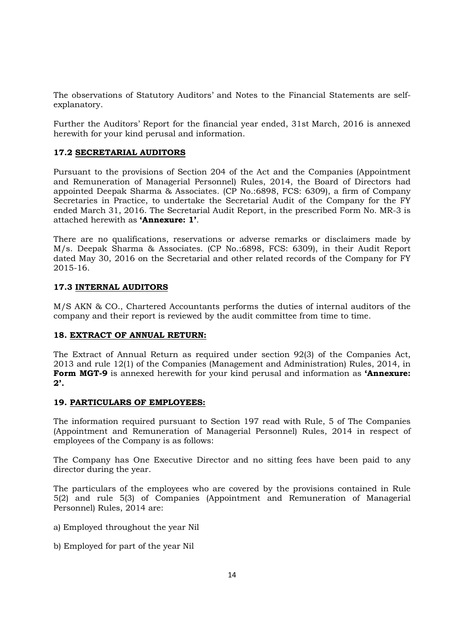The observations of Statutory Auditors' and Notes to the Financial Statements are selfexplanatory.

Further the Auditors' Report for the financial year ended, 31st March, 2016 is annexed herewith for your kind perusal and information.

#### **17.2 SECRETARIAL AUDITORS**

Pursuant to the provisions of Section 204 of the Act and the Companies (Appointment and Remuneration of Managerial Personnel) Rules, 2014, the Board of Directors had appointed Deepak Sharma & Associates. (CP No.:6898, FCS: 6309), a firm of Company Secretaries in Practice, to undertake the Secretarial Audit of the Company for the FY ended March 31, 2016. The Secretarial Audit Report, in the prescribed Form No. MR-3 is attached herewith as **'Annexure: 1'**.

There are no qualifications, reservations or adverse remarks or disclaimers made by M/s. Deepak Sharma & Associates. (CP No.:6898, FCS: 6309), in their Audit Report dated May 30, 2016 on the Secretarial and other related records of the Company for FY 2015-16.

#### **17.3 INTERNAL AUDITORS**

M/S AKN & CO., Chartered Accountants performs the duties of internal auditors of the company and their report is reviewed by the audit committee from time to time.

#### **18. EXTRACT OF ANNUAL RETURN:**

The Extract of Annual Return as required under section 92(3) of the Companies Act, 2013 and rule 12(1) of the Companies (Management and Administration) Rules, 2014, in **Form MGT-9** is annexed herewith for your kind perusal and information as **'Annexure: 2'.** 

#### **19. PARTICULARS OF EMPLOYEES:**

The information required pursuant to Section 197 read with Rule, 5 of The Companies (Appointment and Remuneration of Managerial Personnel) Rules, 2014 in respect of employees of the Company is as follows:

The Company has One Executive Director and no sitting fees have been paid to any director during the year.

The particulars of the employees who are covered by the provisions contained in Rule 5(2) and rule 5(3) of Companies (Appointment and Remuneration of Managerial Personnel) Rules, 2014 are:

- a) Employed throughout the year Nil
- b) Employed for part of the year Nil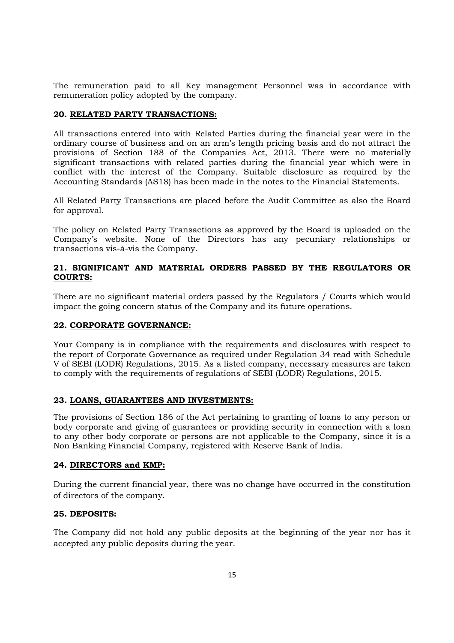The remuneration paid to all Key management Personnel was in accordance with remuneration policy adopted by the company.

#### **20. RELATED PARTY TRANSACTIONS:**

All transactions entered into with Related Parties during the financial year were in the ordinary course of business and on an arm's length pricing basis and do not attract the provisions of Section 188 of the Companies Act, 2013. There were no materially significant transactions with related parties during the financial year which were in conflict with the interest of the Company. Suitable disclosure as required by the Accounting Standards (AS18) has been made in the notes to the Financial Statements.

All Related Party Transactions are placed before the Audit Committee as also the Board for approval.

The policy on Related Party Transactions as approved by the Board is uploaded on the Company's website. None of the Directors has any pecuniary relationships or transactions vis-à-vis the Company.

#### **21. SIGNIFICANT AND MATERIAL ORDERS PASSED BY THE REGULATORS OR COURTS:**

There are no significant material orders passed by the Regulators / Courts which would impact the going concern status of the Company and its future operations.

#### **22. CORPORATE GOVERNANCE:**

Your Company is in compliance with the requirements and disclosures with respect to the report of Corporate Governance as required under Regulation 34 read with Schedule V of SEBI (LODR) Regulations, 2015. As a listed company, necessary measures are taken to comply with the requirements of regulations of SEBI (LODR) Regulations, 2015.

#### **23. LOANS, GUARANTEES AND INVESTMENTS:**

The provisions of Section 186 of the Act pertaining to granting of loans to any person or body corporate and giving of guarantees or providing security in connection with a loan to any other body corporate or persons are not applicable to the Company, since it is a Non Banking Financial Company, registered with Reserve Bank of India.

#### **24. DIRECTORS and KMP:**

During the current financial year, there was no change have occurred in the constitution of directors of the company.

#### **25. DEPOSITS:**

The Company did not hold any public deposits at the beginning of the year nor has it accepted any public deposits during the year.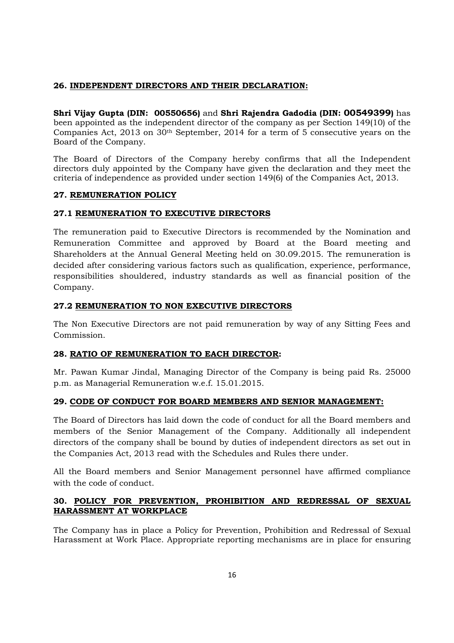## **26. INDEPENDENT DIRECTORS AND THEIR DECLARATION:**

**Shri Vijay Gupta (DIN: 00550656)** and **Shri Rajendra Gadodia (DIN: 00549399)** has been appointed as the independent director of the company as per Section 149(10) of the Companies Act, 2013 on 30th September, 2014 for a term of 5 consecutive years on the Board of the Company.

The Board of Directors of the Company hereby confirms that all the Independent directors duly appointed by the Company have given the declaration and they meet the criteria of independence as provided under section 149(6) of the Companies Act, 2013.

#### **27. REMUNERATION POLICY**

#### **27.1 REMUNERATION TO EXECUTIVE DIRECTORS**

The remuneration paid to Executive Directors is recommended by the Nomination and Remuneration Committee and approved by Board at the Board meeting and Shareholders at the Annual General Meeting held on 30.09.2015. The remuneration is decided after considering various factors such as qualification, experience, performance, responsibilities shouldered, industry standards as well as financial position of the Company.

#### **27.2 REMUNERATION TO NON EXECUTIVE DIRECTORS**

The Non Executive Directors are not paid remuneration by way of any Sitting Fees and Commission.

## **28. RATIO OF REMUNERATION TO EACH DIRECTOR:**

Mr. Pawan Kumar Jindal, Managing Director of the Company is being paid Rs. 25000 p.m. as Managerial Remuneration w.e.f. 15.01.2015.

#### **29. CODE OF CONDUCT FOR BOARD MEMBERS AND SENIOR MANAGEMENT:**

The Board of Directors has laid down the code of conduct for all the Board members and members of the Senior Management of the Company. Additionally all independent directors of the company shall be bound by duties of independent directors as set out in the Companies Act, 2013 read with the Schedules and Rules there under.

All the Board members and Senior Management personnel have affirmed compliance with the code of conduct.

#### **30. POLICY FOR PREVENTION, PROHIBITION AND REDRESSAL OF SEXUAL HARASSMENT AT WORKPLACE**

The Company has in place a Policy for Prevention, Prohibition and Redressal of Sexual Harassment at Work Place. Appropriate reporting mechanisms are in place for ensuring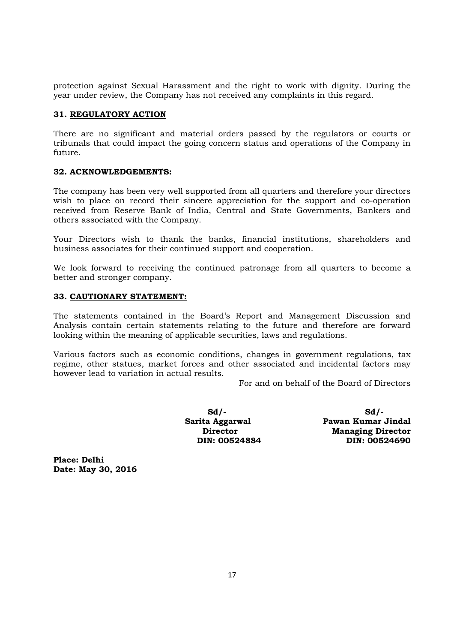protection against Sexual Harassment and the right to work with dignity. During the year under review, the Company has not received any complaints in this regard.

#### **31. REGULATORY ACTION**

There are no significant and material orders passed by the regulators or courts or tribunals that could impact the going concern status and operations of the Company in future.

#### **32. ACKNOWLEDGEMENTS:**

The company has been very well supported from all quarters and therefore your directors wish to place on record their sincere appreciation for the support and co-operation received from Reserve Bank of India, Central and State Governments, Bankers and others associated with the Company.

Your Directors wish to thank the banks, financial institutions, shareholders and business associates for their continued support and cooperation.

We look forward to receiving the continued patronage from all quarters to become a better and stronger company.

#### **33. CAUTIONARY STATEMENT:**

The statements contained in the Board's Report and Management Discussion and Analysis contain certain statements relating to the future and therefore are forward looking within the meaning of applicable securities, laws and regulations.

Various factors such as economic conditions, changes in government regulations, tax regime, other statues, market forces and other associated and incidental factors may however lead to variation in actual results.

For and on behalf of the Board of Directors

**Sd/- Sd/-**

 **Sarita Aggarwal Pawan Kumar Jindal Director Managing Director DIN: 00524884 DIN: 00524690** 

**Place: Delhi Date: May 30, 2016**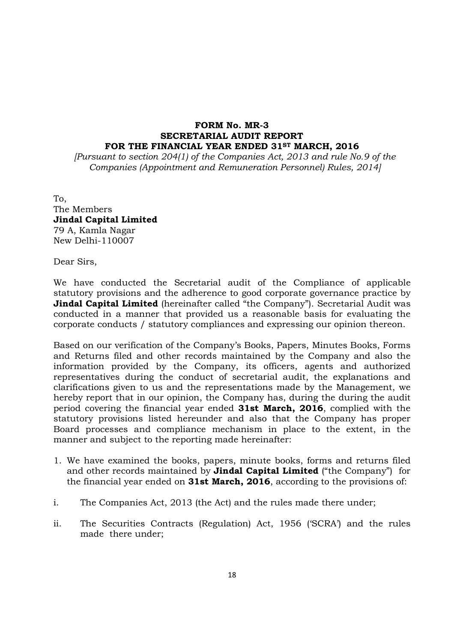## **FORM No. MR-3 SECRETARIAL AUDIT REPORT FOR THE FINANCIAL YEAR ENDED 31ST MARCH, 2016**

*[Pursuant to section 204(1) of the Companies Act, 2013 and rule No.9 of the Companies (Appointment and Remuneration Personnel) Rules, 2014]* 

To, The Members **Jindal Capital Limited**  79 A, Kamla Nagar New Delhi-110007

Dear Sirs,

We have conducted the Secretarial audit of the Compliance of applicable statutory provisions and the adherence to good corporate governance practice by **Jindal Capital Limited** (hereinafter called "the Company"). Secretarial Audit was conducted in a manner that provided us a reasonable basis for evaluating the corporate conducts / statutory compliances and expressing our opinion thereon.

Based on our verification of the Company's Books, Papers, Minutes Books, Forms and Returns filed and other records maintained by the Company and also the information provided by the Company, its officers, agents and authorized representatives during the conduct of secretarial audit, the explanations and clarifications given to us and the representations made by the Management, we hereby report that in our opinion, the Company has, during the during the audit period covering the financial year ended **31st March, 2016**, complied with the statutory provisions listed hereunder and also that the Company has proper Board processes and compliance mechanism in place to the extent, in the manner and subject to the reporting made hereinafter:

- 1. We have examined the books, papers, minute books, forms and returns filed and other records maintained by **Jindal Capital Limited** ("the Company") for the financial year ended on **31st March, 2016**, according to the provisions of:
- i. The Companies Act, 2013 (the Act) and the rules made there under;
- ii. The Securities Contracts (Regulation) Act, 1956 ('SCRA') and the rules made there under;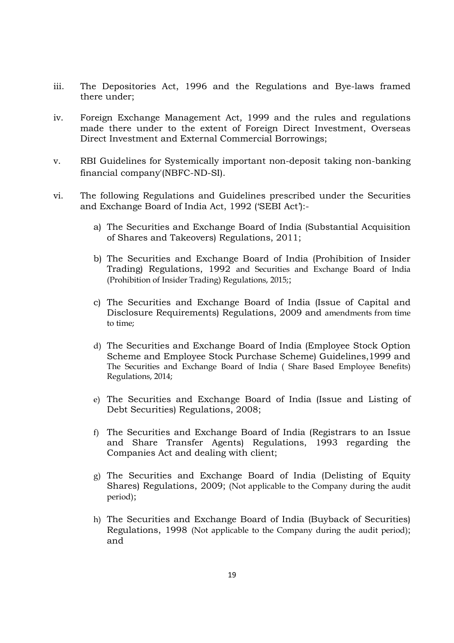- iii. The Depositories Act, 1996 and the Regulations and Bye-laws framed there under;
- iv. Foreign Exchange Management Act, 1999 and the rules and regulations made there under to the extent of Foreign Direct Investment, Overseas Direct Investment and External Commercial Borrowings;
- v. RBI Guidelines for Systemically important non-deposit taking non-banking financial company'(NBFC-ND-SI).
- vi. The following Regulations and Guidelines prescribed under the Securities and Exchange Board of India Act, 1992 ('SEBI Act'):
	- a) The Securities and Exchange Board of India (Substantial Acquisition of Shares and Takeovers) Regulations, 2011;
	- b) The Securities and Exchange Board of India (Prohibition of Insider Trading) Regulations, 1992 and Securities and Exchange Board of India (Prohibition of Insider Trading) Regulations, 2015;;
	- c) The Securities and Exchange Board of India (Issue of Capital and Disclosure Requirements) Regulations, 2009 and amendments from time to time;
	- d) The Securities and Exchange Board of India (Employee Stock Option Scheme and Employee Stock Purchase Scheme) Guidelines,1999 and The Securities and Exchange Board of India ( Share Based Employee Benefits) Regulations, 2014;
	- e) The Securities and Exchange Board of India (Issue and Listing of Debt Securities) Regulations, 2008;
	- f) The Securities and Exchange Board of India (Registrars to an Issue and Share Transfer Agents) Regulations, 1993 regarding the Companies Act and dealing with client;
	- g) The Securities and Exchange Board of India (Delisting of Equity Shares) Regulations, 2009; (Not applicable to the Company during the audit period);
	- h) The Securities and Exchange Board of India (Buyback of Securities) Regulations, 1998 (Not applicable to the Company during the audit period); and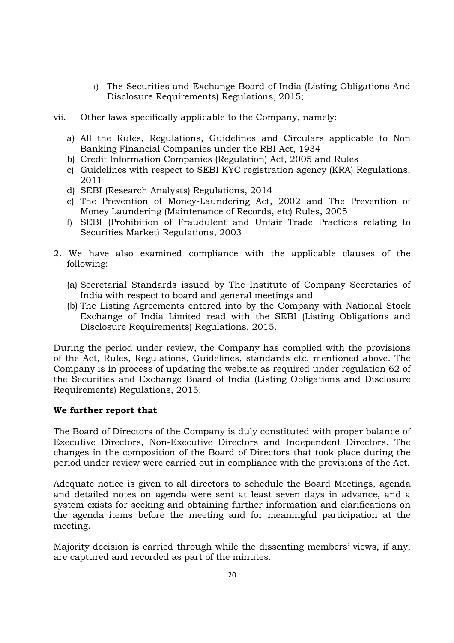- i) The Securities and Exchange Board of India (Listing Obligations And Disclosure Requirements) Regulations, 2015;
- vii. Other laws specifically applicable to the Company, namely:
	- a) All the Rules, Regulations, Guidelines and Circulars applicable to Non Banking Financial Companies under the RBI Act, 1934
	- b) Credit Information Companies (Regulation) Act, 2005 and Rules
	- c) Guidelines with respect to SEBI KYC registration agency (KRA) Regulations, 2011
	- d) SEBI (Research Analysts) Regulations, 2014
	- e) The Prevention of Money-Laundering Act, 2002 and The Prevention of Money Laundering (Maintenance of Records, etc) Rules, 2005
	- f) SEBI (Prohibition of Fraudulent and Unfair Trade Practices relating to Securities Market) Regulations, 2003
- 2. We have also examined compliance with the applicable clauses of the following:
	- (a) Secretarial Standards issued by The Institute of Company Secretaries of India with respect to board and general meetings and
	- (b) The Listing Agreements entered into by the Company with National Stock Exchange of India Limited read with the SEBI (Listing Obligations and Disclosure Requirements) Regulations, 2015.

During the period under review, the Company has complied with the provisions of the Act, Rules, Regulations, Guidelines, standards etc. mentioned above. The Company is in process of updating the website as required under regulation 62 of the Securities and Exchange Board of India (Listing Obligations and Disclosure Requirements) Regulations, 2015.

## **We further report that**

The Board of Directors of the Company is duly constituted with proper balance of Executive Directors, Non-Executive Directors and Independent Directors. The changes in the composition of the Board of Directors that took place during the period under review were carried out in compliance with the provisions of the Act.

Adequate notice is given to all directors to schedule the Board Meetings, agenda and detailed notes on agenda were sent at least seven days in advance, and a system exists for seeking and obtaining further information and clarifications on the agenda items before the meeting and for meaningful participation at the meeting.

Majority decision is carried through while the dissenting members' views, if any, are captured and recorded as part of the minutes.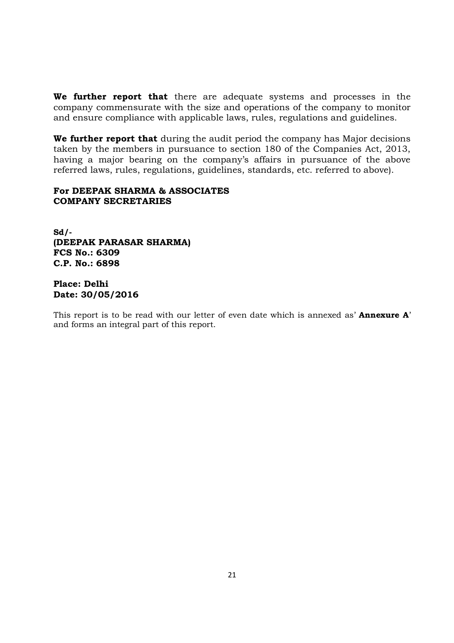**We further report that** there are adequate systems and processes in the company commensurate with the size and operations of the company to monitor and ensure compliance with applicable laws, rules, regulations and guidelines.

**We further report that** during the audit period the company has Major decisions taken by the members in pursuance to section 180 of the Companies Act, 2013, having a major bearing on the company's affairs in pursuance of the above referred laws, rules, regulations, guidelines, standards, etc. referred to above).

## **For DEEPAK SHARMA & ASSOCIATES COMPANY SECRETARIES**

**Sd/- (DEEPAK PARASAR SHARMA) FCS No.: 6309 C.P. No.: 6898** 

## **Place: Delhi Date: 30/05/2016**

This report is to be read with our letter of even date which is annexed as' **Annexure A**' and forms an integral part of this report.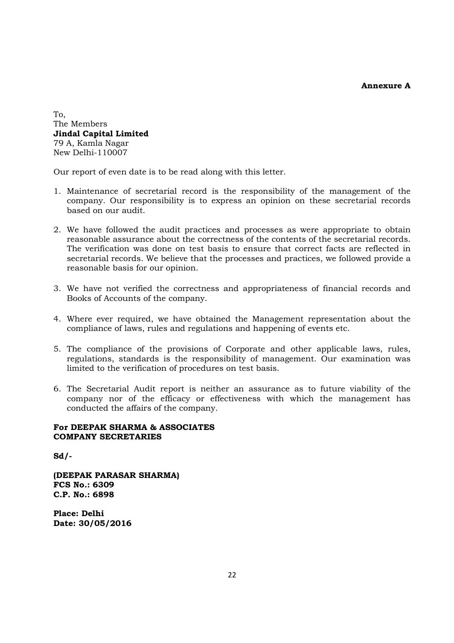**Annexure A** 

To, The Members **Jindal Capital Limited**  79 A, Kamla Nagar New Delhi-110007

Our report of even date is to be read along with this letter.

- 1. Maintenance of secretarial record is the responsibility of the management of the company. Our responsibility is to express an opinion on these secretarial records based on our audit.
- 2. We have followed the audit practices and processes as were appropriate to obtain reasonable assurance about the correctness of the contents of the secretarial records. The verification was done on test basis to ensure that correct facts are reflected in secretarial records. We believe that the processes and practices, we followed provide a reasonable basis for our opinion.
- 3. We have not verified the correctness and appropriateness of financial records and Books of Accounts of the company.
- 4. Where ever required, we have obtained the Management representation about the compliance of laws, rules and regulations and happening of events etc.
- 5. The compliance of the provisions of Corporate and other applicable laws, rules, regulations, standards is the responsibility of management. Our examination was limited to the verification of procedures on test basis.
- 6. The Secretarial Audit report is neither an assurance as to future viability of the company nor of the efficacy or effectiveness with which the management has conducted the affairs of the company.

#### **For DEEPAK SHARMA & ASSOCIATES COMPANY SECRETARIES**

**Sd/-** 

**(DEEPAK PARASAR SHARMA) FCS No.: 6309 C.P. No.: 6898** 

**Place: Delhi Date: 30/05/2016**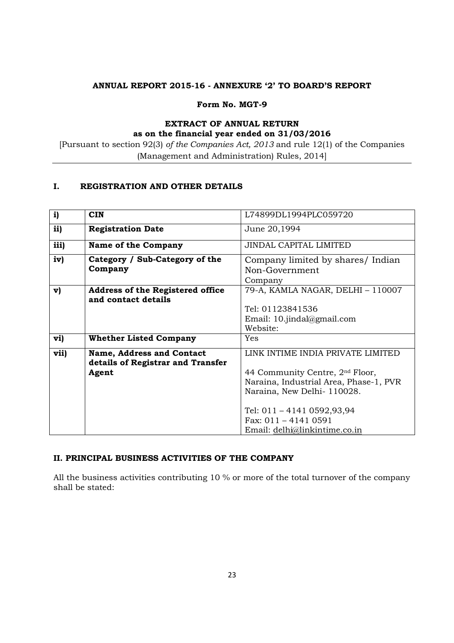#### **ANNUAL REPORT 2015-16 - ANNEXURE '2' TO BOARD'S REPORT**

**Form No. MGT-9** 

## **EXTRACT OF ANNUAL RETURN as on the financial year ended on 31/03/2016**

[Pursuant to section 92(3) *of the Companies Act, 2013* and rule 12(1) of the Companies (Management and Administration) Rules, 2014]

#### **I. REGISTRATION AND OTHER DETAILS**

| i)   | <b>CIN</b>                                                                     | L74899DL1994PLC059720                                                                                                                                                                                                                             |  |
|------|--------------------------------------------------------------------------------|---------------------------------------------------------------------------------------------------------------------------------------------------------------------------------------------------------------------------------------------------|--|
| ii)  | <b>Registration Date</b>                                                       | June 20,1994                                                                                                                                                                                                                                      |  |
| iii) | <b>Name of the Company</b>                                                     | <b>JINDAL CAPITAL LIMITED</b>                                                                                                                                                                                                                     |  |
| iv)  | Category / Sub-Category of the<br>Company                                      | Company limited by shares/ Indian<br>Non-Government<br>Company                                                                                                                                                                                    |  |
| v)   | <b>Address of the Registered office</b><br>and contact details                 | 79-A, KAMLA NAGAR, DELHI - 110007<br>Tel: 01123841536<br>Email: 10.jindal@gmail.com<br>Website:                                                                                                                                                   |  |
| vi)  | <b>Whether Listed Company</b>                                                  | Yes                                                                                                                                                                                                                                               |  |
| vii) | <b>Name, Address and Contact</b><br>details of Registrar and Transfer<br>Agent | LINK INTIME INDIA PRIVATE LIMITED<br>44 Community Centre, 2 <sup>nd</sup> Floor,<br>Naraina, Industrial Area, Phase-1, PVR<br>Naraina, New Delhi- 110028.<br>Tel: 011 - 4141 0592,93,94<br>Fax: $011 - 41410591$<br>Email: delhi@linkintime.co.in |  |

## **II. PRINCIPAL BUSINESS ACTIVITIES OF THE COMPANY**

All the business activities contributing 10 % or more of the total turnover of the company shall be stated: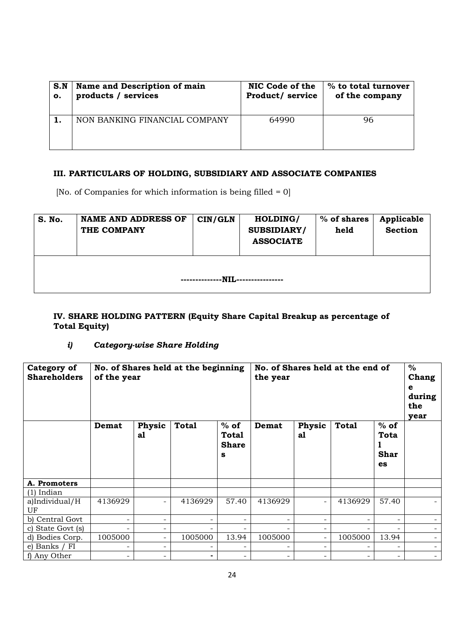| S.N            | Name and Description of main  | NIC Code of the  | % to total turnover |
|----------------|-------------------------------|------------------|---------------------|
| $\mathbf{o}$ . | products / services           | Product/ service | of the company      |
|                | NON BANKING FINANCIAL COMPANY | 64990            | 96                  |

## **III. PARTICULARS OF HOLDING, SUBSIDIARY AND ASSOCIATE COMPANIES**

[No. of Companies for which information is being filled = 0]

| S. No.                 | <b>NAME AND ADDRESS OF</b><br>THE COMPANY | CIN/GLN | HOLDING/<br><b>SUBSIDIARY/</b><br><b>ASSOCIATE</b> | % of shares<br>held | Applicable<br><b>Section</b> |  |  |  |
|------------------------|-------------------------------------------|---------|----------------------------------------------------|---------------------|------------------------------|--|--|--|
| --NIL----------------- |                                           |         |                                                    |                     |                              |  |  |  |

#### **IV. SHARE HOLDING PATTERN (Equity Share Capital Breakup as percentage of Total Equity)**

## *i) Category-wise Share Holding*

| Category of<br><b>Shareholders</b> | of the year<br>Demat | Physic<br>al             | No. of Shares held at the beginning<br><b>Total</b> | $%$ of<br>Total<br><b>Share</b><br>s | the year<br>Demat | Physic<br>al             | No. of Shares held at the end of<br><b>Total</b> | $%$ of<br>Tota<br><b>Shar</b><br>es | $\%$<br>Chang<br>e<br>during<br>the<br>year |
|------------------------------------|----------------------|--------------------------|-----------------------------------------------------|--------------------------------------|-------------------|--------------------------|--------------------------------------------------|-------------------------------------|---------------------------------------------|
| A. Promoters                       |                      |                          |                                                     |                                      |                   |                          |                                                  |                                     |                                             |
| (1) Indian                         |                      |                          |                                                     |                                      |                   |                          |                                                  |                                     |                                             |
| a)Individual/H<br>UF               | 4136929              | $\overline{\phantom{0}}$ | 4136929                                             | 57.40                                | 4136929           | $\overline{\phantom{0}}$ | 4136929                                          | 57.40                               |                                             |
| Central Govt<br>b)                 |                      | -                        |                                                     |                                      |                   | $\overline{\phantom{a}}$ |                                                  | $\qquad \qquad -$                   |                                             |
| State Govt (s)<br>C)               |                      | $\overline{\phantom{0}}$ |                                                     |                                      |                   | $\overline{\phantom{0}}$ |                                                  |                                     |                                             |
| Bodies Corp.<br>d)                 | 1005000              | $\overline{\phantom{a}}$ | 1005000                                             | 13.94                                | 1005000           | $\overline{\phantom{a}}$ | 1005000                                          | 13.94                               |                                             |
| e) Banks / FI                      |                      | $\qquad \qquad$          |                                                     |                                      |                   | $\overline{\phantom{0}}$ |                                                  |                                     |                                             |
| f) Any Other                       |                      |                          |                                                     |                                      |                   | $\overline{\phantom{0}}$ |                                                  |                                     |                                             |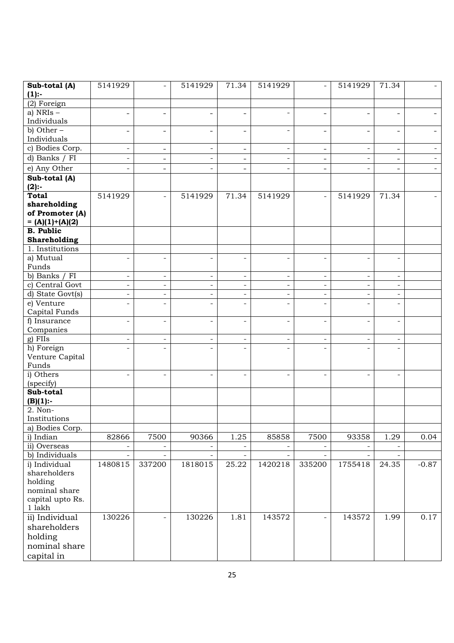| Sub-total (A)            | 5141929                  | $\overline{\phantom{0}}$ | 5141929                  | 71.34                    | 5141929                  | $\overline{\phantom{a}}$ | 5141929                  | 71.34                    |                          |
|--------------------------|--------------------------|--------------------------|--------------------------|--------------------------|--------------------------|--------------------------|--------------------------|--------------------------|--------------------------|
| $(1)$ :-                 |                          |                          |                          |                          |                          |                          |                          |                          |                          |
| $(2)$ Foreign            |                          |                          |                          |                          |                          |                          |                          |                          |                          |
| a) $NRIs -$              | $\overline{\phantom{0}}$ | -                        |                          |                          | $\overline{\phantom{a}}$ |                          |                          | $\overline{\phantom{0}}$ |                          |
| Individuals              |                          |                          |                          |                          |                          |                          |                          |                          |                          |
| b) Other $-$             | ۰                        | ۳                        |                          |                          |                          |                          |                          |                          |                          |
| Individuals              |                          |                          |                          |                          |                          |                          |                          |                          |                          |
| c) Bodies Corp.          | $\overline{\phantom{a}}$ | $\overline{\phantom{a}}$ | $\overline{\phantom{a}}$ | $\blacksquare$           | $\overline{\phantom{a}}$ | $\overline{\phantom{a}}$ |                          | $\overline{\phantom{a}}$ |                          |
| d) Banks / FI            | $\overline{\phantom{a}}$ | Ξ.                       |                          |                          |                          |                          |                          | $\overline{\phantom{a}}$ |                          |
| e) Any Other             | $\overline{\phantom{a}}$ | -                        |                          |                          |                          | -                        |                          |                          | $\overline{\phantom{0}}$ |
| Sub-total (A)            |                          |                          |                          |                          |                          |                          |                          |                          |                          |
| $(2)$ :-                 |                          |                          |                          |                          |                          |                          |                          |                          |                          |
| <b>Total</b>             | 5141929                  | $\overline{\phantom{0}}$ | 5141929                  | 71.34                    | 5141929                  | $\overline{\phantom{a}}$ | 5141929                  | 71.34                    |                          |
| shareholding             |                          |                          |                          |                          |                          |                          |                          |                          |                          |
| of Promoter (A)          |                          |                          |                          |                          |                          |                          |                          |                          |                          |
| $= (A)(1)+(A)(2)$        |                          |                          |                          |                          |                          |                          |                          |                          |                          |
| <b>B.</b> Public         |                          |                          |                          |                          |                          |                          |                          |                          |                          |
| Shareholding             |                          |                          |                          |                          |                          |                          |                          |                          |                          |
| 1. Institutions          |                          |                          |                          |                          |                          |                          |                          |                          |                          |
| a) Mutual                | $\overline{\phantom{a}}$ | $\overline{a}$           |                          |                          |                          | $\overline{a}$           |                          |                          |                          |
| Funds                    |                          |                          |                          |                          |                          |                          |                          |                          |                          |
| b) Banks / FI            | $\overline{\phantom{a}}$ | $\overline{\phantom{0}}$ | $\overline{\phantom{a}}$ | $\overline{\phantom{0}}$ | $\overline{\phantom{a}}$ | $\qquad \qquad -$        | $\overline{\phantom{0}}$ |                          |                          |
| c) Central Govt          | $\overline{\phantom{a}}$ | $\overline{\phantom{0}}$ |                          |                          |                          | $\overline{\phantom{a}}$ |                          |                          |                          |
| d) State Govt(s)         | $\overline{\phantom{a}}$ | $\overline{\phantom{0}}$ |                          |                          |                          | $\overline{\phantom{a}}$ |                          |                          |                          |
| e) Venture               | $\overline{\phantom{a}}$ |                          |                          |                          |                          | $\overline{\phantom{0}}$ |                          |                          |                          |
| Capital Funds            |                          |                          |                          |                          |                          |                          |                          |                          |                          |
| f) Insurance             | $\overline{\phantom{a}}$ | $\overline{a}$           | $\overline{\phantom{a}}$ | $\overline{a}$           | $\overline{\phantom{a}}$ | $\overline{\phantom{a}}$ | $\overline{\phantom{0}}$ | $\overline{\phantom{a}}$ |                          |
| Companies<br>$g)$ FIIs   | $\overline{\phantom{a}}$ | $\overline{\phantom{a}}$ | $\overline{\phantom{a}}$ | $\overline{\phantom{a}}$ | $\overline{\phantom{a}}$ | $\overline{\phantom{a}}$ | $\overline{\phantom{a}}$ | $\overline{\phantom{a}}$ |                          |
| h) Foreign               | $\overline{\phantom{a}}$ |                          |                          |                          |                          |                          |                          |                          |                          |
| Venture Capital          |                          |                          |                          |                          |                          |                          |                          |                          |                          |
| Funds                    |                          |                          |                          |                          |                          |                          |                          |                          |                          |
| i) Others                | $\overline{\phantom{a}}$ | $\overline{\phantom{0}}$ | $\overline{\phantom{a}}$ | $\overline{\phantom{0}}$ | $\overline{\phantom{a}}$ | $\overline{\phantom{a}}$ | $\overline{a}$           | $\overline{\phantom{a}}$ |                          |
| (specify)                |                          |                          |                          |                          |                          |                          |                          |                          |                          |
| Sub-total                |                          |                          |                          |                          |                          |                          |                          |                          |                          |
| $(B)(1)$ :-              |                          |                          |                          |                          |                          |                          |                          |                          |                          |
| 2. Non-                  |                          |                          |                          |                          |                          |                          |                          |                          |                          |
| Institutions             |                          |                          |                          |                          |                          |                          |                          |                          |                          |
| a) Bodies Corp.          |                          |                          |                          |                          |                          |                          |                          |                          |                          |
| i) Indian                | 82866                    | 7500                     | 90366                    | 1.25                     | 85858                    | 7500                     | 93358                    | 1.29                     | 0.04                     |
| $\overline{ii}$ Overseas |                          |                          |                          |                          |                          |                          |                          |                          |                          |
| b) Individuals           |                          |                          |                          |                          |                          |                          |                          |                          |                          |
| i) Individual            | 1480815                  | 337200                   | 1818015                  | 25.22                    | 1420218                  | 335200                   | 1755418                  | 24.35                    | $-0.87$                  |
| shareholders             |                          |                          |                          |                          |                          |                          |                          |                          |                          |
| holding                  |                          |                          |                          |                          |                          |                          |                          |                          |                          |
| nominal share            |                          |                          |                          |                          |                          |                          |                          |                          |                          |
| capital upto Rs.         |                          |                          |                          |                          |                          |                          |                          |                          |                          |
| 1 lakh                   |                          |                          |                          |                          |                          |                          |                          |                          |                          |
| ii) Individual           | 130226                   | $\qquad \qquad -$        | 130226                   | 1.81                     | 143572                   | $\overline{\phantom{a}}$ | 143572                   | 1.99                     | 0.17                     |
| shareholders             |                          |                          |                          |                          |                          |                          |                          |                          |                          |
| holding                  |                          |                          |                          |                          |                          |                          |                          |                          |                          |
| nominal share            |                          |                          |                          |                          |                          |                          |                          |                          |                          |
| capital in               |                          |                          |                          |                          |                          |                          |                          |                          |                          |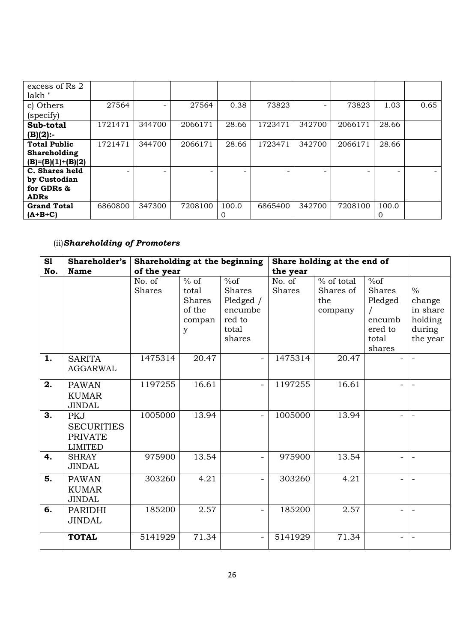| excess of Rs 2      |         |                          |         |       |         |                 |         |                 |      |
|---------------------|---------|--------------------------|---------|-------|---------|-----------------|---------|-----------------|------|
| lakh "              |         |                          |         |       |         |                 |         |                 |      |
| c) Others           | 27564   | $\overline{\phantom{0}}$ | 27564   | 0.38  | 73823   | $\qquad \qquad$ | 73823   | 1.03            | 0.65 |
| (specify)           |         |                          |         |       |         |                 |         |                 |      |
| Sub-total           | 1721471 | 344700                   | 2066171 | 28.66 | 1723471 | 342700          | 2066171 | 28.66           |      |
| $(B)(2)$ :-         |         |                          |         |       |         |                 |         |                 |      |
| <b>Total Public</b> | 1721471 | 344700                   | 2066171 | 28.66 | 1723471 | 342700          | 2066171 | 28.66           |      |
| Shareholding        |         |                          |         |       |         |                 |         |                 |      |
| $(B)=(B)(1)+(B)(2)$ |         |                          |         |       |         |                 |         |                 |      |
| C. Shares held      |         | $\qquad \qquad$          |         |       |         |                 |         | $\qquad \qquad$ |      |
| by Custodian        |         |                          |         |       |         |                 |         |                 |      |
| for GDRs &          |         |                          |         |       |         |                 |         |                 |      |
| <b>ADRs</b>         |         |                          |         |       |         |                 |         |                 |      |
| <b>Grand Total</b>  | 6860800 | 347300                   | 7208100 | 100.0 | 6865400 | 342700          | 7208100 | 100.0           |      |
| $(A+B+C)$           |         |                          |         | O     |         |                 |         | 0               |      |

## (ii)*Shareholding of Promoters*

| S1  | Shareholder's                                                |                  |                                                           | Shareholding at the beginning                                             | Share holding at the end of |                                           |                                                                            |                                                                      |
|-----|--------------------------------------------------------------|------------------|-----------------------------------------------------------|---------------------------------------------------------------------------|-----------------------------|-------------------------------------------|----------------------------------------------------------------------------|----------------------------------------------------------------------|
| No. | <b>Name</b>                                                  | of the year      |                                                           |                                                                           | the year                    |                                           |                                                                            |                                                                      |
|     |                                                              | No. of<br>Shares | $%$ of<br>total<br><b>Shares</b><br>of the<br>compan<br>y | %of<br><b>Shares</b><br>Pledged /<br>encumbe<br>red to<br>total<br>shares | No. of<br><b>Shares</b>     | % of total<br>Shares of<br>the<br>company | $\%of$<br><b>Shares</b><br>Pledged<br>encumb<br>ered to<br>total<br>shares | $\frac{0}{0}$<br>change<br>in share<br>holding<br>during<br>the year |
| 1.  | <b>SARITA</b><br><b>AGGARWAL</b>                             | 1475314          | 20.47                                                     |                                                                           | 1475314                     | 20.47                                     |                                                                            |                                                                      |
| 2.  | <b>PAWAN</b><br><b>KUMAR</b><br><b>JINDAL</b>                | 1197255          | 16.61                                                     |                                                                           | 1197255                     | 16.61                                     |                                                                            | $\blacksquare$                                                       |
| 3.  | PKJ<br><b>SECURITIES</b><br><b>PRIVATE</b><br><b>LIMITED</b> | 1005000          | 13.94                                                     | $\overline{\phantom{a}}$                                                  | 1005000                     | 13.94                                     | $\overline{\phantom{0}}$                                                   | $\blacksquare$                                                       |
| 4.  | <b>SHRAY</b><br><b>JINDAL</b>                                | 975900           | 13.54                                                     |                                                                           | 975900                      | 13.54                                     |                                                                            |                                                                      |
| 5.  | <b>PAWAN</b><br><b>KUMAR</b><br><b>JINDAL</b>                | 303260           | 4.21                                                      |                                                                           | 303260                      | 4.21                                      |                                                                            | $\blacksquare$                                                       |
| 6.  | <b>PARIDHI</b><br><b>JINDAL</b>                              | 185200           | 2.57                                                      |                                                                           | 185200                      | 2.57                                      | $\overline{\phantom{0}}$                                                   | $\overline{\phantom{a}}$                                             |
|     | <b>TOTAL</b>                                                 | 5141929          | 71.34                                                     |                                                                           | 5141929                     | 71.34                                     | $\overline{\phantom{0}}$                                                   | $\blacksquare$                                                       |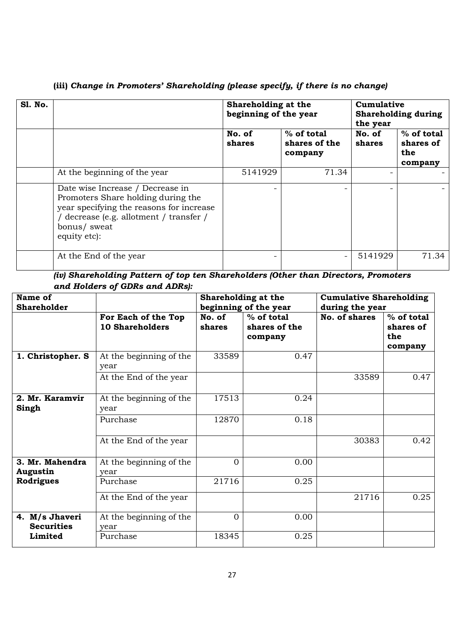| <b>S1. No.</b> |                                                                                                                                                                                             | Shareholding at the<br>beginning of the year |                                        | Cumulative<br><b>Shareholding during</b><br>the year |                                           |  |
|----------------|---------------------------------------------------------------------------------------------------------------------------------------------------------------------------------------------|----------------------------------------------|----------------------------------------|------------------------------------------------------|-------------------------------------------|--|
|                |                                                                                                                                                                                             | No. of<br>shares                             | % of total<br>shares of the<br>company | No. of<br>shares                                     | % of total<br>shares of<br>the<br>company |  |
|                | At the beginning of the year                                                                                                                                                                | 5141929                                      | 71.34                                  |                                                      |                                           |  |
|                | Date wise Increase / Decrease in<br>Promoters Share holding during the<br>year specifying the reasons for increase<br>decrease (e.g. allotment / transfer /<br>bonus/ sweat<br>equity etc): |                                              |                                        |                                                      |                                           |  |
|                | At the End of the year                                                                                                                                                                      |                                              |                                        | 5141929                                              | 71.34                                     |  |

## **(iii)** *Change in Promoters' Shareholding (please specify, if there is no change)*

*(iv) Shareholding Pattern of top ten Shareholders (Other than Directors, Promoters and Holders of GDRs and ADRs):* 

| Name of            |                         | Shareholding at the |                       |                 | <b>Cumulative Shareholding</b> |  |
|--------------------|-------------------------|---------------------|-----------------------|-----------------|--------------------------------|--|
| <b>Shareholder</b> |                         |                     | beginning of the year | during the year |                                |  |
|                    | For Each of the Top     | No. of              | % of total            | No. of shares   | % of total                     |  |
|                    | <b>10 Shareholders</b>  | shares              | shares of the         |                 | shares of                      |  |
|                    |                         |                     | company               |                 | the                            |  |
|                    |                         |                     |                       |                 | company                        |  |
| 1. Christopher. S  | At the beginning of the | 33589               | 0.47                  |                 |                                |  |
|                    | year                    |                     |                       |                 |                                |  |
|                    | At the End of the year  |                     |                       | 33589           | 0.47                           |  |
|                    |                         |                     |                       |                 |                                |  |
| 2. Mr. Karamvir    | At the beginning of the | 17513               | 0.24                  |                 |                                |  |
| Singh              | year                    |                     |                       |                 |                                |  |
|                    | Purchase                | 12870               | 0.18                  |                 |                                |  |
|                    |                         |                     |                       |                 |                                |  |
|                    | At the End of the year  |                     |                       | 30383           | 0.42                           |  |
|                    |                         |                     |                       |                 |                                |  |
| 3. Mr. Mahendra    | At the beginning of the | $\Omega$            | 0.00                  |                 |                                |  |
| <b>Augustin</b>    | year                    |                     |                       |                 |                                |  |
| Rodrigues          | Purchase                | 21716               | 0.25                  |                 |                                |  |
|                    | At the End of the year  |                     |                       | 21716           | 0.25                           |  |
|                    |                         |                     |                       |                 |                                |  |
| 4. M/s Jhaveri     | At the beginning of the | $\Omega$            | 0.00                  |                 |                                |  |
| <b>Securities</b>  | vear                    |                     |                       |                 |                                |  |
| Limited            | Purchase                | 18345               | 0.25                  |                 |                                |  |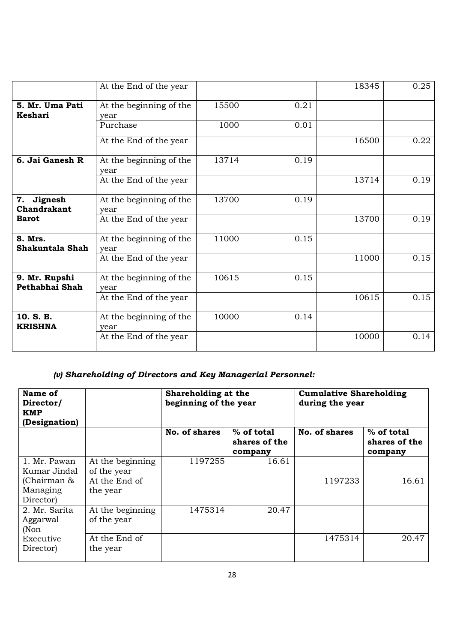|                                 | At the End of the year          |       |      | 18345 | 0.25 |
|---------------------------------|---------------------------------|-------|------|-------|------|
| 5. Mr. Uma Pati<br>Keshari      | At the beginning of the<br>year | 15500 | 0.21 |       |      |
|                                 | Purchase                        | 1000  | 0.01 |       |      |
|                                 | At the End of the year          |       |      | 16500 | 0.22 |
| 6. Jai Ganesh R                 | At the beginning of the<br>year | 13714 | 0.19 |       |      |
|                                 | At the End of the year          |       |      | 13714 | 0.19 |
| Jignesh<br>7.<br>Chandrakant    | At the beginning of the<br>year | 13700 | 0.19 |       |      |
| <b>Barot</b>                    | At the End of the year          |       |      | 13700 | 0.19 |
| 8. Mrs.<br>Shakuntala Shah      | At the beginning of the<br>year | 11000 | 0.15 |       |      |
|                                 | At the End of the year          |       |      | 11000 | 0.15 |
| 9. Mr. Rupshi<br>Pethabhai Shah | At the beginning of the<br>year | 10615 | 0.15 |       |      |
|                                 | At the End of the year          |       |      | 10615 | 0.15 |
| 10. S. B.<br><b>KRISHNA</b>     | At the beginning of the<br>year | 10000 | 0.14 |       |      |
|                                 | At the End of the year          |       |      | 10000 | 0.14 |

## *(v) Shareholding of Directors and Key Managerial Personnel:*

| Name of<br>Director/<br><b>KMP</b><br>(Designation) |                                 | Shareholding at the<br>beginning of the year |                                          | <b>Cumulative Shareholding</b><br>during the year |                                        |  |
|-----------------------------------------------------|---------------------------------|----------------------------------------------|------------------------------------------|---------------------------------------------------|----------------------------------------|--|
|                                                     |                                 | No. of shares                                | $%$ of total<br>shares of the<br>company | No. of shares                                     | % of total<br>shares of the<br>company |  |
| 1. Mr. Pawan<br>Kumar Jindal                        | At the beginning<br>of the year | 1197255                                      | 16.61                                    |                                                   |                                        |  |
| (Chairman &<br>Managing<br>Director)                | At the End of<br>the year       |                                              |                                          | 1197233                                           | 16.61                                  |  |
| 2. Mr. Sarita<br>Aggarwal<br>(Non                   | At the beginning<br>of the year | 1475314                                      | 20.47                                    |                                                   |                                        |  |
| Executive<br>Director)                              | At the End of<br>the year       |                                              |                                          | 1475314                                           | 20.47                                  |  |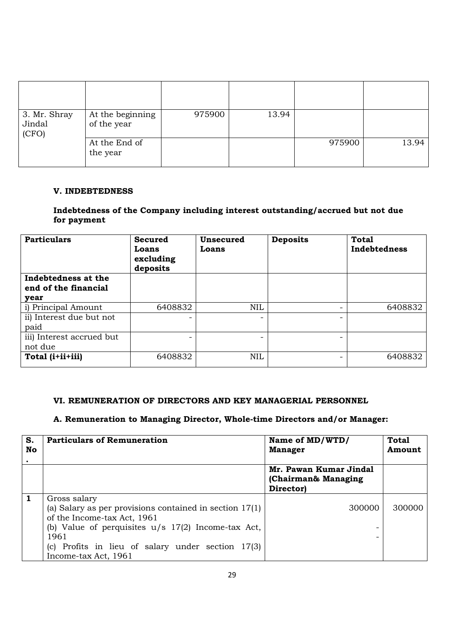| 3. Mr. Shray<br>Jindal<br>(CFO) | At the beginning<br>of the year | 975900 | 13.94 |        |       |
|---------------------------------|---------------------------------|--------|-------|--------|-------|
|                                 | At the End of<br>the year       |        |       | 975900 | 13.94 |

#### **V. INDEBTEDNESS**

## **Indebtedness of the Company including interest outstanding/accrued but not due for payment**

| <b>Particulars</b>                          | <b>Secured</b><br>Loans<br>excluding<br>deposits | Unsecured<br>Loans | <b>Deposits</b> | <b>Total</b><br>Indebtedness |
|---------------------------------------------|--------------------------------------------------|--------------------|-----------------|------------------------------|
| Indebtedness at the<br>end of the financial |                                                  |                    |                 |                              |
| year                                        |                                                  |                    |                 |                              |
| i) Principal Amount                         | 6408832                                          | NIL                |                 | 6408832                      |
| ii) Interest due but not<br>paid            |                                                  | -                  |                 |                              |
| iii) Interest accrued but                   |                                                  |                    |                 |                              |
| not due                                     |                                                  |                    |                 |                              |
| Total (i+ii+iii)                            | 6408832                                          | NIL                |                 | 6408832                      |

#### **VI. REMUNERATION OF DIRECTORS AND KEY MANAGERIAL PERSONNEL**

## **A. Remuneration to Managing Director, Whole-time Directors and/or Manager:**

| S.<br>No | <b>Particulars of Remuneration</b>                                                                                                                                                                                                                       | Name of MD/WTD/<br><b>Manager</b>                          | <b>Total</b><br>Amount |
|----------|----------------------------------------------------------------------------------------------------------------------------------------------------------------------------------------------------------------------------------------------------------|------------------------------------------------------------|------------------------|
|          |                                                                                                                                                                                                                                                          | Mr. Pawan Kumar Jindal<br>(Chairman& Managing<br>Director) |                        |
|          | Gross salary<br>(a) Salary as per provisions contained in section $17(1)$<br>of the Income-tax Act, 1961<br>(b) Value of perquisites $u/s$ 17(2) Income-tax Act,<br>1961<br>Profits in lieu of salary under section 17(3)<br> c <br>Income-tax Act, 1961 | 300000                                                     | 300000                 |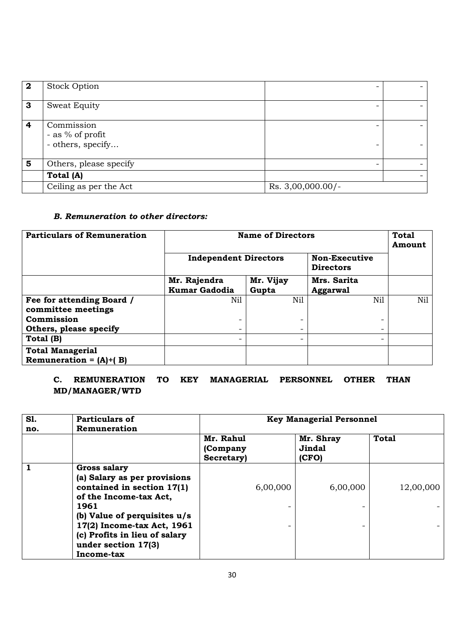| 2 | <b>Stock Option</b>                                 |                   |  |
|---|-----------------------------------------------------|-------------------|--|
| 3 | <b>Sweat Equity</b>                                 |                   |  |
| 4 | Commission<br>- as % of profit<br>- others, specify |                   |  |
| 5 | Others, please specify                              | -                 |  |
|   | Total (A)                                           |                   |  |
|   | Ceiling as per the Act                              | Rs. 3,00,000.00/- |  |

## *B. Remuneration to other directors:*

| <b>Particulars of Remuneration</b>                            | <b>Name of Directors</b>             |                    |                                          |     |
|---------------------------------------------------------------|--------------------------------------|--------------------|------------------------------------------|-----|
|                                                               | <b>Independent Directors</b>         |                    | <b>Non-Executive</b><br><b>Directors</b> |     |
|                                                               | Mr. Rajendra<br><b>Kumar Gadodia</b> | Mr. Vijay<br>Gupta | Mrs. Sarita<br><b>Aggarwal</b>           |     |
| Fee for attending Board /<br>committee meetings<br>Commission | Nil                                  | Nil<br>-           | Nil                                      | Nil |
| Others, please specify                                        |                                      |                    | -                                        |     |
| Total (B)                                                     |                                      |                    | -                                        |     |
| <b>Total Managerial</b><br>Remuneration = $(A)+(B)$           |                                      |                    |                                          |     |

**C. REMUNERATION TO KEY MANAGERIAL PERSONNEL OTHER THAN MD/MANAGER/WTD** 

| S1.<br>no. | <b>Particulars of</b><br>Remuneration                                                                                                                                                                                                                   | <b>Key Managerial Personnel</b>     |                                     |              |  |
|------------|---------------------------------------------------------------------------------------------------------------------------------------------------------------------------------------------------------------------------------------------------------|-------------------------------------|-------------------------------------|--------------|--|
|            |                                                                                                                                                                                                                                                         | Mr. Rahul<br>(Company<br>Secretary) | Mr. Shray<br><b>Jindal</b><br>(CFO) | <b>Total</b> |  |
|            | <b>Gross salary</b><br>(a) Salary as per provisions<br>contained in section 17(1)<br>of the Income-tax Act,<br>1961<br>(b) Value of perquisites u/s<br>17(2) Income-tax Act, 1961<br>(c) Profits in lieu of salary<br>under section 17(3)<br>Income-tax | 6,00,000                            | 6,00,000                            | 12,00,000    |  |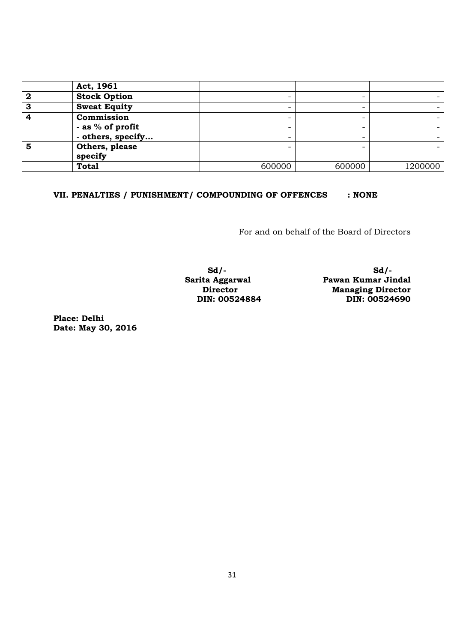|   | Act, 1961           |        |        |         |
|---|---------------------|--------|--------|---------|
| っ | <b>Stock Option</b> |        |        |         |
| З | <b>Sweat Equity</b> |        |        |         |
|   | Commission          |        |        |         |
|   | - as % of profit    |        |        |         |
|   | - others, specify   |        |        |         |
|   | Others, please      |        |        |         |
|   | specify             |        |        |         |
|   | <b>Total</b>        | 600000 | 600000 | 1200000 |

#### **VII. PENALTIES / PUNISHMENT/ COMPOUNDING OF OFFENCES : NONE**

For and on behalf of the Board of Directors

# **Sd/- Sd/- DIN: 00524884 DIN: 00524690**

 **Sarita Aggarwal 2018 Pawan Kumar Jindal Director Constrained Barrows Constrained Barrows Pawan Kumar Jindal Managing Director<br>DIN: 00524690** 

**Place: Delhi Date: May 30, 2016**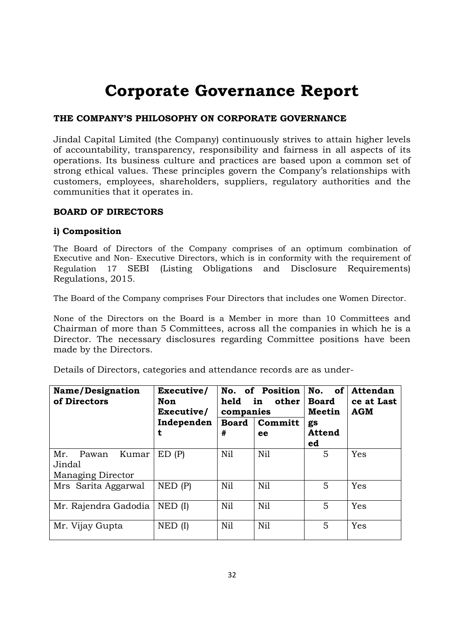# **Corporate Governance Report**

## **THE COMPANY'S PHILOSOPHY ON CORPORATE GOVERNANCE**

Jindal Capital Limited (the Company) continuously strives to attain higher levels of accountability, transparency, responsibility and fairness in all aspects of its operations. Its business culture and practices are based upon a common set of strong ethical values. These principles govern the Company's relationships with customers, employees, shareholders, suppliers, regulatory authorities and the communities that it operates in.

## **BOARD OF DIRECTORS**

## **i) Composition**

The Board of Directors of the Company comprises of an optimum combination of Executive and Non- Executive Directors, which is in conformity with the requirement of Regulation 17 SEBI (Listing Obligations and Disclosure Requirements) Regulations, 2015.

The Board of the Company comprises Four Directors that includes one Women Director.

None of the Directors on the Board is a Member in more than 10 Committees and Chairman of more than 5 Committees, across all the companies in which he is a Director. The necessary disclosures regarding Committee positions have been made by the Directors.

Details of Directors, categories and attendance records are as under-

| Name/Designation<br>of Directors | Executive/<br><b>Non</b><br>Executive/ | held<br>companies | No. of Position<br>other<br>in | No.<br>of<br><b>Board</b><br><b>Meetin</b> | <b>Attendan</b><br>ce at Last<br><b>AGM</b> |
|----------------------------------|----------------------------------------|-------------------|--------------------------------|--------------------------------------------|---------------------------------------------|
|                                  | Independen<br>t                        | <b>Board</b><br># | Committ<br>ee                  | gs<br><b>Attend</b>                        |                                             |
|                                  |                                        |                   |                                | ed                                         |                                             |
| Mr.<br>Kumar<br>Pawan<br>Jindal  | ED(P)                                  | Nil               | Nil                            | 5                                          | Yes                                         |
| Managing Director                |                                        |                   |                                |                                            |                                             |
| Mrs Sarita Aggarwal              | NED(P)                                 | Nil               | Nil                            | 5                                          | Yes                                         |
| Mr. Rajendra Gadodia             | $NED$ (I)                              | Nil               | Nil                            | 5                                          | Yes                                         |
| Mr. Vijay Gupta                  | $NED$ (I)                              | N <sub>i</sub> 1  | Nil                            | 5                                          | Yes                                         |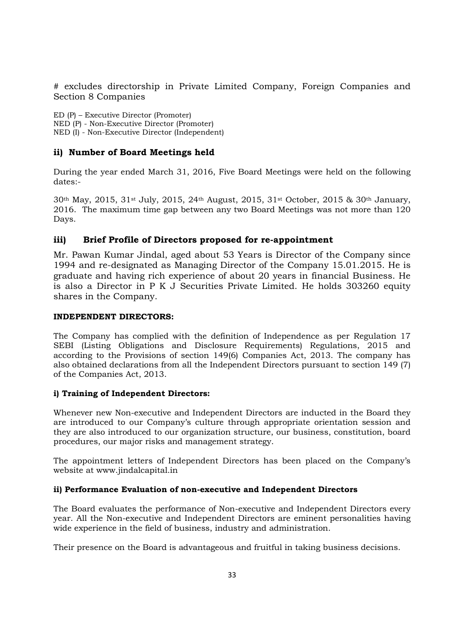# excludes directorship in Private Limited Company, Foreign Companies and Section 8 Companies

ED (P) – Executive Director (Promoter) NED (P) - Non-Executive Director (Promoter) NED (I) - Non-Executive Director (Independent)

## **ii) Number of Board Meetings held**

During the year ended March 31, 2016, Five Board Meetings were held on the following dates:-

30th May, 2015, 31st July, 2015, 24th August, 2015, 31st October, 2015 & 30th January, 2016. The maximum time gap between any two Board Meetings was not more than 120 Days.

#### **iii) Brief Profile of Directors proposed for re-appointment**

Mr. Pawan Kumar Jindal, aged about 53 Years is Director of the Company since 1994 and re-designated as Managing Director of the Company 15.01.2015. He is graduate and having rich experience of about 20 years in financial Business. He is also a Director in P K J Securities Private Limited. He holds 303260 equity shares in the Company.

#### **INDEPENDENT DIRECTORS:**

The Company has complied with the definition of Independence as per Regulation 17 SEBI (Listing Obligations and Disclosure Requirements) Regulations, 2015 and according to the Provisions of section 149(6) Companies Act, 2013. The company has also obtained declarations from all the Independent Directors pursuant to section 149 (7) of the Companies Act, 2013.

#### **i) Training of Independent Directors:**

Whenever new Non-executive and Independent Directors are inducted in the Board they are introduced to our Company's culture through appropriate orientation session and they are also introduced to our organization structure, our business, constitution, board procedures, our major risks and management strategy.

The appointment letters of Independent Directors has been placed on the Company's website at www.jindalcapital.in

#### **ii) Performance Evaluation of non-executive and Independent Directors**

The Board evaluates the performance of Non-executive and Independent Directors every year. All the Non-executive and Independent Directors are eminent personalities having wide experience in the field of business, industry and administration.

Their presence on the Board is advantageous and fruitful in taking business decisions.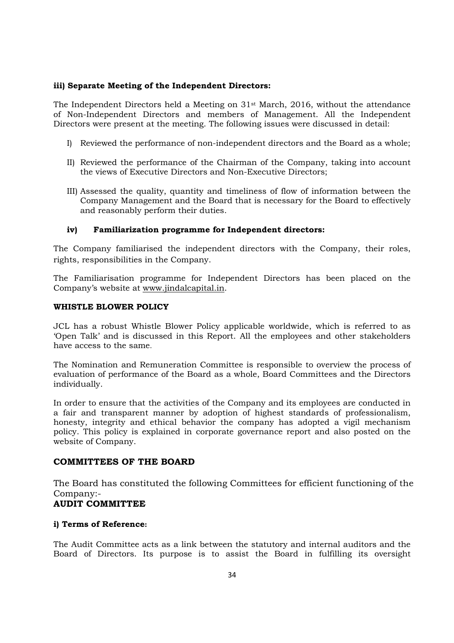#### **iii) Separate Meeting of the Independent Directors:**

The Independent Directors held a Meeting on  $31<sup>st</sup>$  March, 2016, without the attendance of Non-Independent Directors and members of Management. All the Independent Directors were present at the meeting. The following issues were discussed in detail:

- I) Reviewed the performance of non-independent directors and the Board as a whole;
- II) Reviewed the performance of the Chairman of the Company, taking into account the views of Executive Directors and Non-Executive Directors;
- III) Assessed the quality, quantity and timeliness of flow of information between the Company Management and the Board that is necessary for the Board to effectively and reasonably perform their duties.

#### **iv) Familiarization programme for Independent directors:**

The Company familiarised the independent directors with the Company, their roles, rights, responsibilities in the Company.

The Familiarisation programme for Independent Directors has been placed on the Company's website at www.jindalcapital.in.

#### **WHISTLE BLOWER POLICY**

JCL has a robust Whistle Blower Policy applicable worldwide, which is referred to as 'Open Talk' and is discussed in this Report. All the employees and other stakeholders have access to the same.

The Nomination and Remuneration Committee is responsible to overview the process of evaluation of performance of the Board as a whole, Board Committees and the Directors individually.

In order to ensure that the activities of the Company and its employees are conducted in a fair and transparent manner by adoption of highest standards of professionalism, honesty, integrity and ethical behavior the company has adopted a vigil mechanism policy. This policy is explained in corporate governance report and also posted on the website of Company.

## **COMMITTEES OF THE BOARD**

The Board has constituted the following Committees for efficient functioning of the Company:-

## **AUDIT COMMITTEE**

#### **i) Terms of Reference:**

The Audit Committee acts as a link between the statutory and internal auditors and the Board of Directors. Its purpose is to assist the Board in fulfilling its oversight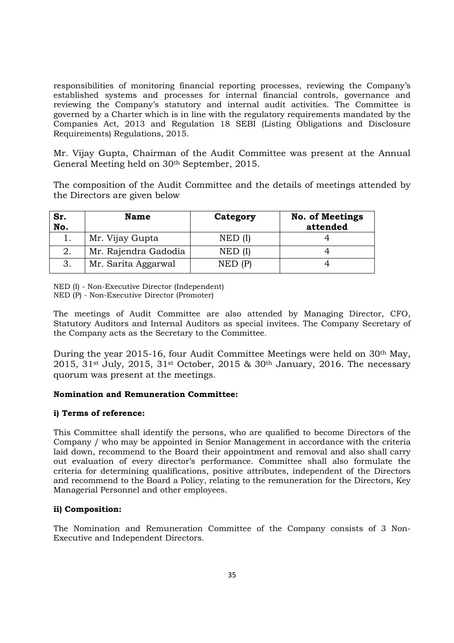responsibilities of monitoring financial reporting processes, reviewing the Company's established systems and processes for internal financial controls, governance and reviewing the Company's statutory and internal audit activities. The Committee is governed by a Charter which is in line with the regulatory requirements mandated by the Companies Act, 2013 and Regulation 18 SEBI (Listing Obligations and Disclosure Requirements) Regulations, 2015.

Mr. Vijay Gupta, Chairman of the Audit Committee was present at the Annual General Meeting held on 30th September, 2015.

The composition of the Audit Committee and the details of meetings attended by the Directors are given below

| Sr.<br>No. | <b>Name</b>          | Category  | <b>No. of Meetings</b><br>attended |
|------------|----------------------|-----------|------------------------------------|
|            | Mr. Vijay Gupta      | $NED$ (I) |                                    |
|            | Mr. Rajendra Gadodia | $NED$ (I) |                                    |
|            | Mr. Sarita Aggarwal  | NED(P)    |                                    |

NED (I) - Non-Executive Director (Independent)

NED (P) - Non-Executive Director (Promoter)

The meetings of Audit Committee are also attended by Managing Director, CFO, Statutory Auditors and Internal Auditors as special invitees. The Company Secretary of the Company acts as the Secretary to the Committee.

During the year 2015-16, four Audit Committee Meetings were held on 30th May, 2015,  $31$ <sup>st</sup> July, 2015,  $31$ <sup>st</sup> October, 2015 &  $30$ <sup>th</sup> January, 2016. The necessary quorum was present at the meetings.

## **Nomination and Remuneration Committee:**

#### **i) Terms of reference:**

This Committee shall identify the persons, who are qualified to become Directors of the Company / who may be appointed in Senior Management in accordance with the criteria laid down, recommend to the Board their appointment and removal and also shall carry out evaluation of every director's performance. Committee shall also formulate the criteria for determining qualifications, positive attributes, independent of the Directors and recommend to the Board a Policy, relating to the remuneration for the Directors, Key Managerial Personnel and other employees.

## **ii) Composition:**

The Nomination and Remuneration Committee of the Company consists of 3 Non-Executive and Independent Directors.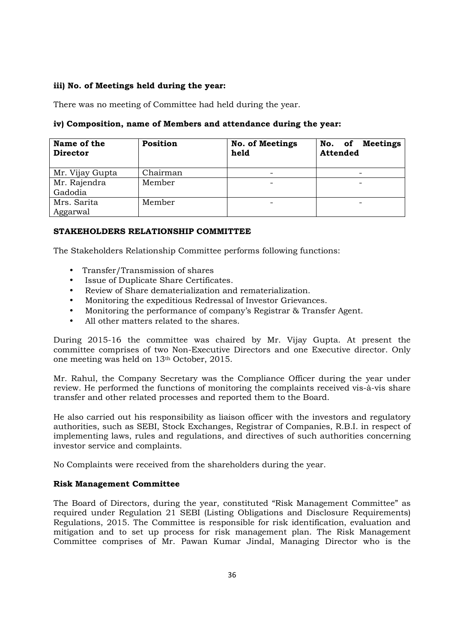#### **iii) No. of Meetings held during the year:**

There was no meeting of Committee had held during the year.

#### **Name of the Director Position No. of Meetings held No. of Meetings Attended** Mr. Vijay Gupta Chairman - - Mr. Rajendra Gadodia Member

Member  $\qquad \qquad$   $\qquad \qquad$   $\qquad \qquad$   $\qquad \qquad$   $\qquad \qquad$   $\qquad \qquad$   $\qquad \qquad$ 

## **iv) Composition, name of Members and attendance during the year:**

## **STAKEHOLDERS RELATIONSHIP COMMITTEE**

The Stakeholders Relationship Committee performs following functions:

• Transfer/Transmission of shares

Mrs. Sarita Aggarwal

- Issue of Duplicate Share Certificates.
- Review of Share dematerialization and rematerialization.
- Monitoring the expeditious Redressal of Investor Grievances.
- Monitoring the performance of company's Registrar & Transfer Agent.
- All other matters related to the shares.

During 2015-16 the committee was chaired by Mr. Vijay Gupta. At present the committee comprises of two Non-Executive Directors and one Executive director. Only one meeting was held on 13th October, 2015.

Mr. Rahul, the Company Secretary was the Compliance Officer during the year under review. He performed the functions of monitoring the complaints received vis-à-vis share transfer and other related processes and reported them to the Board.

He also carried out his responsibility as liaison officer with the investors and regulatory authorities, such as SEBI, Stock Exchanges, Registrar of Companies, R.B.I. in respect of implementing laws, rules and regulations, and directives of such authorities concerning investor service and complaints.

No Complaints were received from the shareholders during the year.

#### **Risk Management Committee**

The Board of Directors, during the year, constituted "Risk Management Committee" as required under Regulation 21 SEBI (Listing Obligations and Disclosure Requirements) Regulations, 2015. The Committee is responsible for risk identification, evaluation and mitigation and to set up process for risk management plan. The Risk Management Committee comprises of Mr. Pawan Kumar Jindal, Managing Director who is the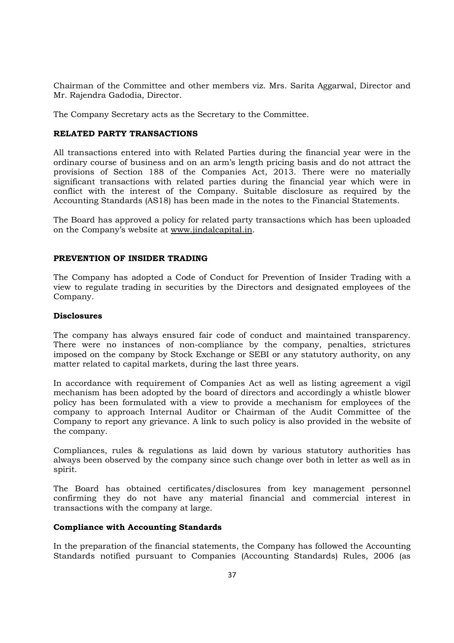Chairman of the Committee and other members viz. Mrs. Sarita Aggarwal, Director and Mr. Rajendra Gadodia, Director.

The Company Secretary acts as the Secretary to the Committee.

#### **RELATED PARTY TRANSACTIONS**

All transactions entered into with Related Parties during the financial year were in the ordinary course of business and on an arm's length pricing basis and do not attract the provisions of Section 188 of the Companies Act, 2013. There were no materially significant transactions with related parties during the financial year which were in conflict with the interest of the Company. Suitable disclosure as required by the Accounting Standards (AS18) has been made in the notes to the Financial Statements.

The Board has approved a policy for related party transactions which has been uploaded on the Company's website at www.jindalcapital.in.

#### **PREVENTION OF INSIDER TRADING**

The Company has adopted a Code of Conduct for Prevention of Insider Trading with a view to regulate trading in securities by the Directors and designated employees of the Company.

#### **Disclosures**

The company has always ensured fair code of conduct and maintained transparency. There were no instances of non-compliance by the company, penalties, strictures imposed on the company by Stock Exchange or SEBI or any statutory authority, on any matter related to capital markets, during the last three years.

In accordance with requirement of Companies Act as well as listing agreement a vigil mechanism has been adopted by the board of directors and accordingly a whistle blower policy has been formulated with a view to provide a mechanism for employees of the company to approach Internal Auditor or Chairman of the Audit Committee of the Company to report any grievance. A link to such policy is also provided in the website of the company.

Compliances, rules & regulations as laid down by various statutory authorities has always been observed by the company since such change over both in letter as well as in spirit.

The Board has obtained certificates/disclosures from key management personnel confirming they do not have any material financial and commercial interest in transactions with the company at large.

#### **Compliance with Accounting Standards**

In the preparation of the financial statements, the Company has followed the Accounting Standards notified pursuant to Companies (Accounting Standards) Rules, 2006 (as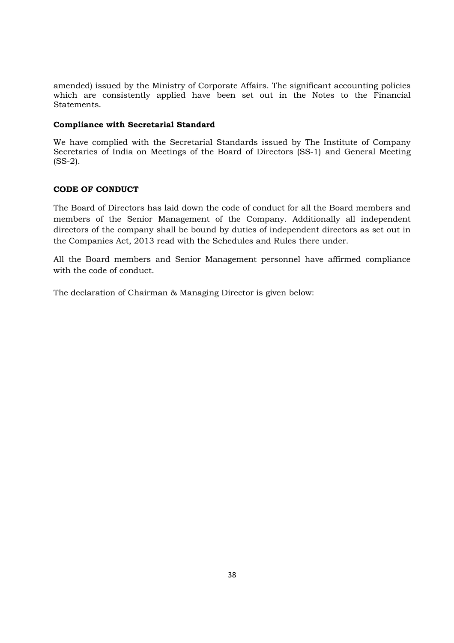amended) issued by the Ministry of Corporate Affairs. The significant accounting policies which are consistently applied have been set out in the Notes to the Financial Statements.

#### **Compliance with Secretarial Standard**

We have complied with the Secretarial Standards issued by The Institute of Company Secretaries of India on Meetings of the Board of Directors (SS-1) and General Meeting (SS-2).

#### **CODE OF CONDUCT**

The Board of Directors has laid down the code of conduct for all the Board members and members of the Senior Management of the Company. Additionally all independent directors of the company shall be bound by duties of independent directors as set out in the Companies Act, 2013 read with the Schedules and Rules there under.

All the Board members and Senior Management personnel have affirmed compliance with the code of conduct.

The declaration of Chairman & Managing Director is given below: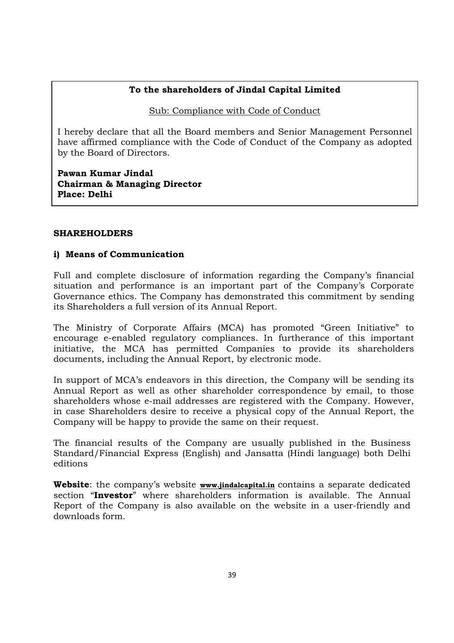## **To the shareholders of Jindal Capital Limited**

Sub: Compliance with Code of Conduct

I hereby declare that all the Board members and Senior Management Personnel have affirmed compliance with the Code of Conduct of the Company as adopted by the Board of Directors.

**Pawan Kumar Jindal Chairman & Managing Director Place: Delhi**

## **SHAREHOLDERS**

## **i) Means of Communication**

Full and complete disclosure of information regarding the Company's financial situation and performance is an important part of the Company's Corporate Governance ethics. The Company has demonstrated this commitment by sending its Shareholders a full version of its Annual Report.

The Ministry of Corporate Affairs (MCA) has promoted "Green Initiative" to encourage e-enabled regulatory compliances. In furtherance of this important initiative, the MCA has permitted Companies to provide its shareholders documents, including the Annual Report, by electronic mode.

In support of MCA's endeavors in this direction, the Company will be sending its Annual Report as well as other shareholder correspondence by email, to those shareholders whose e-mail addresses are registered with the Company. However, in case Shareholders desire to receive a physical copy of the Annual Report, the Company will be happy to provide the same on their request.

The financial results of the Company are usually published in the Business Standard/Financial Express (English) and Jansatta (Hindi language) both Delhi editions

**Website**: the company's website **www.jindalcapital.in** contains a separate dedicated section "**Investor**" where shareholders information is available. The Annual Report of the Company is also available on the website in a user-friendly and downloads form.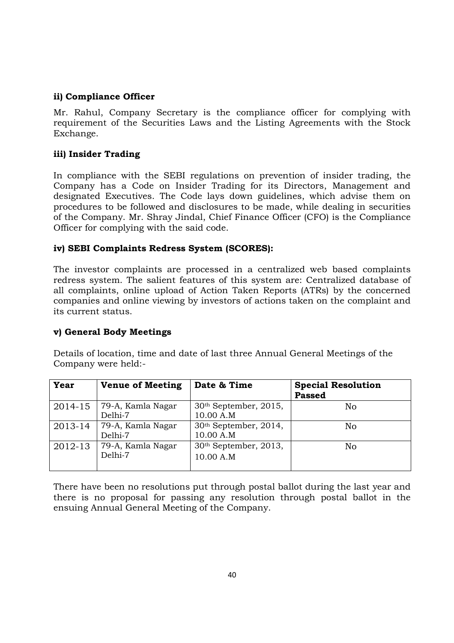## **ii) Compliance Officer**

Mr. Rahul, Company Secretary is the compliance officer for complying with requirement of the Securities Laws and the Listing Agreements with the Stock Exchange.

## **iii) Insider Trading**

In compliance with the SEBI regulations on prevention of insider trading, the Company has a Code on Insider Trading for its Directors, Management and designated Executives. The Code lays down guidelines, which advise them on procedures to be followed and disclosures to be made, while dealing in securities of the Company. Mr. Shray Jindal, Chief Finance Officer (CFO) is the Compliance Officer for complying with the said code.

## **iv) SEBI Complaints Redress System (SCORES):**

The investor complaints are processed in a centralized web based complaints redress system. The salient features of this system are: Centralized database of all complaints, online upload of Action Taken Reports (ATRs) by the concerned companies and online viewing by investors of actions taken on the complaint and its current status.

## **v) General Body Meetings**

| Year    | <b>Venue of Meeting</b>      | Date & Time                                    | <b>Special Resolution</b><br><b>Passed</b> |
|---------|------------------------------|------------------------------------------------|--------------------------------------------|
| 2014-15 | 79-A, Kamla Nagar<br>Delhi-7 | 30 <sup>th</sup> September, 2015,<br>10.00 A.M | No                                         |
| 2013-14 | 79-A, Kamla Nagar<br>Delhi-7 | 30th September, 2014,<br>10.00 A.M             | No                                         |
| 2012-13 | 79-A, Kamla Nagar<br>Delhi-7 | 30 <sup>th</sup> September, 2013,<br>10.00 A.M | No                                         |

Details of location, time and date of last three Annual General Meetings of the Company were held:-

There have been no resolutions put through postal ballot during the last year and there is no proposal for passing any resolution through postal ballot in the ensuing Annual General Meeting of the Company.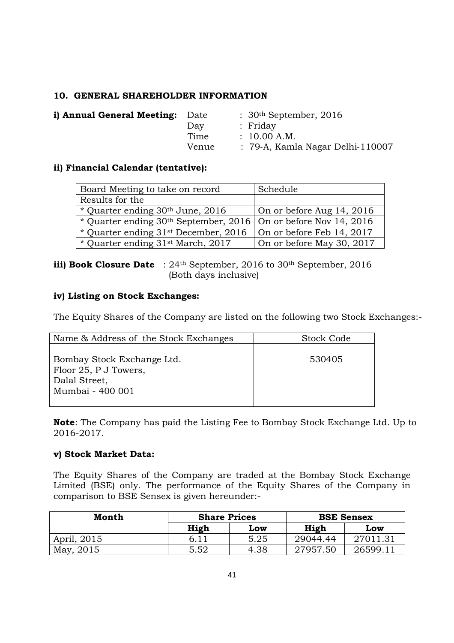## **10. GENERAL SHAREHOLDER INFORMATION**

| i) Annual General Meeting: | Date  | : $30th$ September, 2016         |
|----------------------------|-------|----------------------------------|
|                            | Dav   | : Friday                         |
|                            | Time  | : 10.00 A.M.                     |
|                            | Venue | : 79-A, Kamla Nagar Delhi-110007 |
|                            |       |                                  |

## **ii) Financial Calendar (tentative):**

| Board Meeting to take on record                                     | Schedule                  |  |
|---------------------------------------------------------------------|---------------------------|--|
| Results for the                                                     |                           |  |
| * Quarter ending 30 <sup>th</sup> June, 2016                        | On or before Aug 14, 2016 |  |
| * Quarter ending $30th$ September, 2016   On or before Nov 14, 2016 |                           |  |
| * Quarter ending 31 <sup>st</sup> December, 2016                    | On or before Feb 14, 2017 |  |
| * Quarter ending 31 <sup>st</sup> March, 2017                       | On or before May 30, 2017 |  |

## **iii) Book Closure Date** : 24<sup>th</sup> September, 2016 to 30<sup>th</sup> September, 2016 (Both days inclusive)

## **iv) Listing on Stock Exchanges:**

The Equity Shares of the Company are listed on the following two Stock Exchanges:-

| Name & Address of the Stock Exchanges                                                    | <b>Stock Code</b> |
|------------------------------------------------------------------------------------------|-------------------|
| Bombay Stock Exchange Ltd.<br>Floor 25, P J Towers,<br>Dalal Street,<br>Mumbai - 400 001 | 530405            |

**Note**: The Company has paid the Listing Fee to Bombay Stock Exchange Ltd. Up to 2016-2017.

## **v) Stock Market Data:**

The Equity Shares of the Company are traded at the Bombay Stock Exchange Limited (BSE) only. The performance of the Equity Shares of the Company in comparison to BSE Sensex is given hereunder:-

| Month       | <b>Share Prices</b> |      | <b>BSE Sensex</b> |          |
|-------------|---------------------|------|-------------------|----------|
|             | High                | Low  | High              | Low      |
| April, 2015 | 6.11                | 5.25 | 29044.44          | 27011.31 |
| May, 2015   | 5.52                | 4.38 | 27957.50          | 26599.11 |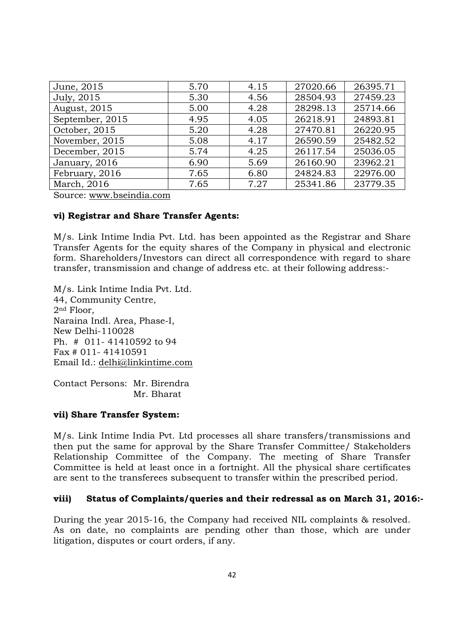| June, 2015           | 5.70 | 4.15 | 27020.66 | 26395.71 |
|----------------------|------|------|----------|----------|
| July, 2015           | 5.30 | 4.56 | 28504.93 | 27459.23 |
| <b>August</b> , 2015 | 5.00 | 4.28 | 28298.13 | 25714.66 |
| September, 2015      | 4.95 | 4.05 | 26218.91 | 24893.81 |
| October, 2015        | 5.20 | 4.28 | 27470.81 | 26220.95 |
| November, 2015       | 5.08 | 4.17 | 26590.59 | 25482.52 |
| December, 2015       | 5.74 | 4.25 | 26117.54 | 25036.05 |
| January, 2016        | 6.90 | 5.69 | 26160.90 | 23962.21 |
| February, 2016       | 7.65 | 6.80 | 24824.83 | 22976.00 |
| March, 2016          | 7.65 | 7.27 | 25341.86 | 23779.35 |

Source: www.bseindia.com

#### **vi) Registrar and Share Transfer Agents:**

M/s. Link Intime India Pvt. Ltd. has been appointed as the Registrar and Share Transfer Agents for the equity shares of the Company in physical and electronic form. Shareholders/Investors can direct all correspondence with regard to share transfer, transmission and change of address etc. at their following address:-

M/s. Link Intime India Pvt. Ltd. 44, Community Centre, 2nd Floor, Naraina Indl. Area, Phase-I, New Delhi-110028 Ph. # 011- 41410592 to 94 Fax # 011- 41410591 Email Id.: delhi@linkintime.com

Contact Persons: Mr. Birendra Mr. Bharat

## **vii) Share Transfer System:**

M/s. Link Intime India Pvt. Ltd processes all share transfers/transmissions and then put the same for approval by the Share Transfer Committee/ Stakeholders Relationship Committee of the Company. The meeting of Share Transfer Committee is held at least once in a fortnight. All the physical share certificates are sent to the transferees subsequent to transfer within the prescribed period.

#### **viii) Status of Complaints/queries and their redressal as on March 31, 2016:-**

During the year 2015-16, the Company had received NIL complaints & resolved. As on date, no complaints are pending other than those, which are under litigation, disputes or court orders, if any.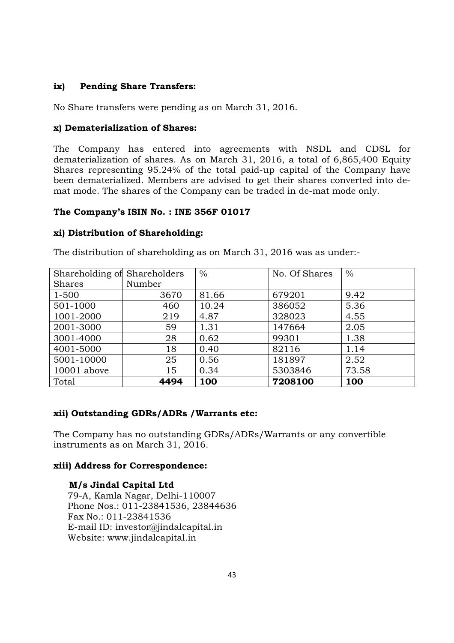## **ix) Pending Share Transfers:**

No Share transfers were pending as on March 31, 2016.

## **x) Dematerialization of Shares:**

The Company has entered into agreements with NSDL and CDSL for dematerialization of shares. As on March 31, 2016, a total of 6,865,400 Equity Shares representing 95.24% of the total paid-up capital of the Company have been dematerialized. Members are advised to get their shares converted into demat mode. The shares of the Company can be traded in de-mat mode only.

## **The Company's ISIN No. : INE 356F 01017**

## **xi) Distribution of Shareholding:**

The distribution of shareholding as on March 31, 2016 was as under:-

| Shareholding of Shareholders |        | $\frac{0}{0}$ | No. Of Shares | $\frac{0}{0}$ |
|------------------------------|--------|---------------|---------------|---------------|
| <b>Shares</b>                | Number |               |               |               |
| $1 - 500$                    | 3670   | 81.66         | 679201        | 9.42          |
| 501-1000                     | 460    | 10.24         | 386052        | 5.36          |
| 1001-2000                    | 219    | 4.87          | 328023        | 4.55          |
| 2001-3000                    | 59     | 1.31          | 147664        | 2.05          |
| 3001-4000                    | 28     | 0.62          | 99301         | 1.38          |
| 4001-5000                    | 18     | 0.40          | 82116         | 1.14          |
| 5001-10000                   | 25     | 0.56          | 181897        | 2.52          |
| 10001 above                  | 15     | 0.34          | 5303846       | 73.58         |
| Total                        | 4494   | 100           | 7208100       | 100           |

## **xii) Outstanding GDRs/ADRs /Warrants etc:**

The Company has no outstanding GDRs/ADRs/Warrants or any convertible instruments as on March 31, 2016.

## **xiii) Address for Correspondence:**

 **M/s Jindal Capital Ltd**  79-A, Kamla Nagar, Delhi-110007 Phone Nos.: 011-23841536, 23844636 Fax No.: 011-23841536 E-mail ID: investor@jindalcapital.in Website: www.jindalcapital.in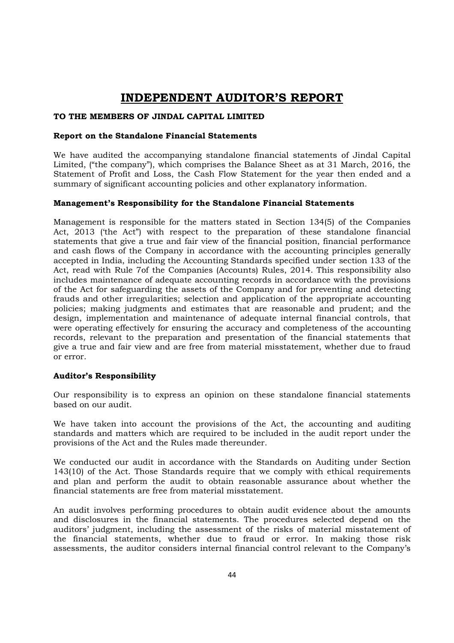## **INDEPENDENT AUDITOR'S REPORT**

#### **TO THE MEMBERS OF JINDAL CAPITAL LIMITED**

#### **Report on the Standalone Financial Statements**

We have audited the accompanying standalone financial statements of Jindal Capital Limited, ("the company"), which comprises the Balance Sheet as at 31 March, 2016, the Statement of Profit and Loss, the Cash Flow Statement for the year then ended and a summary of significant accounting policies and other explanatory information.

#### **Management's Responsibility for the Standalone Financial Statements**

Management is responsible for the matters stated in Section 134(5) of the Companies Act, 2013 ('the Act") with respect to the preparation of these standalone financial statements that give a true and fair view of the financial position, financial performance and cash flows of the Company in accordance with the accounting principles generally accepted in India, including the Accounting Standards specified under section 133 of the Act, read with Rule 7of the Companies (Accounts) Rules, 2014. This responsibility also includes maintenance of adequate accounting records in accordance with the provisions of the Act for safeguarding the assets of the Company and for preventing and detecting frauds and other irregularities; selection and application of the appropriate accounting policies; making judgments and estimates that are reasonable and prudent; and the design, implementation and maintenance of adequate internal financial controls, that were operating effectively for ensuring the accuracy and completeness of the accounting records, relevant to the preparation and presentation of the financial statements that give a true and fair view and are free from material misstatement, whether due to fraud or error.

#### **Auditor's Responsibility**

Our responsibility is to express an opinion on these standalone financial statements based on our audit.

We have taken into account the provisions of the Act, the accounting and auditing standards and matters which are required to be included in the audit report under the provisions of the Act and the Rules made thereunder.

We conducted our audit in accordance with the Standards on Auditing under Section 143(10) of the Act. Those Standards require that we comply with ethical requirements and plan and perform the audit to obtain reasonable assurance about whether the financial statements are free from material misstatement.

An audit involves performing procedures to obtain audit evidence about the amounts and disclosures in the financial statements. The procedures selected depend on the auditors' judgment, including the assessment of the risks of material misstatement of the financial statements, whether due to fraud or error. In making those risk assessments, the auditor considers internal financial control relevant to the Company's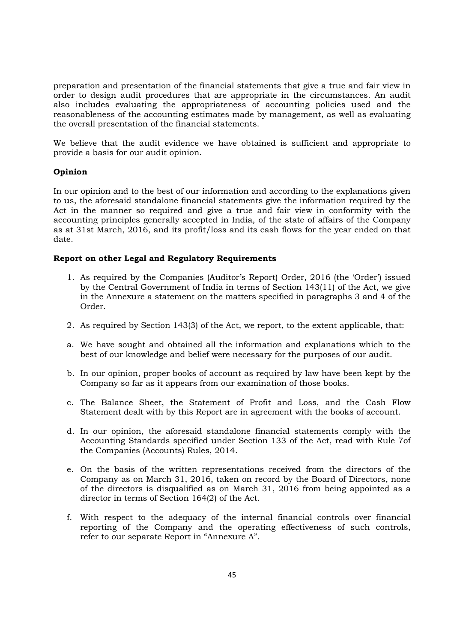preparation and presentation of the financial statements that give a true and fair view in order to design audit procedures that are appropriate in the circumstances. An audit also includes evaluating the appropriateness of accounting policies used and the reasonableness of the accounting estimates made by management, as well as evaluating the overall presentation of the financial statements.

We believe that the audit evidence we have obtained is sufficient and appropriate to provide a basis for our audit opinion.

#### **Opinion**

In our opinion and to the best of our information and according to the explanations given to us, the aforesaid standalone financial statements give the information required by the Act in the manner so required and give a true and fair view in conformity with the accounting principles generally accepted in India, of the state of affairs of the Company as at 31st March, 2016, and its profit/loss and its cash flows for the year ended on that date.

#### **Report on other Legal and Regulatory Requirements**

- 1. As required by the Companies (Auditor's Report) Order, 2016 (the 'Order') issued by the Central Government of India in terms of Section 143(11) of the Act, we give in the Annexure a statement on the matters specified in paragraphs 3 and 4 of the Order.
- 2. As required by Section 143(3) of the Act, we report, to the extent applicable, that:
- a. We have sought and obtained all the information and explanations which to the best of our knowledge and belief were necessary for the purposes of our audit.
- b. In our opinion, proper books of account as required by law have been kept by the Company so far as it appears from our examination of those books.
- c. The Balance Sheet, the Statement of Profit and Loss, and the Cash Flow Statement dealt with by this Report are in agreement with the books of account.
- d. In our opinion, the aforesaid standalone financial statements comply with the Accounting Standards specified under Section 133 of the Act, read with Rule 7of the Companies (Accounts) Rules, 2014.
- e. On the basis of the written representations received from the directors of the Company as on March 31, 2016, taken on record by the Board of Directors, none of the directors is disqualified as on March 31, 2016 from being appointed as a director in terms of Section 164(2) of the Act.
- f. With respect to the adequacy of the internal financial controls over financial reporting of the Company and the operating effectiveness of such controls, refer to our separate Report in "Annexure A".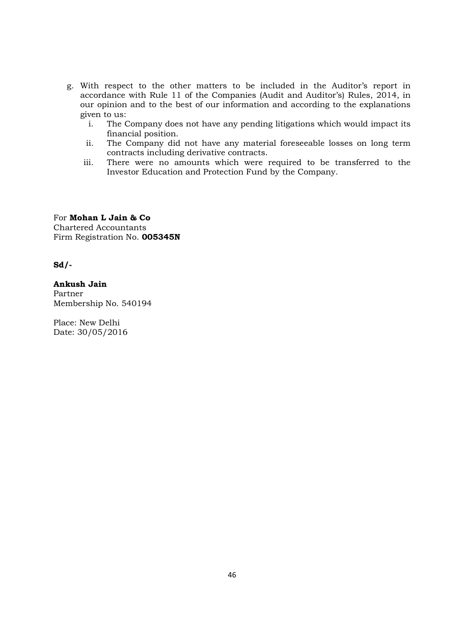- g. With respect to the other matters to be included in the Auditor's report in accordance with Rule 11 of the Companies (Audit and Auditor's) Rules, 2014, in our opinion and to the best of our information and according to the explanations given to us:
	- i. The Company does not have any pending litigations which would impact its financial position.
	- ii. The Company did not have any material foreseeable losses on long term contracts including derivative contracts.
	- iii. There were no amounts which were required to be transferred to the Investor Education and Protection Fund by the Company.

For **Mohan L Jain & Co** Chartered Accountants Firm Registration No. **005345N**

**Sd/-**

**Ankush Jain**  Partner Membership No. 540194

Place: New Delhi Date: 30/05/2016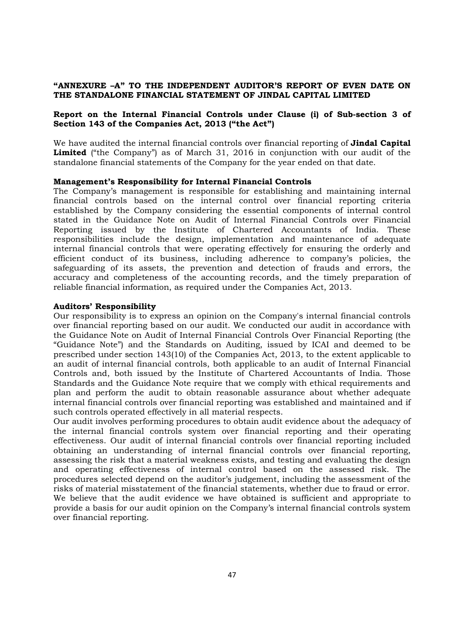#### **"ANNEXURE –A" TO THE INDEPENDENT AUDITOR'S REPORT OF EVEN DATE ON THE STANDALONE FINANCIAL STATEMENT OF JINDAL CAPITAL LIMITED**

#### **Report on the Internal Financial Controls under Clause (i) of Sub-section 3 of Section 143 of the Companies Act, 2013 ("the Act")**

We have audited the internal financial controls over financial reporting of **Jindal Capital Limited** ("the Company") as of March 31, 2016 in conjunction with our audit of the standalone financial statements of the Company for the year ended on that date.

#### **Management's Responsibility for Internal Financial Controls**

The Company's management is responsible for establishing and maintaining internal financial controls based on the internal control over financial reporting criteria established by the Company considering the essential components of internal control stated in the Guidance Note on Audit of Internal Financial Controls over Financial Reporting issued by the Institute of Chartered Accountants of India. These responsibilities include the design, implementation and maintenance of adequate internal financial controls that were operating effectively for ensuring the orderly and efficient conduct of its business, including adherence to company's policies, the safeguarding of its assets, the prevention and detection of frauds and errors, the accuracy and completeness of the accounting records, and the timely preparation of reliable financial information, as required under the Companies Act, 2013.

#### **Auditors' Responsibility**

Our responsibility is to express an opinion on the Company's internal financial controls over financial reporting based on our audit. We conducted our audit in accordance with the Guidance Note on Audit of Internal Financial Controls Over Financial Reporting (the "Guidance Note") and the Standards on Auditing, issued by ICAI and deemed to be prescribed under section 143(10) of the Companies Act, 2013, to the extent applicable to an audit of internal financial controls, both applicable to an audit of Internal Financial Controls and, both issued by the Institute of Chartered Accountants of India. Those Standards and the Guidance Note require that we comply with ethical requirements and plan and perform the audit to obtain reasonable assurance about whether adequate internal financial controls over financial reporting was established and maintained and if such controls operated effectively in all material respects.

Our audit involves performing procedures to obtain audit evidence about the adequacy of the internal financial controls system over financial reporting and their operating effectiveness. Our audit of internal financial controls over financial reporting included obtaining an understanding of internal financial controls over financial reporting, assessing the risk that a material weakness exists, and testing and evaluating the design and operating effectiveness of internal control based on the assessed risk. The procedures selected depend on the auditor's judgement, including the assessment of the risks of material misstatement of the financial statements, whether due to fraud or error. We believe that the audit evidence we have obtained is sufficient and appropriate to provide a basis for our audit opinion on the Company's internal financial controls system over financial reporting.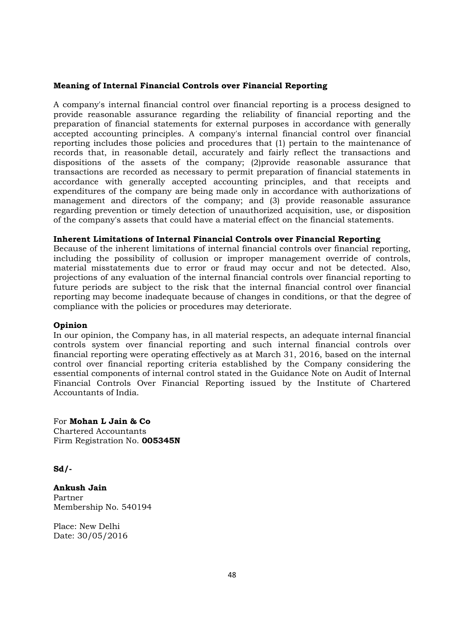#### **Meaning of Internal Financial Controls over Financial Reporting**

A company's internal financial control over financial reporting is a process designed to provide reasonable assurance regarding the reliability of financial reporting and the preparation of financial statements for external purposes in accordance with generally accepted accounting principles. A company's internal financial control over financial reporting includes those policies and procedures that (1) pertain to the maintenance of records that, in reasonable detail, accurately and fairly reflect the transactions and dispositions of the assets of the company; (2)provide reasonable assurance that transactions are recorded as necessary to permit preparation of financial statements in accordance with generally accepted accounting principles, and that receipts and expenditures of the company are being made only in accordance with authorizations of management and directors of the company; and (3) provide reasonable assurance regarding prevention or timely detection of unauthorized acquisition, use, or disposition of the company's assets that could have a material effect on the financial statements.

#### **Inherent Limitations of Internal Financial Controls over Financial Reporting**

Because of the inherent limitations of internal financial controls over financial reporting, including the possibility of collusion or improper management override of controls, material misstatements due to error or fraud may occur and not be detected. Also, projections of any evaluation of the internal financial controls over financial reporting to future periods are subject to the risk that the internal financial control over financial reporting may become inadequate because of changes in conditions, or that the degree of compliance with the policies or procedures may deteriorate.

#### **Opinion**

In our opinion, the Company has, in all material respects, an adequate internal financial controls system over financial reporting and such internal financial controls over financial reporting were operating effectively as at March 31, 2016, based on the internal control over financial reporting criteria established by the Company considering the essential components of internal control stated in the Guidance Note on Audit of Internal Financial Controls Over Financial Reporting issued by the Institute of Chartered Accountants of India.

For **Mohan L Jain & Co** Chartered Accountants Firm Registration No. **005345N**

**Sd/-**

**Ankush Jain**  Partner Membership No. 540194

Place: New Delhi Date: 30/05/2016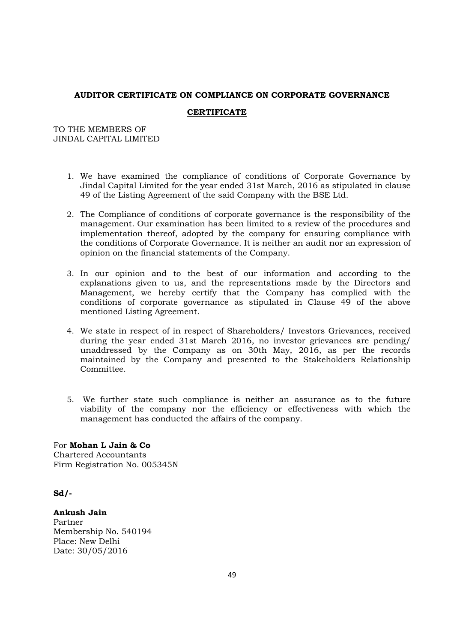#### **AUDITOR CERTIFICATE ON COMPLIANCE ON CORPORATE GOVERNANCE**

#### **CERTIFICATE**

TO THE MEMBERS OF JINDAL CAPITAL LIMITED

- 1. We have examined the compliance of conditions of Corporate Governance by Jindal Capital Limited for the year ended 31st March, 2016 as stipulated in clause 49 of the Listing Agreement of the said Company with the BSE Ltd.
- 2. The Compliance of conditions of corporate governance is the responsibility of the management. Our examination has been limited to a review of the procedures and implementation thereof, adopted by the company for ensuring compliance with the conditions of Corporate Governance. It is neither an audit nor an expression of opinion on the financial statements of the Company.
- 3. In our opinion and to the best of our information and according to the explanations given to us, and the representations made by the Directors and Management, we hereby certify that the Company has complied with the conditions of corporate governance as stipulated in Clause 49 of the above mentioned Listing Agreement.
- 4. We state in respect of in respect of Shareholders/ Investors Grievances, received during the year ended 31st March 2016, no investor grievances are pending/ unaddressed by the Company as on 30th May, 2016, as per the records maintained by the Company and presented to the Stakeholders Relationship Committee.
- 5. We further state such compliance is neither an assurance as to the future viability of the company nor the efficiency or effectiveness with which the management has conducted the affairs of the company.

For **Mohan L Jain & Co**  Chartered Accountants Firm Registration No. 005345N

**Sd/-**

**Ankush Jain**  Partner Membership No. 540194 Place: New Delhi Date: 30/05/2016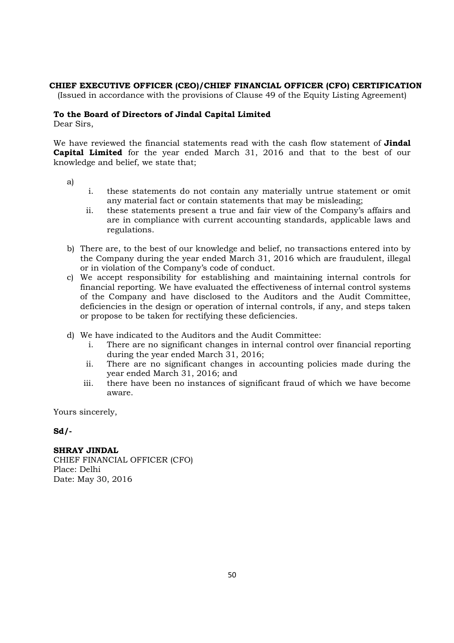#### **CHIEF EXECUTIVE OFFICER (CEO)/CHIEF FINANCIAL OFFICER (CFO) CERTIFICATION**

(Issued in accordance with the provisions of Clause 49 of the Equity Listing Agreement)

## **To the Board of Directors of Jindal Capital Limited**

Dear Sirs,

We have reviewed the financial statements read with the cash flow statement of **Jindal Capital Limited** for the year ended March 31, 2016 and that to the best of our knowledge and belief, we state that;

- a)
- i. these statements do not contain any materially untrue statement or omit any material fact or contain statements that may be misleading;
- ii. these statements present a true and fair view of the Company's affairs and are in compliance with current accounting standards, applicable laws and regulations.
- b) There are, to the best of our knowledge and belief, no transactions entered into by the Company during the year ended March 31, 2016 which are fraudulent, illegal or in violation of the Company's code of conduct.
- c) We accept responsibility for establishing and maintaining internal controls for financial reporting. We have evaluated the effectiveness of internal control systems of the Company and have disclosed to the Auditors and the Audit Committee, deficiencies in the design or operation of internal controls, if any, and steps taken or propose to be taken for rectifying these deficiencies.
- d) We have indicated to the Auditors and the Audit Committee:
	- i. There are no significant changes in internal control over financial reporting during the year ended March 31, 2016;
	- ii. There are no significant changes in accounting policies made during the year ended March 31, 2016; and
	- iii. there have been no instances of significant fraud of which we have become aware.

Yours sincerely,

**Sd/-**

## **SHRAY JINDAL**

CHIEF FINANCIAL OFFICER (CFO) Place: Delhi Date: May 30, 2016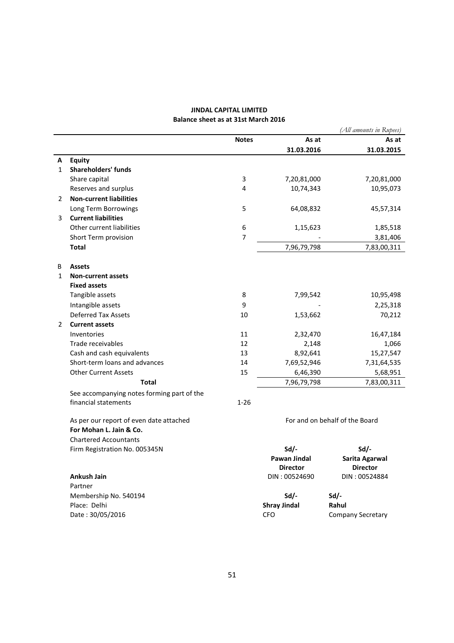#### **JINDAL CAPITAL LIMITED Balance sheet as at 31st March 2016**

|                |                                            |                |                     | (All amounts in Rupees)        |
|----------------|--------------------------------------------|----------------|---------------------|--------------------------------|
|                |                                            | <b>Notes</b>   | As at               | As at                          |
|                |                                            |                | 31.03.2016          | 31.03.2015                     |
| Α              | <b>Equity</b>                              |                |                     |                                |
| $\mathbf{1}$   | <b>Shareholders' funds</b>                 |                |                     |                                |
|                | Share capital                              | 3              | 7,20,81,000         | 7,20,81,000                    |
|                | Reserves and surplus                       | 4              | 10,74,343           | 10,95,073                      |
| $\overline{2}$ | <b>Non-current liabilities</b>             |                |                     |                                |
|                | Long Term Borrowings                       | 5              | 64,08,832           | 45,57,314                      |
| 3              | <b>Current liabilities</b>                 |                |                     |                                |
|                | Other current liabilities                  | 6              | 1,15,623            | 1,85,518                       |
|                | Short Term provision                       | $\overline{7}$ |                     | 3,81,406                       |
|                | <b>Total</b>                               |                | 7,96,79,798         | 7,83,00,311                    |
|                |                                            |                |                     |                                |
| B              | <b>Assets</b>                              |                |                     |                                |
| $\mathbf{1}$   | <b>Non-current assets</b>                  |                |                     |                                |
|                | <b>Fixed assets</b>                        |                |                     |                                |
|                | Tangible assets                            | 8              | 7,99,542            | 10,95,498                      |
|                | Intangible assets                          | 9              |                     | 2,25,318                       |
|                | <b>Deferred Tax Assets</b>                 | 10             | 1,53,662            | 70,212                         |
| 2              | <b>Current assets</b>                      |                |                     |                                |
|                | Inventories                                | 11             | 2,32,470            | 16,47,184                      |
|                | Trade receivables                          | 12             | 2,148               | 1,066                          |
|                | Cash and cash equivalents                  | 13             | 8,92,641            | 15,27,547                      |
|                | Short-term loans and advances              | 14             | 7,69,52,946         | 7,31,64,535                    |
|                | <b>Other Current Assets</b>                | 15             | 6,46,390            | 5,68,951                       |
|                | <b>Total</b>                               |                | 7,96,79,798         | 7,83,00,311                    |
|                | See accompanying notes forming part of the |                |                     |                                |
|                | financial statements                       | $1 - 26$       |                     |                                |
|                | As per our report of even date attached    |                |                     | For and on behalf of the Board |
|                | For Mohan L. Jain & Co.                    |                |                     |                                |
|                | <b>Chartered Accountants</b>               |                |                     |                                |
|                | Firm Registration No. 005345N              |                | $Sd/-$              | $Sd/-$                         |
|                |                                            |                | Pawan Jindal        | Sarita Agarwal                 |
|                |                                            |                | <b>Director</b>     | <b>Director</b>                |
|                | Ankush Jain                                |                | DIN: 00524690       | DIN: 00524884                  |
|                | Partner                                    |                |                     |                                |
|                | Membership No. 540194                      |                | $Sd$ /-             | $Sd/-$                         |
|                | Place: Delhi                               |                | <b>Shray Jindal</b> | Rahul                          |
|                | Date: 30/05/2016                           |                | <b>CFO</b>          | Company Secretary              |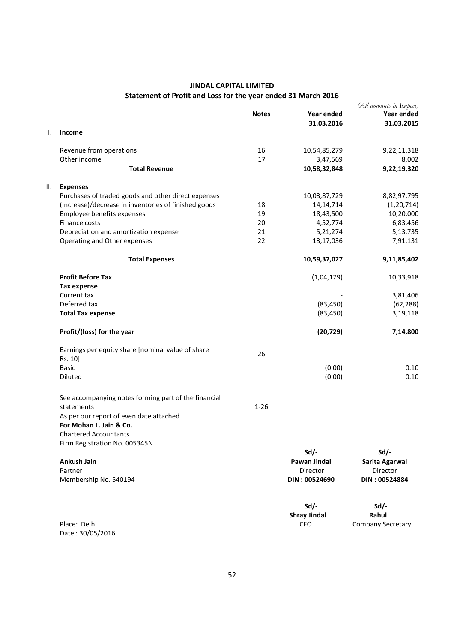## **JINDAL CAPITAL LIMITED Statement of Profit and Loss for the year ended 31 March 2016**

|    |                                                      |              |                     | (All amounts in Rupees)  |
|----|------------------------------------------------------|--------------|---------------------|--------------------------|
|    |                                                      | <b>Notes</b> | Year ended          | Year ended               |
|    |                                                      |              | 31.03.2016          | 31.03.2015               |
| ı. | <b>Income</b>                                        |              |                     |                          |
|    | Revenue from operations                              | 16           | 10,54,85,279        | 9,22,11,318              |
|    | Other income                                         | 17           | 3,47,569            | 8,002                    |
|    | <b>Total Revenue</b>                                 |              | 10,58,32,848        | 9,22,19,320              |
| Ш. | <b>Expenses</b>                                      |              |                     |                          |
|    | Purchases of traded goods and other direct expenses  |              | 10,03,87,729        | 8,82,97,795              |
|    | (Increase)/decrease in inventories of finished goods | 18           | 14, 14, 714         | (1, 20, 714)             |
|    | Employee benefits expenses                           | 19           | 18,43,500           | 10,20,000                |
|    | Finance costs                                        | 20           | 4,52,774            | 6,83,456                 |
|    | Depreciation and amortization expense                | 21           | 5,21,274            | 5,13,735                 |
|    | Operating and Other expenses                         | 22           | 13,17,036           | 7,91,131                 |
|    | <b>Total Expenses</b>                                |              | 10,59,37,027        | 9,11,85,402              |
|    | <b>Profit Before Tax</b>                             |              | (1,04,179)          | 10,33,918                |
|    | <b>Tax expense</b>                                   |              |                     |                          |
|    | Current tax                                          |              |                     | 3,81,406                 |
|    | Deferred tax                                         |              | (83, 450)           | (62, 288)                |
|    | <b>Total Tax expense</b>                             |              | (83, 450)           | 3,19,118                 |
|    | Profit/(loss) for the year                           |              | (20, 729)           | 7,14,800                 |
|    | Earnings per equity share [nominal value of share    | 26           |                     |                          |
|    | Rs. 10]                                              |              |                     |                          |
|    | <b>Basic</b>                                         |              | (0.00)              | 0.10                     |
|    | Diluted                                              |              | (0.00)              | 0.10                     |
|    | See accompanying notes forming part of the financial |              |                     |                          |
|    | statements                                           | $1 - 26$     |                     |                          |
|    | As per our report of even date attached              |              |                     |                          |
|    | For Mohan L. Jain & Co.                              |              |                     |                          |
|    | <b>Chartered Accountants</b>                         |              |                     |                          |
|    | Firm Registration No. 005345N                        |              |                     |                          |
|    |                                                      |              | $Sd/-$              | $Sd/-$                   |
|    | Ankush Jain                                          |              | Pawan Jindal        | Sarita Agarwal           |
|    | Partner                                              |              | Director            | Director                 |
|    | Membership No. 540194                                |              | DIN: 00524690       | DIN: 00524884            |
|    |                                                      |              | $Sd$ .              | $Sd/-$                   |
|    |                                                      |              | <b>Shray Jindal</b> | Rahul                    |
|    | Place: Delhi                                         |              | <b>CFO</b>          | <b>Company Secretary</b> |
|    | Date: 30/05/2016                                     |              |                     |                          |
|    |                                                      |              |                     |                          |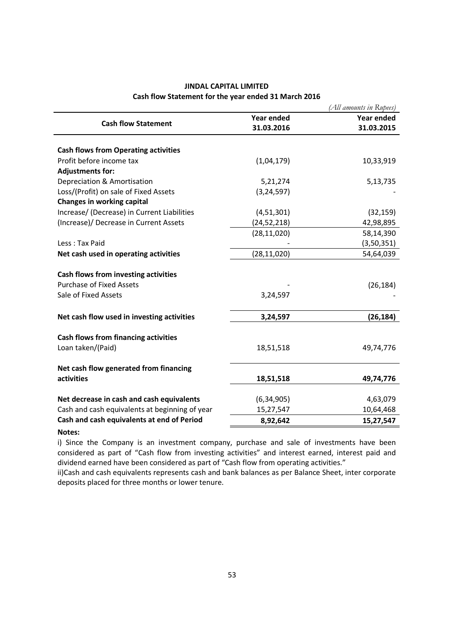| JINDAL CAPITAL LIMITED                               |
|------------------------------------------------------|
| Cash flow Statement for the year ended 31 March 2016 |

|                                                                  |                   | (All amounts in Rupees) |
|------------------------------------------------------------------|-------------------|-------------------------|
|                                                                  | <b>Year ended</b> | Year ended              |
| <b>Cash flow Statement</b>                                       | 31.03.2016        | 31.03.2015              |
| <b>Cash flows from Operating activities</b>                      |                   |                         |
| Profit before income tax                                         | (1,04,179)        | 10,33,919               |
| <b>Adjustments for:</b>                                          |                   |                         |
| Depreciation & Amortisation                                      | 5,21,274          | 5,13,735                |
| Loss/(Profit) on sale of Fixed Assets                            | (3, 24, 597)      |                         |
| <b>Changes in working capital</b>                                |                   |                         |
| Increase/ (Decrease) in Current Liabilities                      | (4, 51, 301)      | (32, 159)               |
| (Increase)/ Decrease in Current Assets                           | (24, 52, 218)     | 42,98,895               |
|                                                                  | (28, 11, 020)     | 58,14,390               |
| Less: Tax Paid                                                   |                   | (3,50,351)              |
| Net cash used in operating activities                            | (28, 11, 020)     | 54,64,039               |
| Cash flows from investing activities                             |                   |                         |
| <b>Purchase of Fixed Assets</b>                                  |                   | (26, 184)               |
| Sale of Fixed Assets                                             | 3,24,597          |                         |
|                                                                  |                   |                         |
| Net cash flow used in investing activities                       | 3,24,597          | (26, 184)               |
|                                                                  |                   |                         |
| <b>Cash flows from financing activities</b><br>Loan taken/(Paid) |                   |                         |
|                                                                  | 18,51,518         | 49,74,776               |
| Net cash flow generated from financing                           |                   |                         |
| activities                                                       | 18,51,518         | 49,74,776               |
| Net decrease in cash and cash equivalents                        | (6, 34, 905)      | 4,63,079                |
| Cash and cash equivalents at beginning of year                   | 15,27,547         | 10,64,468               |
| Cash and cash equivalents at end of Period                       | 8,92,642          | 15,27,547               |
|                                                                  |                   |                         |

#### **Notes:**

i) Since the Company is an investment company, purchase and sale of investments have been considered as part of "Cash flow from investing activities" and interest earned, interest paid and dividend earned have been considered as part of "Cash flow from operating activities."

ii)Cash and cash equivalents represents cash and bank balances as per Balance Sheet, inter corporate deposits placed for three months or lower tenure.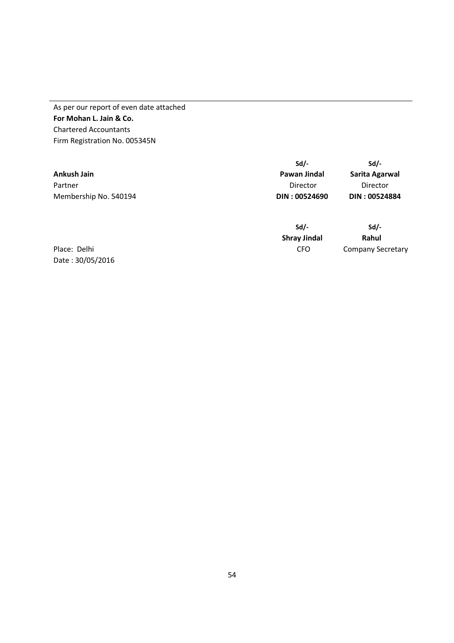As per our report of even date attached **For Mohan L. Jain & Co.**  Chartered Accountants Firm Registration No. 005345N

|                       | $Sd/-$        | $Sd/-$         |  |  |
|-----------------------|---------------|----------------|--|--|
| Ankush Jain           | Pawan Jindal  | Sarita Agarwal |  |  |
| Partner               | Director      | Director       |  |  |
| Membership No. 540194 | DIN: 00524690 | DIN: 00524884  |  |  |
|                       |               |                |  |  |
|                       |               |                |  |  |

Date : 30/05/2016

**Sd/- Sd/- Shray Jindal Rahul** 

Place: Delhi CFO Company Secretary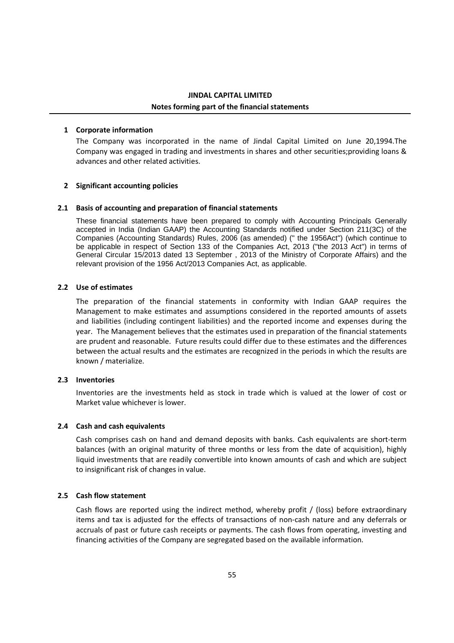## **JINDAL CAPITAL LIMITED**

#### **Notes forming part of the financial statements**

#### **1 Corporate information**

The Company was incorporated in the name of Jindal Capital Limited on June 20,1994.The Company was engaged in trading and investments in shares and other securities;providing loans & advances and other related activities.

#### **2 Significant accounting policies**

#### **2.1 Basis of accounting and preparation of financial statements**

These financial statements have been prepared to comply with Accounting Principals Generally accepted in India (Indian GAAP) the Accounting Standards notified under Section 211(3C) of the Companies (Accounting Standards) Rules, 2006 (as amended) (" the 1956Act") (which continue to be applicable in respect of Section 133 of the Companies Act, 2013 ("the 2013 Act") in terms of General Circular 15/2013 dated 13 September , 2013 of the Ministry of Corporate Affairs) and the relevant provision of the 1956 Act/2013 Companies Act, as applicable.

#### **2.2 Use of estimates**

The preparation of the financial statements in conformity with Indian GAAP requires the Management to make estimates and assumptions considered in the reported amounts of assets and liabilities (including contingent liabilities) and the reported income and expenses during the year. The Management believes that the estimates used in preparation of the financial statements are prudent and reasonable. Future results could differ due to these estimates and the differences between the actual results and the estimates are recognized in the periods in which the results are known / materialize.

#### **2.3 Inventories**

Inventories are the investments held as stock in trade which is valued at the lower of cost or Market value whichever is lower.

#### **2.4 Cash and cash equivalents**

Cash comprises cash on hand and demand deposits with banks. Cash equivalents are short‐term balances (with an original maturity of three months or less from the date of acquisition), highly liquid investments that are readily convertible into known amounts of cash and which are subject to insignificant risk of changes in value.

#### **2.5 Cash flow statement**

Cash flows are reported using the indirect method, whereby profit / (loss) before extraordinary items and tax is adjusted for the effects of transactions of non‐cash nature and any deferrals or accruals of past or future cash receipts or payments. The cash flows from operating, investing and financing activities of the Company are segregated based on the available information.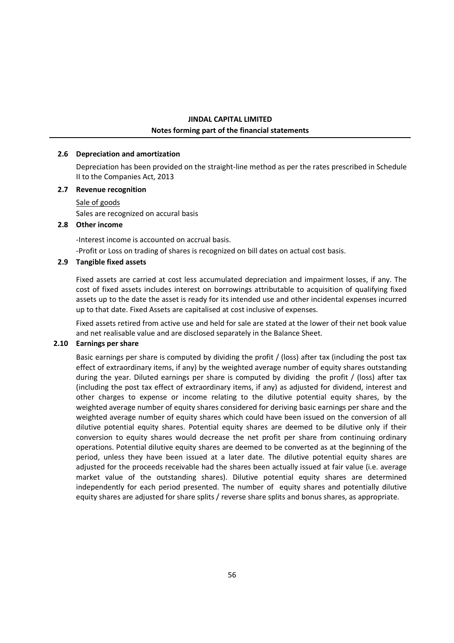## **JINDAL CAPITAL LIMITED Notes forming part of the financial statements**

#### **2.6 Depreciation and amortization**

Depreciation has been provided on the straight‐line method as per the rates prescribed in Schedule II to the Companies Act, 2013

#### **2.7 Revenue recognition**

#### Sale of goods

Sales are recognized on accural basis

#### **2.8 Other income**

‐Interest income is accounted on accrual basis. ‐Profit or Loss on trading of shares is recognized on bill dates on actual cost basis.

#### **2.9 Tangible fixed assets**

Fixed assets are carried at cost less accumulated depreciation and impairment losses, if any. The cost of fixed assets includes interest on borrowings attributable to acquisition of qualifying fixed assets up to the date the asset is ready for its intended use and other incidental expenses incurred up to that date. Fixed Assets are capitalised at cost inclusive of expenses.

Fixed assets retired from active use and held for sale are stated at the lower of their net book value and net realisable value and are disclosed separately in the Balance Sheet.

#### **2.10 Earnings per share**

Basic earnings per share is computed by dividing the profit / (loss) after tax (including the post tax effect of extraordinary items, if any) by the weighted average number of equity shares outstanding during the year. Diluted earnings per share is computed by dividing the profit / (loss) after tax (including the post tax effect of extraordinary items, if any) as adjusted for dividend, interest and other charges to expense or income relating to the dilutive potential equity shares, by the weighted average number of equity shares considered for deriving basic earnings per share and the weighted average number of equity shares which could have been issued on the conversion of all dilutive potential equity shares. Potential equity shares are deemed to be dilutive only if their conversion to equity shares would decrease the net profit per share from continuing ordinary operations. Potential dilutive equity shares are deemed to be converted as at the beginning of the period, unless they have been issued at a later date. The dilutive potential equity shares are adjusted for the proceeds receivable had the shares been actually issued at fair value (i.e. average market value of the outstanding shares). Dilutive potential equity shares are determined independently for each period presented. The number of equity shares and potentially dilutive equity shares are adjusted for share splits / reverse share splits and bonus shares, as appropriate.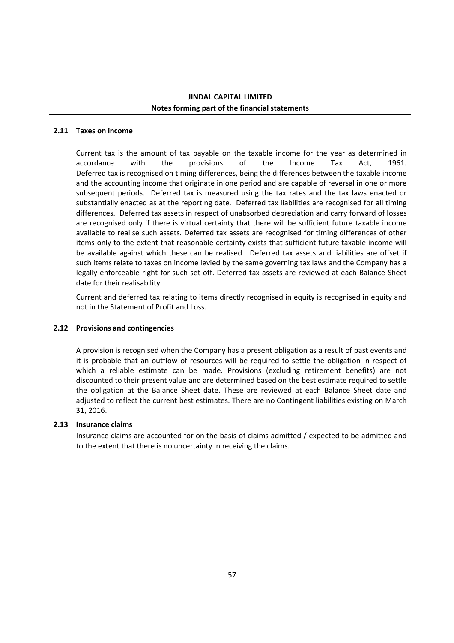#### **2.11 Taxes on income**

Current tax is the amount of tax payable on the taxable income for the year as determined in accordance with the provisions of the Income Tax Act, 1961. Deferred tax is recognised on timing differences, being the differences between the taxable income and the accounting income that originate in one period and are capable of reversal in one or more subsequent periods. Deferred tax is measured using the tax rates and the tax laws enacted or substantially enacted as at the reporting date. Deferred tax liabilities are recognised for all timing differences. Deferred tax assets in respect of unabsorbed depreciation and carry forward of losses are recognised only if there is virtual certainty that there will be sufficient future taxable income available to realise such assets. Deferred tax assets are recognised for timing differences of other items only to the extent that reasonable certainty exists that sufficient future taxable income will be available against which these can be realised. Deferred tax assets and liabilities are offset if such items relate to taxes on income levied by the same governing tax laws and the Company has a legally enforceable right for such set off. Deferred tax assets are reviewed at each Balance Sheet date for their realisability.

Current and deferred tax relating to items directly recognised in equity is recognised in equity and not in the Statement of Profit and Loss.

#### **2.12 Provisions and contingencies**

A provision is recognised when the Company has a present obligation as a result of past events and it is probable that an outflow of resources will be required to settle the obligation in respect of which a reliable estimate can be made. Provisions (excluding retirement benefits) are not discounted to their present value and are determined based on the best estimate required to settle the obligation at the Balance Sheet date. These are reviewed at each Balance Sheet date and adjusted to reflect the current best estimates. There are no Contingent liabilities existing on March 31, 2016.

#### **2.13 Insurance claims**

Insurance claims are accounted for on the basis of claims admitted / expected to be admitted and to the extent that there is no uncertainty in receiving the claims.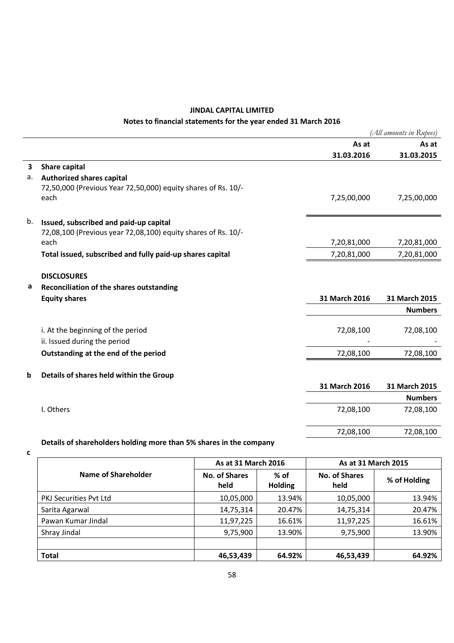## **JINDAL CAPITAL LIMITED**

## **Notes to financial statements for the year ended 31 March 2016**

|    |                                                                    |               | (All amounts in Rupees) |
|----|--------------------------------------------------------------------|---------------|-------------------------|
|    |                                                                    | As at         | As at                   |
|    |                                                                    | 31.03.2016    | 31.03.2015              |
| 3  | <b>Share capital</b>                                               |               |                         |
| a. | <b>Authorized shares capital</b>                                   |               |                         |
|    | 72,50,000 (Previous Year 72,50,000) equity shares of Rs. 10/-      |               |                         |
|    | each                                                               | 7,25,00,000   | 7,25,00,000             |
| b. | Issued, subscribed and paid-up capital                             |               |                         |
|    | 72,08,100 (Previous year 72,08,100) equity shares of Rs. 10/-      |               |                         |
|    | each                                                               | 7,20,81,000   | 7,20,81,000             |
|    | Total issued, subscribed and fully paid-up shares capital          | 7,20,81,000   | 7,20,81,000             |
|    | <b>DISCLOSURES</b>                                                 |               |                         |
| а  | Reconciliation of the shares outstanding                           |               |                         |
|    | <b>Equity shares</b>                                               | 31 March 2016 | 31 March 2015           |
|    |                                                                    |               | <b>Numbers</b>          |
|    | i. At the beginning of the period                                  | 72,08,100     | 72,08,100               |
|    | ii. Issued during the period                                       |               |                         |
|    |                                                                    |               |                         |
|    | Outstanding at the end of the period                               | 72,08,100     | 72,08,100               |
| b  | Details of shares held within the Group                            |               |                         |
|    |                                                                    | 31 March 2016 | 31 March 2015           |
|    |                                                                    |               | <b>Numbers</b>          |
|    | I. Others                                                          | 72,08,100     | 72,08,100               |
|    |                                                                    | 72,08,100     | 72,08,100               |
|    | Details of shareholders holding mare than EV shares in the sempany |               |                         |

## **Details of shareholders holding more than 5% shares in the company**

| ۹<br>r e<br>t<br>×<br>۰. |  |
|--------------------------|--|
|                          |  |

|                               | As at 31 March 2016   |                          | As at 31 March 2015   |              |  |
|-------------------------------|-----------------------|--------------------------|-----------------------|--------------|--|
| Name of Shareholder           | No. of Shares<br>held | $%$ of<br><b>Holding</b> | No. of Shares<br>held | % of Holding |  |
| <b>PKJ Securities Pyt Ltd</b> | 10,05,000             | 13.94%                   | 10,05,000             | 13.94%       |  |
| Sarita Agarwal                | 14,75,314             | 20.47%                   | 14,75,314             | 20.47%       |  |
| Pawan Kumar Jindal            | 11,97,225             | 16.61%                   | 11,97,225             | 16.61%       |  |
| Shray Jindal                  | 9,75,900              | 13.90%                   | 9,75,900              | 13.90%       |  |
|                               |                       |                          |                       |              |  |
| <b>Total</b>                  | 46,53,439             | 64.92%                   | 46,53,439             | 64.92%       |  |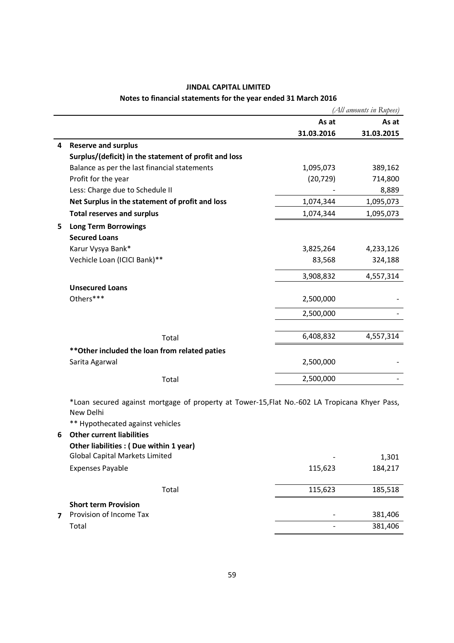|   |                                                       |            | (All amounts in Rupees) |
|---|-------------------------------------------------------|------------|-------------------------|
|   |                                                       | As at      | As at                   |
|   |                                                       | 31.03.2016 | 31.03.2015              |
| 4 | <b>Reserve and surplus</b>                            |            |                         |
|   | Surplus/(deficit) in the statement of profit and loss |            |                         |
|   | Balance as per the last financial statements          | 1,095,073  | 389,162                 |
|   | Profit for the year                                   | (20, 729)  | 714,800                 |
|   | Less: Charge due to Schedule II                       |            | 8,889                   |
|   | Net Surplus in the statement of profit and loss       | 1,074,344  | 1,095,073               |
|   | <b>Total reserves and surplus</b>                     | 1,074,344  | 1,095,073               |
| 5 | <b>Long Term Borrowings</b>                           |            |                         |
|   | <b>Secured Loans</b>                                  |            |                         |
|   | Karur Vysya Bank*                                     | 3,825,264  | 4,233,126               |
|   | Vechicle Loan (ICICI Bank)**                          | 83,568     | 324,188                 |
|   |                                                       | 3,908,832  | 4,557,314               |
|   | <b>Unsecured Loans</b>                                |            |                         |
|   | Others***                                             | 2,500,000  |                         |
|   |                                                       | 2,500,000  |                         |
|   |                                                       |            |                         |
|   | Total                                                 | 6,408,832  | 4,557,314               |
|   | ** Other included the loan from related paties        |            |                         |
|   | Sarita Agarwal                                        | 2,500,000  |                         |
|   | Total                                                 | 2,500,000  |                         |
|   |                                                       |            |                         |

\*Loan secured against mortgage of property at Tower‐15,Flat No.‐602 LA Tropicana Khyer Pass, New Delhi

\*\* Hypothecated against vehicles

| 6 | <b>Other current liabilities</b>                                          |         |         |
|---|---------------------------------------------------------------------------|---------|---------|
|   | Other liabilities : (Due within 1 year)<br>Global Capital Markets Limited |         | 1,301   |
|   | <b>Expenses Payable</b>                                                   | 115,623 | 184,217 |
|   | Total                                                                     | 115,623 | 185,518 |
| 7 | <b>Short term Provision</b><br>Provision of Income Tax                    |         | 381,406 |
|   | Total                                                                     |         | 381,406 |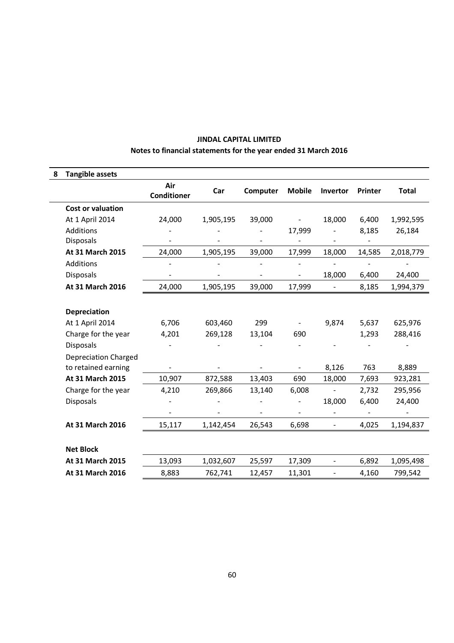| 8 | <b>Tangible assets</b>      |                           |           |          |                          |                          |                |              |
|---|-----------------------------|---------------------------|-----------|----------|--------------------------|--------------------------|----------------|--------------|
|   |                             | Air<br><b>Conditioner</b> | Car       | Computer | <b>Mobile</b>            | Invertor                 | <b>Printer</b> | <b>Total</b> |
|   | <b>Cost or valuation</b>    |                           |           |          |                          |                          |                |              |
|   | At 1 April 2014             | 24,000                    | 1,905,195 | 39,000   | $\overline{\phantom{a}}$ | 18,000                   | 6,400          | 1,992,595    |
|   | <b>Additions</b>            |                           |           |          | 17,999                   |                          | 8,185          | 26,184       |
|   | Disposals                   |                           |           |          |                          |                          |                |              |
|   | At 31 March 2015            | 24,000                    | 1,905,195 | 39,000   | 17,999                   | 18,000                   | 14,585         | 2,018,779    |
|   | Additions                   |                           |           |          |                          |                          |                |              |
|   | <b>Disposals</b>            |                           |           |          |                          | 18,000                   | 6,400          | 24,400       |
|   | At 31 March 2016            | 24,000                    | 1,905,195 | 39,000   | 17,999                   | $\blacksquare$           | 8,185          | 1,994,379    |
|   |                             |                           |           |          |                          |                          |                |              |
|   | Depreciation                |                           |           |          |                          |                          |                |              |
|   | At 1 April 2014             | 6,706                     | 603,460   | 299      | $\blacksquare$           | 9,874                    | 5,637          | 625,976      |
|   | Charge for the year         | 4,201                     | 269,128   | 13,104   | 690                      |                          | 1,293          | 288,416      |
|   | Disposals                   |                           |           |          |                          |                          |                |              |
|   | <b>Depreciation Charged</b> |                           |           |          |                          |                          |                |              |
|   | to retained earning         |                           |           |          |                          | 8,126                    | 763            | 8,889        |
|   | At 31 March 2015            | 10,907                    | 872,588   | 13,403   | 690                      | 18,000                   | 7,693          | 923,281      |
|   | Charge for the year         | 4,210                     | 269,866   | 13,140   | 6,008                    |                          | 2,732          | 295,956      |
|   | Disposals                   |                           |           |          |                          | 18,000                   | 6,400          | 24,400       |
|   |                             |                           |           |          |                          |                          |                |              |
|   | At 31 March 2016            | 15,117                    | 1,142,454 | 26,543   | 6,698                    |                          | 4,025          | 1,194,837    |
|   |                             |                           |           |          |                          |                          |                |              |
|   | <b>Net Block</b>            |                           |           |          |                          |                          |                |              |
|   | At 31 March 2015            | 13,093                    | 1,032,607 | 25,597   | 17,309                   | $\overline{\phantom{0}}$ | 6,892          | 1,095,498    |
|   | At 31 March 2016            | 8,883                     | 762,741   | 12,457   | 11,301                   | $\overline{\phantom{0}}$ | 4,160          | 799,542      |
|   |                             |                           |           |          |                          |                          |                |              |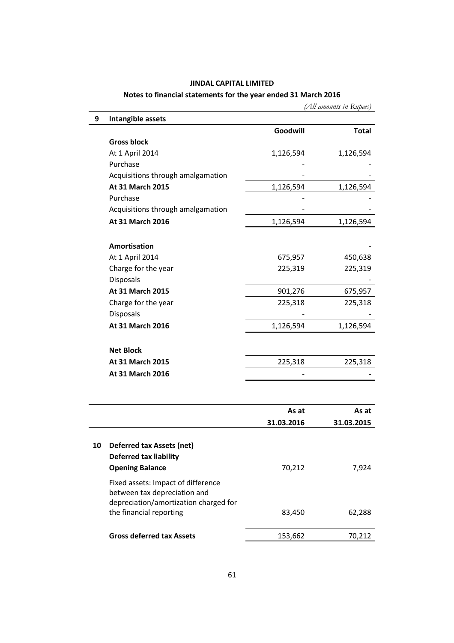## **JINDAL CAPITAL LIMITED**

#### **Notes to financial statements for the year ended 31 March 2016**

|   |                                   |           | (All amounts in Rupees) |
|---|-----------------------------------|-----------|-------------------------|
| 9 | Intangible assets                 |           |                         |
|   |                                   | Goodwill  | <b>Total</b>            |
|   | <b>Gross block</b>                |           |                         |
|   | At 1 April 2014                   | 1,126,594 | 1,126,594               |
|   | Purchase                          |           |                         |
|   | Acquisitions through amalgamation |           |                         |
|   | At 31 March 2015                  | 1,126,594 | 1,126,594               |
|   | Purchase                          |           |                         |
|   | Acquisitions through amalgamation |           |                         |
|   | At 31 March 2016                  | 1,126,594 | 1,126,594               |
|   | <b>Amortisation</b>               |           |                         |
|   | At 1 April 2014                   | 675,957   | 450,638                 |
|   | Charge for the year               | 225,319   | 225,319                 |
|   | <b>Disposals</b>                  |           |                         |
|   | At 31 March 2015                  | 901,276   | 675,957                 |
|   | Charge for the year               | 225,318   | 225,318                 |
|   | <b>Disposals</b>                  |           |                         |
|   | At 31 March 2016                  | 1,126,594 | 1,126,594               |
|   | <b>Net Block</b>                  |           |                         |
|   | <b>At 31 March 2015</b>           | 225,318   | 225,318                 |
|   | <b>At 31 March 2016</b>           |           |                         |
|   |                                   |           |                         |

|    |                                                                                                                                        | As at      | As at      |
|----|----------------------------------------------------------------------------------------------------------------------------------------|------------|------------|
|    |                                                                                                                                        | 31.03.2016 | 31.03.2015 |
| 10 | Deferred tax Assets (net)<br>Deferred tax liability<br><b>Opening Balance</b>                                                          | 70,212     | 7,924      |
|    | Fixed assets: Impact of difference<br>between tax depreciation and<br>depreciation/amortization charged for<br>the financial reporting | 83,450     | 62,288     |
|    | <b>Gross deferred tax Assets</b>                                                                                                       | 153,662    | 70.212     |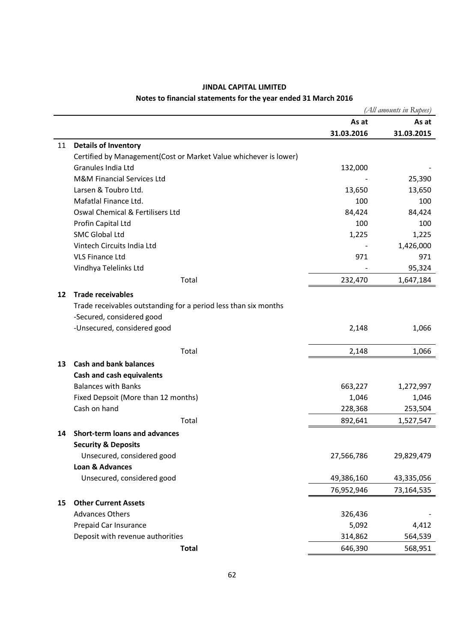| As at<br>As at<br>31.03.2016<br>31.03.2015<br><b>Details of Inventory</b><br>11<br>Certified by Management(Cost or Market Value whichever is lower)<br>Granules India Ltd<br>132,000<br>M&M Financial Services Ltd<br>25,390<br>Larsen & Toubro Ltd.<br>13,650<br>13,650<br>Mafatlal Finance Ltd.<br>100<br>100<br>Oswal Chemical & Fertilisers Ltd<br>84,424<br>84,424<br>Profin Capital Ltd<br>100<br>100<br><b>SMC Global Ltd</b><br>1,225<br>1,225<br>Vintech Circuits India Ltd<br>1,426,000<br><b>VLS Finance Ltd</b><br>971<br>971<br>Vindhya Telelinks Ltd<br>95,324<br>Total<br>232,470<br>1,647,184<br><b>Trade receivables</b><br>12<br>Trade receivables outstanding for a period less than six months<br>-Secured, considered good<br>-Unsecured, considered good<br>2,148<br>1,066<br>Total<br>1,066<br>2,148<br><b>Cash and bank balances</b><br>13<br><b>Cash and cash equivalents</b><br><b>Balances with Banks</b><br>663,227<br>1,272,997<br>Fixed Depsoit (More than 12 months)<br>1,046<br>1,046<br>Cash on hand<br>228,368<br>253,504<br>Total<br>892,641<br>1,527,547<br>Short-term loans and advances<br>14<br><b>Security &amp; Deposits</b><br>Unsecured, considered good<br>27,566,786<br>29,829,479<br>Loan & Advances |  | (All amounts in Rupees) |
|----------------------------------------------------------------------------------------------------------------------------------------------------------------------------------------------------------------------------------------------------------------------------------------------------------------------------------------------------------------------------------------------------------------------------------------------------------------------------------------------------------------------------------------------------------------------------------------------------------------------------------------------------------------------------------------------------------------------------------------------------------------------------------------------------------------------------------------------------------------------------------------------------------------------------------------------------------------------------------------------------------------------------------------------------------------------------------------------------------------------------------------------------------------------------------------------------------------------------------------------------|--|-------------------------|
|                                                                                                                                                                                                                                                                                                                                                                                                                                                                                                                                                                                                                                                                                                                                                                                                                                                                                                                                                                                                                                                                                                                                                                                                                                                    |  |                         |
|                                                                                                                                                                                                                                                                                                                                                                                                                                                                                                                                                                                                                                                                                                                                                                                                                                                                                                                                                                                                                                                                                                                                                                                                                                                    |  |                         |
|                                                                                                                                                                                                                                                                                                                                                                                                                                                                                                                                                                                                                                                                                                                                                                                                                                                                                                                                                                                                                                                                                                                                                                                                                                                    |  |                         |
|                                                                                                                                                                                                                                                                                                                                                                                                                                                                                                                                                                                                                                                                                                                                                                                                                                                                                                                                                                                                                                                                                                                                                                                                                                                    |  |                         |
|                                                                                                                                                                                                                                                                                                                                                                                                                                                                                                                                                                                                                                                                                                                                                                                                                                                                                                                                                                                                                                                                                                                                                                                                                                                    |  |                         |
|                                                                                                                                                                                                                                                                                                                                                                                                                                                                                                                                                                                                                                                                                                                                                                                                                                                                                                                                                                                                                                                                                                                                                                                                                                                    |  |                         |
|                                                                                                                                                                                                                                                                                                                                                                                                                                                                                                                                                                                                                                                                                                                                                                                                                                                                                                                                                                                                                                                                                                                                                                                                                                                    |  |                         |
|                                                                                                                                                                                                                                                                                                                                                                                                                                                                                                                                                                                                                                                                                                                                                                                                                                                                                                                                                                                                                                                                                                                                                                                                                                                    |  |                         |
|                                                                                                                                                                                                                                                                                                                                                                                                                                                                                                                                                                                                                                                                                                                                                                                                                                                                                                                                                                                                                                                                                                                                                                                                                                                    |  |                         |
|                                                                                                                                                                                                                                                                                                                                                                                                                                                                                                                                                                                                                                                                                                                                                                                                                                                                                                                                                                                                                                                                                                                                                                                                                                                    |  |                         |
|                                                                                                                                                                                                                                                                                                                                                                                                                                                                                                                                                                                                                                                                                                                                                                                                                                                                                                                                                                                                                                                                                                                                                                                                                                                    |  |                         |
|                                                                                                                                                                                                                                                                                                                                                                                                                                                                                                                                                                                                                                                                                                                                                                                                                                                                                                                                                                                                                                                                                                                                                                                                                                                    |  |                         |
|                                                                                                                                                                                                                                                                                                                                                                                                                                                                                                                                                                                                                                                                                                                                                                                                                                                                                                                                                                                                                                                                                                                                                                                                                                                    |  |                         |
|                                                                                                                                                                                                                                                                                                                                                                                                                                                                                                                                                                                                                                                                                                                                                                                                                                                                                                                                                                                                                                                                                                                                                                                                                                                    |  |                         |
|                                                                                                                                                                                                                                                                                                                                                                                                                                                                                                                                                                                                                                                                                                                                                                                                                                                                                                                                                                                                                                                                                                                                                                                                                                                    |  |                         |
|                                                                                                                                                                                                                                                                                                                                                                                                                                                                                                                                                                                                                                                                                                                                                                                                                                                                                                                                                                                                                                                                                                                                                                                                                                                    |  |                         |
|                                                                                                                                                                                                                                                                                                                                                                                                                                                                                                                                                                                                                                                                                                                                                                                                                                                                                                                                                                                                                                                                                                                                                                                                                                                    |  |                         |
|                                                                                                                                                                                                                                                                                                                                                                                                                                                                                                                                                                                                                                                                                                                                                                                                                                                                                                                                                                                                                                                                                                                                                                                                                                                    |  |                         |
|                                                                                                                                                                                                                                                                                                                                                                                                                                                                                                                                                                                                                                                                                                                                                                                                                                                                                                                                                                                                                                                                                                                                                                                                                                                    |  |                         |
|                                                                                                                                                                                                                                                                                                                                                                                                                                                                                                                                                                                                                                                                                                                                                                                                                                                                                                                                                                                                                                                                                                                                                                                                                                                    |  |                         |
|                                                                                                                                                                                                                                                                                                                                                                                                                                                                                                                                                                                                                                                                                                                                                                                                                                                                                                                                                                                                                                                                                                                                                                                                                                                    |  |                         |
|                                                                                                                                                                                                                                                                                                                                                                                                                                                                                                                                                                                                                                                                                                                                                                                                                                                                                                                                                                                                                                                                                                                                                                                                                                                    |  |                         |
|                                                                                                                                                                                                                                                                                                                                                                                                                                                                                                                                                                                                                                                                                                                                                                                                                                                                                                                                                                                                                                                                                                                                                                                                                                                    |  |                         |
|                                                                                                                                                                                                                                                                                                                                                                                                                                                                                                                                                                                                                                                                                                                                                                                                                                                                                                                                                                                                                                                                                                                                                                                                                                                    |  |                         |
|                                                                                                                                                                                                                                                                                                                                                                                                                                                                                                                                                                                                                                                                                                                                                                                                                                                                                                                                                                                                                                                                                                                                                                                                                                                    |  |                         |
|                                                                                                                                                                                                                                                                                                                                                                                                                                                                                                                                                                                                                                                                                                                                                                                                                                                                                                                                                                                                                                                                                                                                                                                                                                                    |  |                         |
|                                                                                                                                                                                                                                                                                                                                                                                                                                                                                                                                                                                                                                                                                                                                                                                                                                                                                                                                                                                                                                                                                                                                                                                                                                                    |  |                         |
|                                                                                                                                                                                                                                                                                                                                                                                                                                                                                                                                                                                                                                                                                                                                                                                                                                                                                                                                                                                                                                                                                                                                                                                                                                                    |  |                         |
|                                                                                                                                                                                                                                                                                                                                                                                                                                                                                                                                                                                                                                                                                                                                                                                                                                                                                                                                                                                                                                                                                                                                                                                                                                                    |  |                         |
|                                                                                                                                                                                                                                                                                                                                                                                                                                                                                                                                                                                                                                                                                                                                                                                                                                                                                                                                                                                                                                                                                                                                                                                                                                                    |  |                         |
|                                                                                                                                                                                                                                                                                                                                                                                                                                                                                                                                                                                                                                                                                                                                                                                                                                                                                                                                                                                                                                                                                                                                                                                                                                                    |  |                         |
| Unsecured, considered good<br>49,386,160<br>43,335,056                                                                                                                                                                                                                                                                                                                                                                                                                                                                                                                                                                                                                                                                                                                                                                                                                                                                                                                                                                                                                                                                                                                                                                                             |  |                         |
| 76,952,946<br>73,164,535                                                                                                                                                                                                                                                                                                                                                                                                                                                                                                                                                                                                                                                                                                                                                                                                                                                                                                                                                                                                                                                                                                                                                                                                                           |  |                         |
| <b>Other Current Assets</b><br>15                                                                                                                                                                                                                                                                                                                                                                                                                                                                                                                                                                                                                                                                                                                                                                                                                                                                                                                                                                                                                                                                                                                                                                                                                  |  |                         |
| <b>Advances Others</b><br>326,436                                                                                                                                                                                                                                                                                                                                                                                                                                                                                                                                                                                                                                                                                                                                                                                                                                                                                                                                                                                                                                                                                                                                                                                                                  |  |                         |
| Prepaid Car Insurance<br>5,092<br>4,412                                                                                                                                                                                                                                                                                                                                                                                                                                                                                                                                                                                                                                                                                                                                                                                                                                                                                                                                                                                                                                                                                                                                                                                                            |  |                         |
| Deposit with revenue authorities<br>314,862<br>564,539                                                                                                                                                                                                                                                                                                                                                                                                                                                                                                                                                                                                                                                                                                                                                                                                                                                                                                                                                                                                                                                                                                                                                                                             |  |                         |
| 646,390<br><b>Total</b><br>568,951                                                                                                                                                                                                                                                                                                                                                                                                                                                                                                                                                                                                                                                                                                                                                                                                                                                                                                                                                                                                                                                                                                                                                                                                                 |  |                         |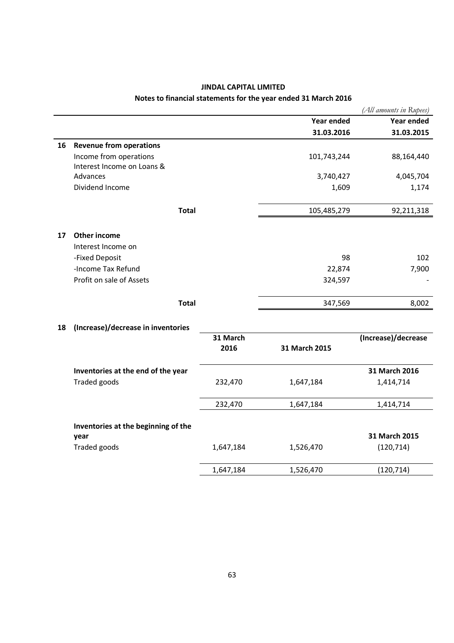|    |                                                      |                  |                   | (All amounts in Rupees) |
|----|------------------------------------------------------|------------------|-------------------|-------------------------|
|    |                                                      |                  | <b>Year ended</b> | <b>Year ended</b>       |
|    |                                                      |                  | 31.03.2016        | 31.03.2015              |
| 16 | <b>Revenue from operations</b>                       |                  |                   |                         |
|    | Income from operations<br>Interest Income on Loans & |                  | 101,743,244       | 88,164,440              |
|    | Advances                                             |                  | 3,740,427         | 4,045,704               |
|    | Dividend Income                                      |                  | 1,609             | 1,174                   |
|    | <b>Total</b>                                         |                  | 105,485,279       | 92,211,318              |
| 17 | <b>Other income</b><br>Interest Income on            |                  |                   |                         |
|    | -Fixed Deposit                                       |                  | 98                | 102                     |
|    | -Income Tax Refund                                   |                  | 22,874            | 7,900                   |
|    | Profit on sale of Assets                             |                  | 324,597           |                         |
|    | <b>Total</b>                                         |                  | 347,569           | 8,002                   |
| 18 | (Increase)/decrease in inventories                   |                  |                   |                         |
|    |                                                      | 31 March<br>2016 | 31 March 2015     | (Increase)/decrease     |
|    | Inventories at the end of the year                   |                  |                   | 31 March 2016           |
|    | Traded goods                                         | 232,470          | 1,647,184         | 1,414,714               |
|    |                                                      | 232,470          | 1,647,184         | 1,414,714               |
|    | Inventories at the beginning of the<br>year          |                  |                   | 31 March 2015           |
|    | Traded goods                                         | 1,647,184        | 1,526,470         | (120, 714)              |
|    |                                                      | 1,647,184        | 1,526,470         | (120, 714)              |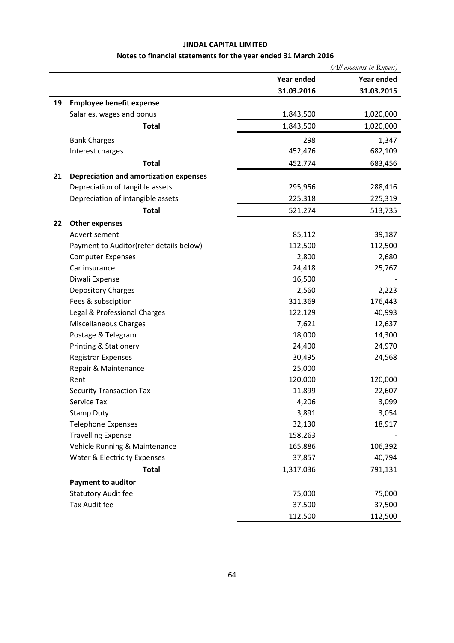|    |                                               |                   | (All amounts in Rupees) |
|----|-----------------------------------------------|-------------------|-------------------------|
|    |                                               | <b>Year ended</b> | Year ended              |
|    |                                               | 31.03.2016        | 31.03.2015              |
| 19 | <b>Employee benefit expense</b>               |                   |                         |
|    | Salaries, wages and bonus                     | 1,843,500         | 1,020,000               |
|    | <b>Total</b>                                  | 1,843,500         | 1,020,000               |
|    | <b>Bank Charges</b>                           | 298               | 1,347                   |
|    | Interest charges                              | 452,476           | 682,109                 |
|    | <b>Total</b>                                  | 452,774           | 683,456                 |
| 21 | <b>Depreciation and amortization expenses</b> |                   |                         |
|    | Depreciation of tangible assets               | 295,956           | 288,416                 |
|    | Depreciation of intangible assets             | 225,318           | 225,319                 |
|    | <b>Total</b>                                  | 521,274           | 513,735                 |
| 22 | <b>Other expenses</b>                         |                   |                         |
|    | Advertisement                                 | 85,112            | 39,187                  |
|    | Payment to Auditor(refer details below)       | 112,500           | 112,500                 |
|    | <b>Computer Expenses</b>                      | 2,800             | 2,680                   |
|    | Car insurance                                 | 24,418            | 25,767                  |
|    | Diwali Expense                                | 16,500            |                         |
|    | Depository Charges                            | 2,560             | 2,223                   |
|    | Fees & subsciption                            | 311,369           | 176,443                 |
|    | Legal & Professional Charges                  | 122,129           | 40,993                  |
|    | Miscellaneous Charges                         | 7,621             | 12,637                  |
|    | Postage & Telegram                            | 18,000            | 14,300                  |
|    | Printing & Stationery                         | 24,400            | 24,970                  |
|    | <b>Registrar Expenses</b>                     | 30,495            | 24,568                  |
|    | Repair & Maintenance                          | 25,000            |                         |
|    | Rent                                          | 120,000           | 120,000                 |
|    | <b>Security Transaction Tax</b>               | 11,899            | 22,607                  |
|    | Service Tax                                   | 4,206             | 3,099                   |
|    | <b>Stamp Duty</b>                             | 3,891             | 3,054                   |
|    | <b>Telephone Expenses</b>                     | 32,130            | 18,917                  |
|    | <b>Travelling Expense</b>                     | 158,263           |                         |
|    | Vehicle Running & Maintenance                 | 165,886           | 106,392                 |
|    | Water & Electricity Expenses                  | 37,857            | 40,794                  |
|    | <b>Total</b>                                  | 1,317,036         | 791,131                 |
|    | <b>Payment to auditor</b>                     |                   |                         |
|    | <b>Statutory Audit fee</b>                    | 75,000            | 75,000                  |
|    | Tax Audit fee                                 | 37,500            | 37,500                  |
|    |                                               | 112,500           | 112,500                 |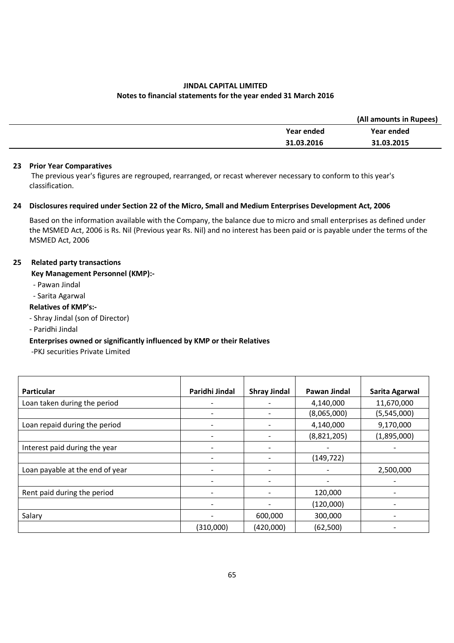|            | (All amounts in Rupees) |
|------------|-------------------------|
| Year ended | Year ended              |
| 31.03.2016 | 31.03.2015              |

#### **23 Prior Year Comparatives**

The previous year's figures are regrouped, rearranged, or recast wherever necessary to conform to this year's classification.

#### **24 Disclosures required under Section 22 of the Micro, Small and Medium Enterprises Development Act, 2006**

Based on the information available with the Company, the balance due to micro and small enterprises as defined under the MSMED Act, 2006 is Rs. Nil (Previous year Rs. Nil) and no interest has been paid or is payable under the terms of the MSMED Act, 2006

#### **25 Related party transactions**

 **Key Management Personnel (KMP):-** 

- ‐ Pawan Jindal
- ‐ Sarita Agarwal

#### **Relatives of KMP's:-**

- ‐ Shray Jindal (son of Director)
- ‐ Paridhi Jindal

#### **Enterprises owned or significantly influenced by KMP or their Relatives**

‐PKJ securities Private Limited

| <b>Particular</b>               | Paridhi Jindal           | <b>Shray Jindal</b> | Pawan Jindal | Sarita Agarwal |
|---------------------------------|--------------------------|---------------------|--------------|----------------|
| Loan taken during the period    |                          |                     | 4,140,000    | 11,670,000     |
|                                 | $\overline{\phantom{0}}$ |                     | (8,065,000)  | (5,545,000)    |
| Loan repaid during the period   |                          |                     | 4,140,000    | 9,170,000      |
|                                 | $\overline{\phantom{0}}$ |                     | (8,821,205)  | (1,895,000)    |
| Interest paid during the year   |                          |                     |              |                |
|                                 |                          |                     | (149, 722)   |                |
| Loan payable at the end of year |                          |                     | -            | 2,500,000      |
|                                 |                          |                     | -            |                |
| Rent paid during the period     | $\overline{\phantom{a}}$ |                     | 120,000      |                |
|                                 |                          |                     | (120,000)    |                |
| Salary                          |                          | 600,000             | 300,000      |                |
|                                 | (310,000)                | (420,000)           | (62, 500)    |                |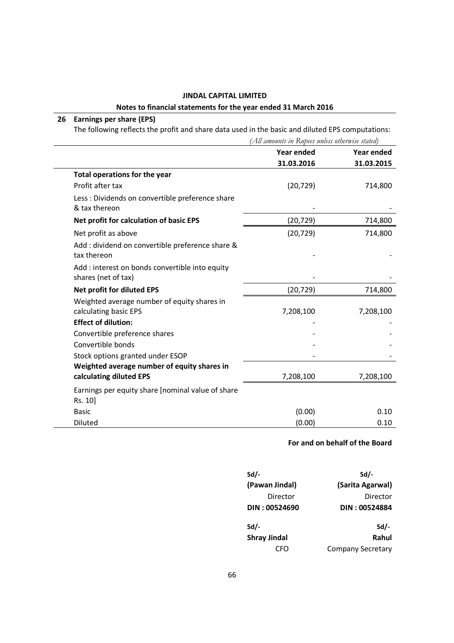## **JINDAL CAPITAL LIMITED**

#### **Notes to financial statements for the year ended 31 March 2016**

#### **26 Earnings per share (EPS)**

The following reflects the profit and share data used in the basic and diluted EPS computations:

|                                                                       | $\mathcal{L}$ и атоиніз ін іхиреез инезз бінетиізе зіатеа) |            |
|-----------------------------------------------------------------------|------------------------------------------------------------|------------|
|                                                                       | <b>Year ended</b>                                          | Year ended |
|                                                                       | 31.03.2016                                                 | 31.03.2015 |
| Total operations for the year                                         |                                                            |            |
| Profit after tax                                                      | (20, 729)                                                  | 714,800    |
| Less : Dividends on convertible preference share<br>& tax thereon     |                                                            |            |
| Net profit for calculation of basic EPS                               | (20, 729)                                                  | 714,800    |
| Net profit as above                                                   | (20, 729)                                                  | 714,800    |
| Add : dividend on convertible preference share &<br>tax thereon       |                                                            |            |
| Add: interest on bonds convertible into equity<br>shares (net of tax) |                                                            |            |
| Net profit for diluted EPS                                            | (20, 729)                                                  | 714,800    |
| Weighted average number of equity shares in                           |                                                            |            |
| calculating basic EPS                                                 | 7,208,100                                                  | 7,208,100  |
| <b>Effect of dilution:</b>                                            |                                                            |            |
| Convertible preference shares                                         |                                                            |            |
| Convertible bonds                                                     |                                                            |            |
| Stock options granted under ESOP                                      |                                                            |            |
| Weighted average number of equity shares in                           |                                                            |            |
| calculating diluted EPS                                               | 7,208,100                                                  | 7,208,100  |
| Earnings per equity share [nominal value of share                     |                                                            |            |
| Rs. 10]                                                               |                                                            |            |
| <b>Basic</b>                                                          | (0.00)                                                     | 0.10       |
| Diluted                                                               | (0.00)                                                     | 0.10       |

#### *(All amounts in Rupees unless otherwise stated)*

## **For and on behalf of the Board**

| $Sd/-$              | $Sd/-$                   |
|---------------------|--------------------------|
| (Pawan Jindal)      | (Sarita Agarwal)         |
| Director            | Director                 |
| DIN: 00524690       | DIN: 00524884            |
| $Sd$ /-             | $Sd/-$                   |
| <b>Shray Jindal</b> | Rahul                    |
| CFO                 | <b>Company Secretary</b> |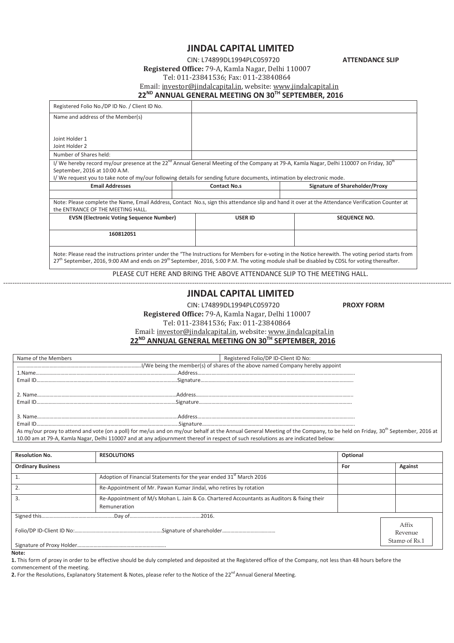## **JINDAL CAPITAL LIMITED**

**TENDANCE SLIP** 

CIN: L74899DL1994PLC059720 **AT Registered Office: 79-A, Kamla Nagar, Delhi 110007** Tel: 011-23841536; Fax: 011-23840864 <u>Email: investor@jindalcapital.in</u>, website: <u>www.jindalcapital.in</u>

22<sup>ND</sup> ANNUAL GENERAL MEETING ON 30<sup>TH</sup> SEPTEMBER, 2016

| Registered Folio No./DP ID No. / Client ID No.                                                                                                                   |                     |                                |
|------------------------------------------------------------------------------------------------------------------------------------------------------------------|---------------------|--------------------------------|
| Name and address of the Member(s)                                                                                                                                |                     |                                |
|                                                                                                                                                                  |                     |                                |
| Joint Holder 1                                                                                                                                                   |                     |                                |
| Joint Holder 2                                                                                                                                                   |                     |                                |
| Number of Shares held:                                                                                                                                           |                     |                                |
| I/ We hereby record my/our presence at the 22 <sup>nd</sup> Annual General Meeting of the Company at 79-A, Kamla Nagar, Delhi 110007 on Friday, 30 <sup>th</sup> |                     |                                |
| September, 2016 at 10:00 A.M.                                                                                                                                    |                     |                                |
| I/We request you to take note of my/our following details for sending future documents, intimation by electronic mode.                                           |                     |                                |
| <b>Email Addresses</b>                                                                                                                                           | <b>Contact No.s</b> | Signature of Shareholder/Proxy |
|                                                                                                                                                                  |                     |                                |
| Note: Please complete the Name, Email Address, Contact No.s, sign this attendance slip and hand it over at the Attendance Verification Counter at                |                     |                                |
| the ENTRANCE OF THE MEETING HALL.                                                                                                                                |                     |                                |
| <b>EVSN (Electronic Voting Sequence Number)</b>                                                                                                                  | USER ID             | SEQUENCE NO.                   |
|                                                                                                                                                                  |                     |                                |
| 160812051                                                                                                                                                        |                     |                                |
|                                                                                                                                                                  |                     |                                |
|                                                                                                                                                                  |                     |                                |
| Note: Please read the instructions printer under the "The Instructions for Members for e-voting in the Notice herewith. The voting period starts from            |                     |                                |

 $27<sup>th</sup>$  September, 2016, 9:00 AM and ends on 29<sup>th</sup> September, 2016, 5:00 P.M. The voting module shall be disabled by CDSL for voting thereafter.

PLEASE CUT HERE AND BRING THE ABOVE ATTENDANCE SLIP TO THE MEETING HALL.

## **JINDAL CAPITAL LIMITED**

CIN: L74899DL1994PLC059

**PROXY FORM** 

**Registered Office: 79-A, Kamla Nagar, Delhi 110007** Tel: 011-23841536; Fax: 011-23840864

11111111111111111111111111111111111111111111111111111111111111111111111111111111111111111111111111111111111111111111111111111111111111111111111111111111111111111111111111111111111111111111111111111

<u>Email: investor@jindalcapital.in</u>, website: <u>www.jindalcapital.in</u>

 $22^{ND}$  ANNUAL GENERAL MEETING ON 30<sup>TH</sup> SEPTEMBER, 2016

| Name of the Members                                                                                                               | Registered Folio/DP ID-Client ID No:                                                                                                                                                  |  |  |  |
|-----------------------------------------------------------------------------------------------------------------------------------|---------------------------------------------------------------------------------------------------------------------------------------------------------------------------------------|--|--|--|
|                                                                                                                                   |                                                                                                                                                                                       |  |  |  |
|                                                                                                                                   |                                                                                                                                                                                       |  |  |  |
|                                                                                                                                   |                                                                                                                                                                                       |  |  |  |
|                                                                                                                                   |                                                                                                                                                                                       |  |  |  |
|                                                                                                                                   |                                                                                                                                                                                       |  |  |  |
|                                                                                                                                   |                                                                                                                                                                                       |  |  |  |
|                                                                                                                                   |                                                                                                                                                                                       |  |  |  |
|                                                                                                                                   |                                                                                                                                                                                       |  |  |  |
|                                                                                                                                   |                                                                                                                                                                                       |  |  |  |
|                                                                                                                                   | As my/our proxy to attend and vote (on a poll) for me/us and on my/our behalf at the Annual General Meeting of the Company, to be held on Friday, 30 <sup>th</sup> September, 2016 at |  |  |  |
| 10.00 am at 79-A, Kamla Nagar, Delhi 110007 and at any adjournment thereof in respect of such resolutions as are indicated below: |                                                                                                                                                                                       |  |  |  |

| <b>Resolution No.</b><br><b>RESOLUTIONS</b>         |                                                                                                            | Optional |         |  |
|-----------------------------------------------------|------------------------------------------------------------------------------------------------------------|----------|---------|--|
| <b>Ordinary Business</b>                            |                                                                                                            | For      | Against |  |
| ī.                                                  | Adoption of Financial Statements for the year ended 31 <sup>st</sup> March 2016                            |          |         |  |
| 2.                                                  | Re-Appointment of Mr. Pawan Kumar Jindal, who retires by rotation                                          |          |         |  |
| 3.                                                  | Re-Appointment of M/s Mohan L. Jain & Co. Chartered Accountants as Auditors & fixing their<br>Remuneration |          |         |  |
|                                                     |                                                                                                            |          |         |  |
| Stamp of Rs.1                                       |                                                                                                            |          |         |  |
| $\mathbf{A}$ $\mathbf{A}$ $\mathbf{A}$ $\mathbf{A}$ |                                                                                                            |          |         |  |

 $Note:$ 

1. This form of proxy in order to be effective should be duly completed and deposited at the Registered office of the Company, not less than 48 hours before the commencement of the meeting.

2. For the Resolutions, Explanatory Statement & Notes, please refer to the Notice of the 22<sup>nd</sup> Annual General Meeting.